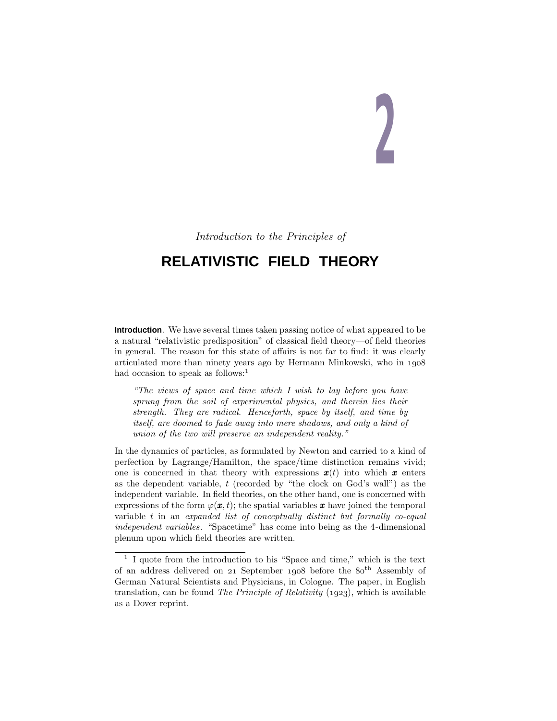# **2**

Introduction to the Principles of

# **RELATIVISTIC FIELD THEORY**

**Introduction**. We have several times taken passing notice of what appeared to be a natural "relativistic predisposition" of classical field theory—of field theories in general. The reason for this state of affairs is not far to find: it was clearly articulated more than ninety years ago by Hermann Minkowski, who in had occasion to speak as follows:<sup>1</sup>

"The views of space and time which I wish to lay before you have sprung from the soil of experimental physics, and therein lies their strength. They are radical. Henceforth, space by itself, and time by itself, are doomed to fade away into mere shadows, and only a kind of union of the two will preserve an independent reality."

In the dynamics of particles, as formulated by Newton and carried to a kind of perfection by Lagrange/Hamilton, the space/time distinction remains vivid; one is concerned in that theory with expressions  $\mathbf{x}(t)$  into which  $\mathbf{x}$  enters as the dependent variable, *t* (recorded by "the clock on God's wall") as the independent variable. In field theories, on the other hand, one is concerned with expressions of the form  $\varphi(\mathbf{x}, t)$ ; the spatial variables  $\mathbf{x}$  have joined the temporal variable *t* in an expanded list of conceptually distinct but formally co-equal independent variables. "Spacetime" has come into being as the 4-dimensional plenum upon which field theories are written.

<sup>1</sup> I quote from the introduction to his "Space and time," which is the text of an address delivered on  $21$  September 1908 before the  $80<sup>th</sup>$  Assembly of German Natural Scientists and Physicians, in Cologne. The paper, in English translation, can be found The Principle of Relativity  $(1923)$ , which is available as a Dover reprint.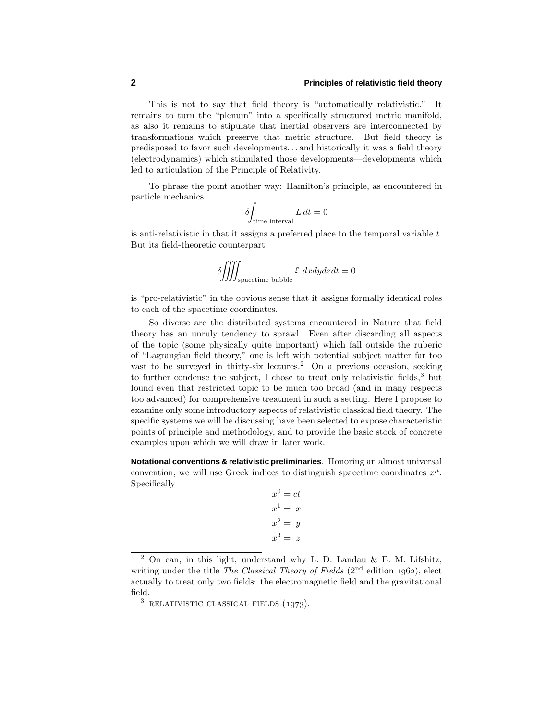This is not to say that field theory is "automatically relativistic." It remains to turn the "plenum" into a specifically structured metric manifold, as also it remains to stipulate that inertial observers are interconnected by transformations which preserve that metric structure. But field theory is predisposed to favor such developments*...* and historically it was a field theory (electrodynamics) which stimulated those developments—developments which led to articulation of the Principle of Relativity.

To phrase the point another way: Hamilton's principle, as encountered in particle mechanics

$$
\delta \int_{\text{time interval}} L \, dt = 0
$$

is anti-relativistic in that it assigns a preferred place to the temporal variable *t*. But its field-theoretic counterpart

$$
\delta \iiint_{\text{spacetime bubble}} \mathcal{L} \, dxdydzdt = 0
$$

is "pro-relativistic" in the obvious sense that it assigns formally identical roles to each of the spacetime coordinates.

So diverse are the distributed systems encountered in Nature that field theory has an unruly tendency to sprawl. Even after discarding all aspects of the topic (some physically quite important) which fall outside the ruberic of "Lagrangian field theory," one is left with potential subject matter far too vast to be surveyed in thirty-six lectures.<sup>2</sup> On a previous occasion, seeking to further condense the subject, I chose to treat only relativistic fields,<sup>3</sup> but found even that restricted topic to be much too broad (and in many respects too advanced) for comprehensive treatment in such a setting. Here I propose to examine only some introductory aspects of relativistic classical field theory. The specific systems we will be discussing have been selected to expose characteristic points of principle and methodology, and to provide the basic stock of concrete examples upon which we will draw in later work.

**Notational conventions & relativistic preliminaries**. Honoring an almost universal convention, we will use Greek indices to distinguish spacetime coordinates  $x^{\mu}$ . Specifically

 $x^0 = ct$  $x^1 = x$  $x^2 = y$  $x^3 = z$ 

<sup>&</sup>lt;sup>2</sup> On can, in this light, understand why L. D. Landau & E. M. Lifshitz, writing under the title The Classical Theory of Fields  $(2<sup>nd</sup>$  edition 1962), elect actually to treat only two fields: the electromagnetic field and the gravitational field.

 $3$  RELATIVISTIC CLASSICAL FIELDS  $(1973)$ .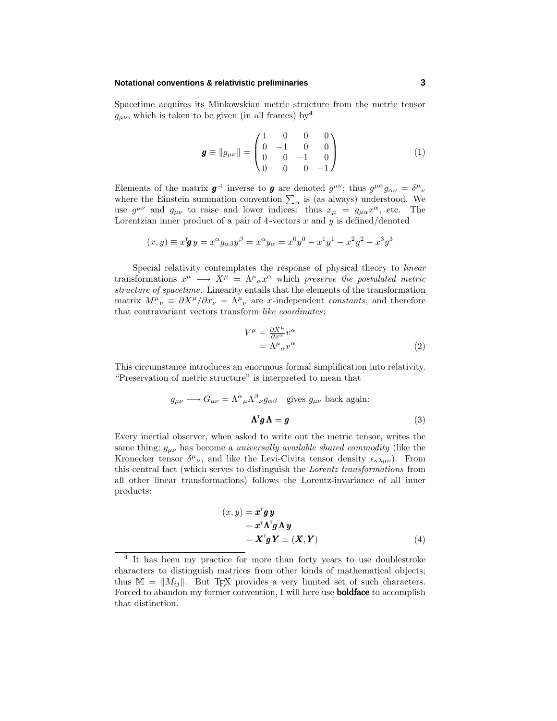#### **Notational conventions & relativistic preliminaries 3**

Spacetime acquires its Minkowskian metric structure from the metric tensor  $g_{\mu\nu}$ , which is taken to be given (in all frames) by<sup>4</sup>

$$
\boldsymbol{g} \equiv ||g_{\mu\nu}|| = \begin{pmatrix} 1 & 0 & 0 & 0 \\ 0 & -1 & 0 & 0 \\ 0 & 0 & -1 & 0 \\ 0 & 0 & 0 & -1 \end{pmatrix}
$$
 (1)

Elements of the matrix  $g^{-1}$  inverse to *g* are denoted  $g^{\mu\nu}$ ; thus  $g^{\mu\alpha}g_{\alpha\nu} = \delta^{\mu}{}_{\nu}$ where the Einstein summation convention  $\sum_{\alpha}$  is (as always) understood. We use  $g^{\mu\nu}$  and  $g_{\mu\nu}$  to raise and lower indices: thus  $x_{\mu} = g_{\mu\alpha}x^{\alpha}$ , etc. The Lorentzian inner product of a pair of 4-vectors *x* and *y* is defined/denoted

$$
(x,y) \equiv x^{\mathsf{T}} \mathbf{g} \, y = x^{\alpha} g_{\alpha\beta} y^{\beta} = x^{\alpha} y_{\alpha} = x^{0} y^{0} - x^{1} y^{1} - x^{2} y^{2} - x^{3} y^{3}
$$

Special relativity contemplates the response of physical theory to linear transformations  $x^{\mu} \longrightarrow X^{\mu} = \Lambda^{\mu}{}_{\alpha} x^{\alpha}$  which preserve the postulated metric structure of spacetime. Linearity entails that the elements of the transformation matrix  $M^{\mu}{}_{\nu} \equiv \partial X^{\mu}/\partial x_{\nu} = \Lambda^{\mu}{}_{\nu}$  are *x*-independent constants, and therefore that contravariant vectors transform like coordinates:

$$
V^{\mu} = \frac{\partial X^{\mu}}{\partial x^{\alpha}} v^{\alpha}
$$
  
=  $\Lambda^{\mu}{}_{\alpha} v^{\alpha}$  (2)

This circumstance introduces an enormous formal simplification into relativity. "Preservation of metric structure" is interpreted to mean that

$$
g_{\mu\nu} \longrightarrow G_{\mu\nu} = \Lambda^{\alpha}{}_{\mu}\Lambda^{\beta}{}_{\nu}g_{\alpha\beta} \quad \text{gives } g_{\mu\nu} \text{ back again:}
$$

$$
\Lambda^{\mathsf{T}}g \Lambda = g \tag{3}
$$

Every inertial observer, when asked to write out the metric tensor, writes the same thing;  $g_{\mu\nu}$  has become a *universally available shared commodity* (like the Kronecker tensor  $\delta^{\mu}{}_{\nu}$ , and like the Levi-Civita tensor density  $\epsilon_{\kappa\lambda\mu\nu}$ ). From this central fact (which serves to distinguish the Lorentz transformations from all other linear transformations) follows the Lorentz-invariance of all inner products:

$$
(x, y) = \mathbf{x}^T \mathbf{g} \mathbf{y}
$$
  
=  $\mathbf{x}^T \mathbf{\Lambda}^T \mathbf{g} \mathbf{\Lambda} \mathbf{y}$   
=  $\mathbf{X}^T \mathbf{g} \mathbf{Y} \equiv (\mathbf{X}, \mathbf{Y})$  (4)

<sup>4</sup> It has been my practice for more than forty years to use doublestroke characters to distinguish matrices from other kinds of mathematical objects; thus  $\mathbb{M} = ||M_{ij}||$ . But TEX provides a very limited set of such characters. Forced to abandon my former convention, I will here use **boldface** to accomplish that distinction.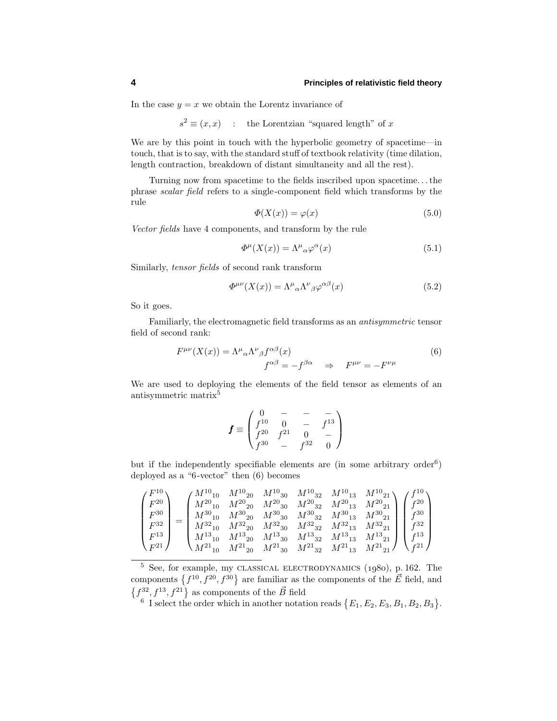In the case  $y = x$  we obtain the Lorentz invariance of

$$
s^2 \equiv (x, x) \quad : \quad \text{the Lorentzian "squared length" of } x
$$

We are by this point in touch with the hyperbolic geometry of spacetime—in touch, that is to say, with the standard stuff of textbook relativity (time dilation, length contraction, breakdown of distant simultaneity and all the rest).

Turning now from spacetime to the fields inscribed upon spacetime*...*the phrase scalar field refers to a single-component field which transforms by the rule

$$
\Phi(X(x)) = \varphi(x) \tag{5.0}
$$

Vector fields have 4 components, and transform by the rule

$$
\Phi^{\mu}(X(x)) = \Lambda^{\mu}{}_{\alpha}\varphi^{\alpha}(x) \tag{5.1}
$$

Similarly, tensor fields of second rank transform

$$
\Phi^{\mu\nu}(X(x)) = \Lambda^{\mu}{}_{\alpha}\Lambda^{\nu}{}_{\beta}\varphi^{\alpha\beta}(x) \tag{5.2}
$$

So it goes.

Familiarly, the electromagnetic field transforms as an antisymmetric tensor field of second rank:

$$
F^{\mu\nu}(X(x)) = \Lambda^{\mu}{}_{\alpha}\Lambda^{\nu}{}_{\beta}f^{\alpha\beta}(x)
$$
  

$$
f^{\alpha\beta} = -f^{\beta\alpha} \quad \Rightarrow \quad F^{\mu\nu} = -F^{\nu\mu}
$$
 (6)

We are used to deploying the elements of the field tensor as elements of an antisymmetric matrix<sup>5</sup>

$$
\boldsymbol{f} \equiv \begin{pmatrix} 0 & - & - & - \\ f^{10} & 0 & - & f^{13} \\ f^{20} & f^{21} & 0 & - \\ f^{30} & - & f^{32} & 0 \end{pmatrix}
$$

but if the independently specifiable elements are (in some arbitrary order $6$ ) deployed as a "6-vector" then (6) becomes

$$
\begin{pmatrix} F^{10} \\ F^{20} \\ F^{30} \\ F^{32} \\ F^{13} \\ F^{21} \end{pmatrix} = \begin{pmatrix} M^{10}{}_{10} & M^{10}{}_{20} & M^{10}{}_{30} & M^{10}{}_{32} & M^{10}{}_{13} & M^{10}{}_{21} \\ M^{20}{}_{10} & M^{20}{}_{20} & M^{20}{}_{30} & M^{20}{}_{32} & M^{20}{}_{13} & M^{20}{}_{21} \\ M^{30}{}_{10} & M^{30}{}_{20} & M^{30}{}_{30} & M^{30}{}_{32} & M^{30}{}_{13} & M^{30}{}_{21} \\ M^{32}{}_{10} & M^{32}{}_{20} & M^{32}{}_{30} & M^{32}{}_{32} & M^{32}{}_{13} & M^{32}{}_{21} \\ M^{13}{}_{10} & M^{13}{}_{20} & M^{13}{}_{30} & M^{13}{}_{32} & M^{13}{}_{13} & M^{13}{}_{21} \\ M^{21}{}_{10} & M^{21}{}_{20} & M^{21}{}_{30} & M^{21}{}_{32} & M^{21}{}_{13} & M^{21}{}_{21} \end{pmatrix} \begin{pmatrix} f^{10} \\ f^{20} \\ f^{30} \\ f^{32} \\ f^{13} \\ f^{14} \\ f^{21} \end{pmatrix}
$$

 $5$  See, for example, my CLASSICAL ELECTRODYNAMICS  $(1980)$ , p. 162. The components  $\{f^{10}, f^{20}, f^{30}\}\$ are familiar as the components of the  $\vec{E}$  field, and  $\{f^{32}, f^{13}, f^{21}\}\$ as components of the  $\vec{B}$  field

<sup>6</sup> I select the order which in another notation reads  $\{E_1, E_2, E_3, B_1, B_2, B_3\}.$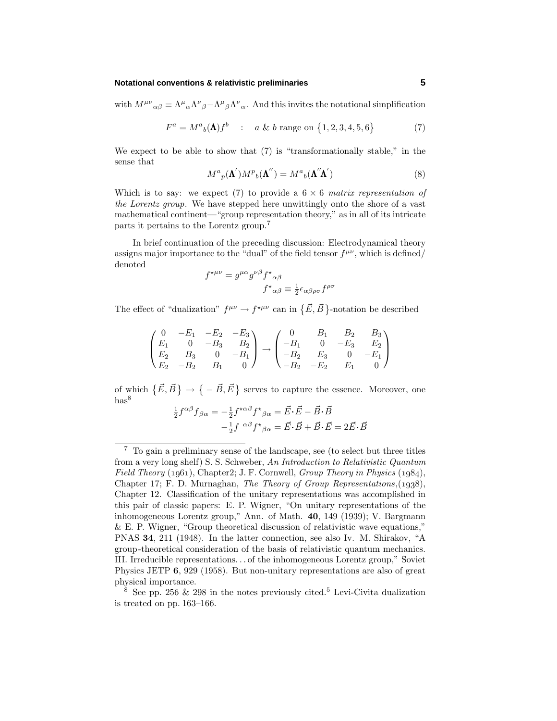#### **Notational conventions & relativistic preliminaries 5**

with  $M^{\mu\nu}{}_{\alpha\beta} \equiv \Lambda^{\mu}{}_{\alpha}\Lambda^{\nu}{}_{\beta} - \Lambda^{\mu}{}_{\beta}\Lambda^{\nu}{}_{\alpha}$ . And this invites the notational simplification

$$
F^{a} = M^{a}{}_{b}(\Lambda)f^{b} \quad : \quad a \& b \text{ range on } \{1, 2, 3, 4, 5, 6\} \tag{7}
$$

We expect to be able to show that  $(7)$  is "transformationally stable," in the sense that

$$
M^{a}{}_{p}(\Lambda^{'})M^{p}{}_{b}(\Lambda^{''}) = M^{a}{}_{b}(\Lambda^{''}\Lambda^{'})
$$
\n(8)

Which is to say: we expect (7) to provide a  $6 \times 6$  matrix representation of the Lorentz group. We have stepped here unwittingly onto the shore of a vast mathematical continent—"group representation theory," as in all of its intricate parts it pertains to the Lorentz group.<sup>7</sup>

In brief continuation of the preceding discussion: Electrodynamical theory assigns major importance to the "dual" of the field tensor  $f^{\mu\nu}$ , which is defined/ denoted

$$
f^{\star\mu\nu} = g^{\mu\alpha} g^{\nu\beta} f^{\star}{}_{\alpha\beta}
$$

$$
f^{\star}{}_{\alpha\beta} \equiv \frac{1}{2} \epsilon_{\alpha\beta\rho\sigma} f^{\rho\sigma}
$$

The effect of "dualization"  $f^{\mu\nu} \to f^{\star\mu\nu}$  can in  $\{\vec{E}, \vec{B}\}$ -notation be described

|  |  | $\begin{pmatrix} 0 & -E_1 & -E_2 & -E_3 \\ E_1 & 0 & -B_3 & B_2 \\ E_2 & B_3 & 0 & -B_1 \\ E_2 & -B_2 & B_1 & 0 \end{pmatrix} \rightarrow \begin{pmatrix} 0 & B_1 & B_2 & B_3 \\ -B_1 & 0 & -E_3 & E_2 \\ -B_2 & E_3 & 0 & -E_1 \\ -B_2 & -E_2 & E_1 & 0 \end{pmatrix}$ |  |                                 |
|--|--|-------------------------------------------------------------------------------------------------------------------------------------------------------------------------------------------------------------------------------------------------------------------------|--|---------------------------------|
|  |  |                                                                                                                                                                                                                                                                         |  |                                 |
|  |  |                                                                                                                                                                                                                                                                         |  | $\setminus -B_2$ $-E_2$ $E_1$ 0 |

of which  $\{\vec{E}, \vec{B}\} \rightarrow \{-\vec{B}, \vec{E}\}$  serves to capture the essence. Moreover, one  $has^8$ 

$$
\frac{1}{2}f^{\alpha\beta}f_{\beta\alpha} = -\frac{1}{2}f^{\star\alpha\beta}f^{\star}_{\beta\alpha} = \vec{E}\cdot\vec{E} - \vec{B}\cdot\vec{B} \n- \frac{1}{2}f^{\alpha\beta}f^{\star}_{\beta\alpha} = \vec{E}\cdot\vec{B} + \vec{B}\cdot\vec{E} = 2\vec{E}\cdot\vec{B}
$$

<sup>7</sup> To gain a preliminary sense of the landscape, see (to select but three titles from a very long shelf) S. S. Schweber, An Introduction to Relativistic Quantum Field Theory  $(1961)$ , Chapter2; J. F. Cornwell, Group Theory in Physics  $(1984)$ , Chapter 17; F. D. Murnaghan, The Theory of Group Representations,  $(1938)$ , Chapter 12. Classification of the unitary representations was accomplished in this pair of classic papers:E. P. Wigner, "On unitary representations of the inhomogeneous Lorentz group," Ann. of Math. **40**, 149 (1939); V. Bargmann & E. P. Wigner, "Group theoretical discussion of relativistic wave equations," PNAS **34**, 211 (1948). In the latter connection, see also Iv. M. Shirakov, "A group-theoretical consideration of the basis of relativistic quantum mechanics. III. Irreducible representations*...* of the inhomogeneous Lorentz group," Soviet Physics JETP **6**, 929 (1958). But non-unitary representations are also of great physical importance.

<sup>&</sup>lt;sup>8</sup> See pp. 256 & 298 in the notes previously cited.<sup>5</sup> Levi-Civita dualization is treated on pp. 163–166.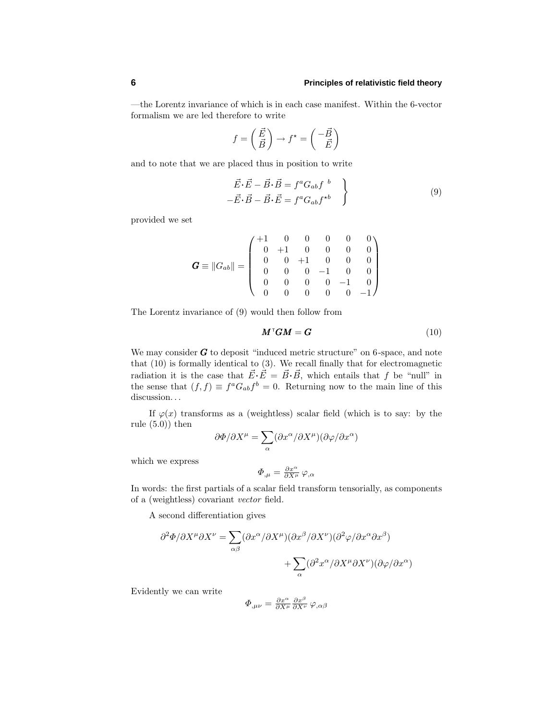—the Lorentz invariance of which is in each case manifest. Within the 6-vector formalism we are led therefore to write

$$
f = \begin{pmatrix} \vec{E} \\ \vec{B} \end{pmatrix} \rightarrow f^{\star} = \begin{pmatrix} -\vec{B} \\ \vec{E} \end{pmatrix}
$$

and to note that we are placed thus in position to write

$$
\vec{E} \cdot \vec{E} - \vec{B} \cdot \vec{B} = f^a G_{ab} f^b
$$
  

$$
-\vec{E} \cdot \vec{B} - \vec{B} \cdot \vec{E} = f^a G_{ab} f^{*b}
$$
 (9)

provided we set

$$
\mathbf{G} \equiv ||G_{ab}|| = \begin{pmatrix} +1 & 0 & 0 & 0 & 0 & 0 \\ 0 & +1 & 0 & 0 & 0 & 0 \\ 0 & 0 & +1 & 0 & 0 & 0 \\ 0 & 0 & 0 & -1 & 0 & 0 \\ 0 & 0 & 0 & 0 & -1 & 0 \\ 0 & 0 & 0 & 0 & 0 & -1 \end{pmatrix}
$$

The Lorentz invariance of (9) would then follow from

$$
\boldsymbol{M}^\top \boldsymbol{G} \boldsymbol{M} = \boldsymbol{G} \tag{10}
$$

We may consider **G** to deposit "induced metric structure" on 6-space, and note that (10) is formally identical to (3). We recall finally that for electromagnetic radiation it is the case that  $\vec{E} \cdot \vec{E} = \vec{B} \cdot \vec{B}$ , which entails that *f* be "null" in the sense that  $(f, f) \equiv f^a G_{ab} f^b = 0$ . Returning now to the main line of this discussion*...*

If  $\varphi(x)$  transforms as a (weightless) scalar field (which is to say: by the rule  $(5.0)$ ) then

$$
\partial \Phi / \partial X^{\mu} = \sum_{\alpha} (\partial x^{\alpha} / \partial X^{\mu}) (\partial \varphi / \partial x^{\alpha})
$$

which we express

$$
\Phi_{,\mu} = \frac{\partial x^{\alpha}}{\partial X^{\mu}} \varphi_{,\alpha}
$$

In words: the first partials of a scalar field transform tensorially, as components of a (weightless) covariant vector field.

A second differentiation gives

$$
\partial^2 \Phi / \partial X^\mu \partial X^\nu = \sum_{\alpha \beta} (\partial x^\alpha / \partial X^\mu) (\partial x^\beta / \partial X^\nu) (\partial^2 \varphi / \partial x^\alpha \partial x^\beta) + \sum_{\alpha} (\partial^2 x^\alpha / \partial X^\mu \partial X^\nu) (\partial \varphi / \partial x^\alpha)
$$

Evidently we can write

$$
\varPhi_{,\mu\nu} = \frac{\partial x^{\alpha}}{\partial X^{\mu}} \frac{\partial x^{\beta}}{\partial X^{\nu}} \varphi_{,\alpha\beta}
$$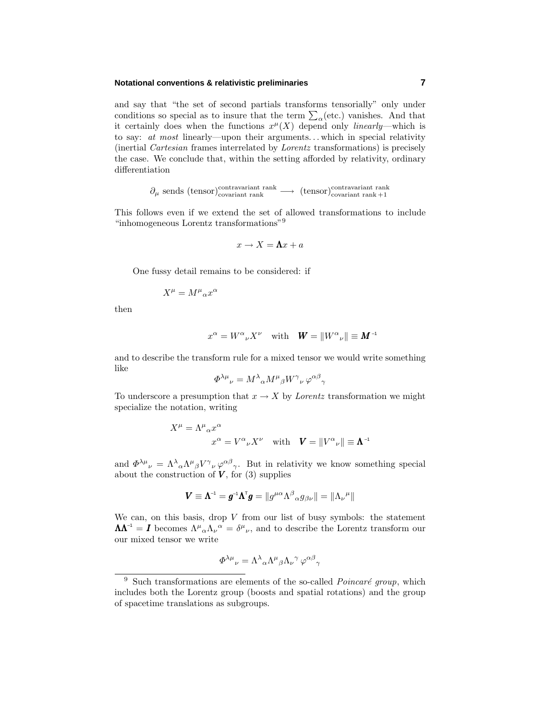#### **Notational conventions & relativistic preliminaries 7**

and say that "the set of second partials transforms tensorially" only under conditions so special as to insure that the term  $\sum_{\alpha}$  (etc.) vanishes. And that it certainly does when the functions  $x^{\mu}(X)$  depend only *linearly*—which is to say: at most linearly—upon their arguments*...* which in special relativity (inertial Cartesian frames interrelated by Lorentz transformations) is precisely the case. We conclude that, within the setting afforded by relativity, ordinary differentiation

 $\partial_\mu$  sends (tensor)<sup>contravariant rank</sub>  $\longrightarrow$  (tensor)<sup>contravariant rank</sup> +1</sup>

This follows even if we extend the set of allowed transformations to include "inhomogeneous Lorentz transformations"<sup>9</sup>

$$
x \to X = \mathbf{\Lambda}x + a
$$

One fussy detail remains to be considered: if

$$
X^\mu = M^\mu{}_\alpha x^\alpha
$$

then

$$
x^{\alpha} = W^{\alpha}{}_{\nu}X^{\nu} \quad \text{with} \quad \mathbf{W} = ||W^{\alpha}{}_{\nu}|| \equiv \mathbf{M}^{-1}
$$

and to describe the transform rule for a mixed tensor we would write something like

$$
\varPhi^{\lambda\mu}{}_{\nu} = M^{\lambda}{}_{\alpha} M^{\mu}{}_{\beta} W^{\gamma}{}_{\nu} \varphi^{\alpha\beta}{}_{\gamma}
$$

To underscore a presumption that  $x \to X$  by *Lorentz* transformation we might specialize the notation, writing

$$
X^{\mu} = \Lambda^{\mu}{}_{\alpha} x^{\alpha}
$$
  

$$
x^{\alpha} = V^{\alpha}{}_{\nu} X^{\nu} \text{ with } \mathbf{V} = ||V^{\alpha}{}_{\nu}|| \equiv \mathbf{\Lambda}^{-1}
$$

and  $\Phi^{\lambda\mu}{}_{\nu} = \Lambda^{\lambda}{}_{\alpha}\Lambda^{\mu}{}_{\beta}V^{\gamma}{}_{\nu}\varphi^{\alpha\beta}{}_{\gamma}$ . But in relativity we know something special about the construction of  $V$ , for (3) supplies

$$
\boldsymbol{V} \equiv \boldsymbol{\Lambda}^{-1} = \boldsymbol{g}^{-1} \boldsymbol{\Lambda}^{\mathrm{T}} \boldsymbol{g} = \| g^{\mu \alpha} \Lambda^{\beta}{}_{\alpha} g_{\beta \nu} \| = \| \Lambda_{\nu}{}^{\mu} \|
$$

We can, on this basis, drop  $V$  from our list of busy symbols: the statement  $\Lambda \Lambda^{-1} = I$  becomes  $\Lambda^{\mu}{}_{\alpha} \Lambda_{\nu}{}^{\alpha} = \delta^{\mu}{}_{\nu}$ , and to describe the Lorentz transform our our mixed tensor we write

$$
\Phi^{\lambda\mu}{}_{\nu} = \Lambda^{\lambda}{}_{\alpha} \Lambda^{\mu}{}_{\beta} \Lambda_{\nu}{}^{\gamma} \varphi^{\alpha\beta}{}_{\gamma}
$$

<sup>&</sup>lt;sup>9</sup> Such transformations are elements of the so-called *Poincaré group*, which includes both the Lorentz group (boosts and spatial rotations) and the group of spacetime translations as subgroups.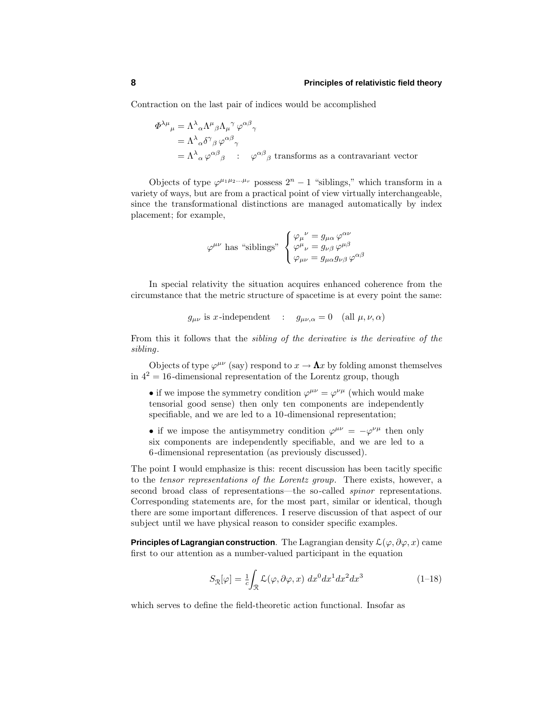Contraction on the last pair of indices would be accomplished

$$
\Phi^{\lambda\mu}{}_{\mu} = \Lambda^{\lambda}{}_{\alpha}\Lambda^{\mu}{}_{\beta}\Lambda_{\mu}{}^{\gamma}{}_{\varphi}{}^{\alpha\beta}{}_{\gamma}
$$
  
=  $\Lambda^{\lambda}{}_{\alpha}\delta^{\gamma}{}_{\beta}{}_{\varphi}{}^{\alpha\beta}{}_{\gamma}$   
=  $\Lambda^{\lambda}{}_{\alpha}{}_{\varphi}{}^{\alpha\beta}{}_{\beta} \quad : \quad \varphi^{\alpha\beta}{}_{\beta}$  transforms as a contravariant vector

Objects of type  $\varphi^{\mu_1\mu_2...\mu_r}$  possess  $2^n-1$  "siblings," which transform in a variety of ways, but are from a practical point of view virtually interchangeable, since the transformational distinctions are managed automatically by index placement; for example,

$$
\varphi^{\mu\nu} \text{ has "siblings" } \begin{cases} \varphi_{\mu}{}^{\nu} = g_{\mu\alpha} \, \varphi^{\alpha\nu} \\ \varphi^{\mu}{}_{\nu} = g_{\nu\beta} \, \varphi^{\mu\beta} \\ \varphi_{\mu\nu} = g_{\mu\alpha} g_{\nu\beta} \, \varphi^{\alpha\beta} \end{cases}
$$

In special relativity the situation acquires enhanced coherence from the circumstance that the metric structure of spacetime is at every point the same:

$$
g_{\mu\nu}
$$
 is *x*-independent :  $g_{\mu\nu,\alpha} = 0$  (all  $\mu, \nu, \alpha$ )

From this it follows that the sibling of the derivative is the derivative of the sibling.

Objects of type  $\varphi^{\mu\nu}$  (say) respond to  $x \to \Lambda x$  by folding amonst themselves in  $4^2 = 16$ -dimensional representation of the Lorentz group, though

- $\bullet$  if we impose the symmetry condition  $\varphi^{\mu\nu}=\varphi^{\nu\mu}$  (which would make tensorial good sense) then only ten components are independently specifiable, and we are led to a 10-dimensional representation;
- if we impose the antisymmetry condition  $\varphi^{\mu\nu} = -\varphi^{\nu\mu}$  then only six components are independently specifiable, and we are led to a 6-dimensional representation (as previously discussed).

The point I would emphasize is this: recent discussion has been tacitly specific to the tensor representations of the Lorentz group. There exists, however, a second broad class of representations—the so-called spinor representations. Corresponding statements are, for the most part, similar or identical, though there are some important differences. I reserve discussion of that aspect of our subject until we have physical reason to consider specific examples.

**Principles of Lagrangian construction**. The Lagrangian density  $\mathcal{L}(\varphi, \partial \varphi, x)$  came first to our attention as a number-valued participant in the equation

$$
S_{\mathcal{R}}[\varphi] = \frac{1}{c} \int_{\mathcal{R}} \mathcal{L}(\varphi, \partial \varphi, x) \, dx^0 dx^1 dx^2 dx^3 \tag{1-18}
$$

which serves to define the field-theoretic action functional. Insofar as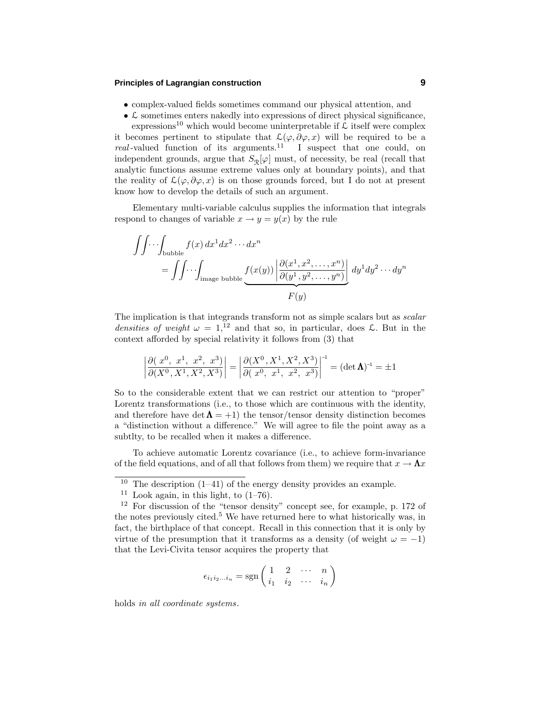#### **Principles of Lagrangian construction 9**

- complex-valued fields sometimes command our physical attention, and
- $\bullet$   $\&$  sometimes enters nakedly into expressions of direct physical significance,

expressions<sup>10</sup> which would become uninterpretable if  $\mathcal L$  itself were complex it becomes pertinent to stipulate that  $\mathcal{L}(\varphi,\partial\varphi,x)$  will be required to be a real-valued function of its arguments.<sup>11</sup> I suspect that one could, on independent grounds, argue that  $S_{\mathcal{R}}[\varphi]$  must, of necessity, be real (recall that analytic functions assume extreme values only at boundary points), and that the reality of  $\mathcal{L}(\varphi,\partial\varphi,x)$  is on those grounds forced, but I do not at present know how to develop the details of such an argument.

Elementary multi-variable calculus supplies the information that integrals respond to changes of variable  $x \to y = y(x)$  by the rule

$$
\iint \cdots \int_{\text{bubble}} f(x) dx^1 dx^2 \cdots dx^n
$$
  
= 
$$
\iint \cdots \int_{\text{image bubble}} \underbrace{f(x(y)) \left| \frac{\partial(x^1, x^2, \dots, x^n)}{\partial(y^1, y^2, \dots, y^n)} \right|}_{F(y)} dy^1 dy^2 \cdots dy^n
$$

The implication is that integrands transform not as simple scalars but as *scalar* densities of weight  $\omega = 1$ ,<sup>12</sup> and that so, in particular, does L. But in the context afforded by special relativity it follows from (3) that

$$
\left| \frac{\partial (x^0, x^1, x^2, x^3)}{\partial (X^0, X^1, X^2, X^3)} \right| = \left| \frac{\partial (X^0, X^1, X^2, X^3)}{\partial (x^0, x^1, x^2, x^3)} \right|^{-1} = (\det \mathbf{\Lambda})^{-1} = \pm 1
$$

So to the considerable extent that we can restrict our attention to "proper" Lorentz transformations (i.e., to those which are continuous with the identity, and therefore have det  $\Lambda = +1$ ) the tensor/tensor density distinction becomes a "distinction without a difference." We will agree to file the point away as a subtlty, to be recalled when it makes a difference.

To achieve automatic Lorentz covariance (i.e., to achieve form-invariance of the field equations, and of all that follows from them) we require that  $x \to \Lambda x$ 

$$
\epsilon_{i_1 i_2 \dots i_n} = \text{sgn} \begin{pmatrix} 1 & 2 & \cdots & n \\ i_1 & i_2 & \cdots & i_n \end{pmatrix}
$$

holds in all coordinate systems.

<sup>&</sup>lt;sup>10</sup> The description  $(1-41)$  of the energy density provides an example.

<sup>&</sup>lt;sup>11</sup> Look again, in this light, to  $(1-76)$ .

<sup>12</sup> For discussion of the "tensor density" concept see, for example, p. 172 of the notes previously cited.<sup>5</sup> We have returned here to what historically was, in fact, the birthplace of that concept. Recall in this connection that it is only by virtue of the presumption that it transforms as a density (of weight  $\omega = -1$ ) that the Levi-Civita tensor acquires the property that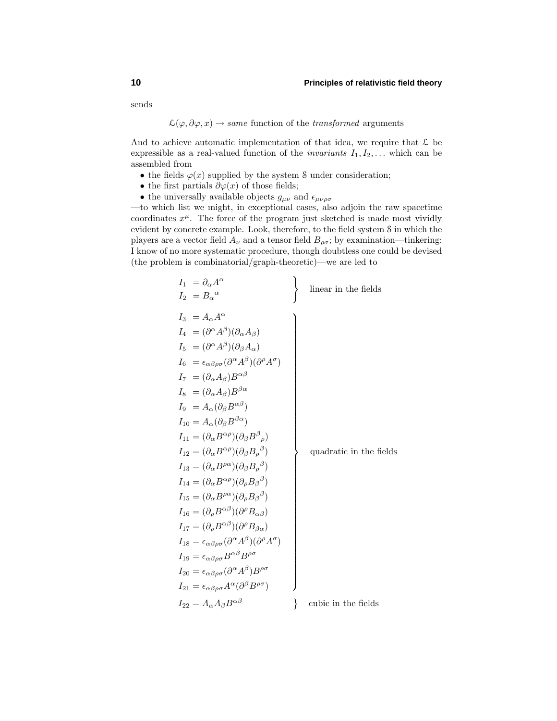sends

 $\mathcal{L}(\varphi,\partial\varphi,x) \to \text{same function of the transformed arguments}$ 

And to achieve automatic implementation of that idea, we require that  $\mathcal L$  be expressible as a real-valued function of the *invariants*  $I_1, I_2, \ldots$  which can be assembled from

- the fields  $\varphi(x)$  supplied by the system S under consideration;
- the first partials  $\partial \varphi(x)$  of those fields;
- $\bullet$  the universally available objects  $g_{\mu\nu}$  and  $\epsilon_{\mu\nu\rho\sigma}$

—to which list we might, in exceptional cases, also adjoin the raw spacetime coordinates  $x^{\mu}$ . The force of the program just sketched is made most vividly evident by concrete example. Look, therefore, to the field system S in which the players are a vector field  $A_{\nu}$  and a tensor field  $B_{\rho\sigma}$ ; by examination—tinkering: I know of no more systematic procedure, though doubtless one could be devised (the problem is combinatorial/graph-theoretic)—we are led to

| $I_1 = \partial_\alpha A^\alpha$                                                                       | linear in the fields    |
|--------------------------------------------------------------------------------------------------------|-------------------------|
| $I_2 = B_{\alpha}{}^{\alpha}$                                                                          |                         |
| $I_3 = A_{\alpha} A^{\alpha}$                                                                          |                         |
| $I_4 = (\partial^{\alpha} A^{\beta})(\partial_{\alpha} A_{\beta})$                                     |                         |
| $I_5 = (\partial^{\alpha} A^{\beta})(\partial_{\beta} A_{\alpha})$                                     |                         |
| $I_6 = \epsilon_{\alpha\beta\rho\sigma} (\partial^{\alpha} A^{\beta}) (\partial^{\rho} A^{\sigma})$    |                         |
| $I_7 = (\partial_\alpha A_\beta) B^{\alpha\beta}$                                                      |                         |
| $I_8 = (\partial_\alpha A_\beta) B^{\beta\alpha}$                                                      |                         |
| $I_9 = A_\alpha (\partial_\beta B^{\alpha\beta})$                                                      |                         |
| $I_{10} = A_{\alpha} (\partial_{\beta} B^{\beta \alpha})$                                              |                         |
| $I_{11} = (\partial_{\alpha} B^{\alpha\rho})(\partial_{\beta} B^{\beta}_{\rho})$                       |                         |
| $I_{12} = (\partial_{\alpha} B^{\alpha\rho})(\partial_{\beta} B_{\rho}{}^{\beta})$                     | quadratic in the fields |
| $I_{13} = (\partial_\alpha B^{\rho\alpha})(\partial_\beta B_\rho^{\ \beta})$                           |                         |
| $I_{14} = (\partial_{\alpha} B^{\alpha \rho})(\partial_{\rho} B_{\beta}{}^{\beta})$                    |                         |
| $I_{15} = (\partial_\alpha B^{\rho\alpha})(\partial_\rho B_\beta{}^\beta)$                             |                         |
| $I_{16} = (\partial_{\rho} B^{\alpha\beta})(\partial^{\rho} B_{\alpha\beta})$                          |                         |
| $I_{17} = (\partial_{\rho} B^{\alpha\beta})(\partial^{\rho} B_{\beta\alpha})$                          |                         |
| $I_{18} = \epsilon_{\alpha\beta\rho\sigma} (\partial^{\alpha} A^{\beta}) (\partial^{\rho} A^{\sigma})$ |                         |
| $I_{19} = \epsilon_{\alpha\beta\rho\sigma} B^{\alpha\beta} B^{\rho\sigma}$                             |                         |
| $I_{20} = \epsilon_{\alpha\beta\rho\sigma} (\partial^{\alpha} A^{\beta}) B^{\rho\sigma}$               |                         |
| $I_{21}=\epsilon_{\alpha\beta\rho\sigma}A^{\alpha}(\partial^{\beta}B^{\rho\sigma})$                    |                         |
| $I_{22} = A_{\alpha} A_{\beta} B^{\alpha\beta}$                                                        | cubic in the fields     |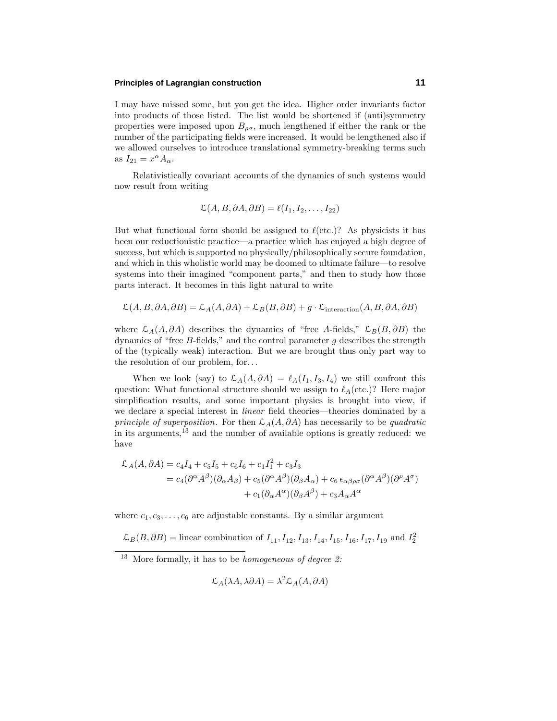#### **Principles of Lagrangian construction 11**

I may have missed some, but you get the idea. Higher order invariants factor into products of those listed. The list would be shortened if (anti)symmetry properties were imposed upon  $B_{\rho\sigma}$ , much lengthened if either the rank or the number of the participating fields were increased. It would be lengthened also if we allowed ourselves to introduce translational symmetry-breaking terms such as  $I_{21} = x^{\alpha} A_{\alpha}$ .

Relativistically covariant accounts of the dynamics of such systems would now result from writing

$$
\mathcal{L}(A, B, \partial A, \partial B) = \ell(I_1, I_2, \dots, I_{22})
$$

But what functional form should be assigned to  $\ell$ (etc.)? As physicists it has been our reductionistic practice—a practice which has enjoyed a high degree of success, but which is supported no physically/philosophically secure foundation, and which in this wholistic world may be doomed to ultimate failure—to resolve systems into their imagined "component parts," and then to study how those parts interact. It becomes in this light natural to write

$$
\mathcal{L}(A, B, \partial A, \partial B) = \mathcal{L}_A(A, \partial A) + \mathcal{L}_B(B, \partial B) + g \cdot \mathcal{L}_{\text{interaction}}(A, B, \partial A, \partial B)
$$

where  $\mathcal{L}_A(A, \partial A)$  describes the dynamics of "free A-fields,"  $\mathcal{L}_B(B, \partial B)$  the dynamics of "free *B*-fields," and the control parameter *g* describes the strength of the (typically weak) interaction. But we are brought thus only part way to the resolution of our problem, for*...*

When we look (say) to  $\mathcal{L}_A(A, \partial A) = \ell_A(I_1, I_3, I_4)$  we still confront this question: What functional structure should we assign to  $\ell_A(\text{etc.})$ ? Here major simplification results, and some important physics is brought into view, if we declare a special interest in linear field theories—theories dominated by a *principle of superposition.* For then  $\mathcal{L}_A(A, \partial A)$  has necessarily to be quadratic in its arguments,  $^{13}$  and the number of available options is greatly reduced: we have

$$
\mathcal{L}_A(A, \partial A) = c_4 I_4 + c_5 I_5 + c_6 I_6 + c_1 I_1^2 + c_3 I_3
$$
  
=  $c_4(\partial^\alpha A^\beta)(\partial_\alpha A_\beta) + c_5(\partial^\alpha A^\beta)(\partial_\beta A_\alpha) + c_6 \epsilon_{\alpha\beta\rho\sigma}(\partial^\alpha A^\beta)(\partial^\rho A^\sigma)$   
+  $c_1(\partial_\alpha A^\alpha)(\partial_\beta A^\beta) + c_3 A_\alpha A^\alpha$ 

where  $c_1, c_3, \ldots, c_6$  are adjustable constants. By a similar argument

 $\mathcal{L}_B(B, \partial B) = \text{linear combination of } I_{11}, I_{12}, I_{13}, I_{14}, I_{15}, I_{16}, I_{17}, I_{19} \text{ and } I_2^2$ 

$$
\mathcal{L}_A(\lambda A, \lambda \partial A) = \lambda^2 \mathcal{L}_A(A, \partial A)
$$

 $13$  More formally, it has to be *homogeneous of degree 2:*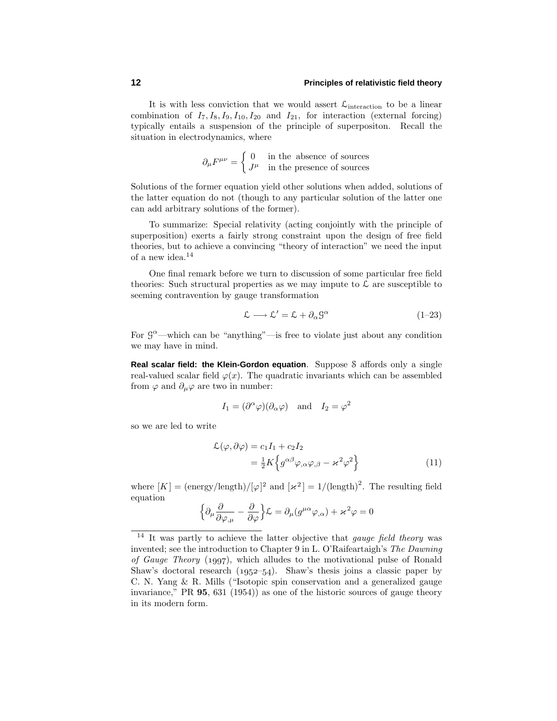It is with less conviction that we would assert  $\mathcal{L}_{\text{interaction}}$  to be a linear combination of  $I_7, I_8, I_9, I_{10}, I_{20}$  and  $I_{21}$ , for interaction (external forcing) typically entails a suspension of the principle of superpositon. Recall the situation in electrodynamics, where

$$
\partial_{\mu}F^{\mu\nu} = \begin{cases} 0 & \text{in the absence of sources} \\ J^{\mu} & \text{in the presence of sources} \end{cases}
$$

Solutions of the former equation yield other solutions when added, solutions of the latter equation do not (though to any particular solution of the latter one can add arbitrary solutions of the former).

To summarize: Special relativity (acting conjointly with the principle of superposition) exerts a fairly strong constraint upon the design of free field theories, but to achieve a convincing "theory of interaction" we need the input of a new idea.<sup>14</sup>

One final remark before we turn to discussion of some particular free field theories: Such structural properties as we may impute to  $\mathcal L$  are susceptible to seeming contravention by gauge transformation

$$
\mathcal{L} \longrightarrow \mathcal{L}' = \mathcal{L} + \partial_{\alpha} \mathcal{G}^{\alpha} \tag{1-23}
$$

For  $\mathcal{G}^{\alpha}$ —which can be "anything"—is free to violate just about any condition we may have in mind.

**Real scalar field: the Klein-Gordon equation**. Suppose S affords only a single real-valued scalar field  $\varphi(x)$ . The quadratic invariants which can be assembled from  $\varphi$  and  $\partial_\mu \varphi$  are two in number:

$$
I_1 = (\partial^{\alpha} \varphi)(\partial_{\alpha} \varphi)
$$
 and  $I_2 = \varphi^2$ 

so we are led to write

$$
\mathcal{L}(\varphi, \partial \varphi) = c_1 I_1 + c_2 I_2
$$
  
=  $\frac{1}{2} K \left\{ g^{\alpha \beta} \varphi_{,\alpha} \varphi_{,\beta} - \varkappa^2 \varphi^2 \right\}$  (11)

where  $[K] = \frac{\text{energy}}{\text{length}} / [\varphi]^2$  and  $[\varkappa^2] = 1 / (\text{length})^2$ . The resulting field equation

$$
\left\{\partial_{\mu}\frac{\partial}{\partial\varphi_{,\mu}} - \frac{\partial}{\partial\varphi}\right\}\mathcal{L} = \partial_{\mu}(g^{\mu\alpha}\varphi_{,\alpha}) + \varkappa^2\varphi = 0
$$

<sup>&</sup>lt;sup>14</sup> It was partly to achieve the latter objective that *gauge field theory* was invented; see the introduction to Chapter 9 in L. O'Raifeartaigh's The Dawning of Gauge Theory  $(1997)$ , which alludes to the motivational pulse of Ronald Shaw's doctoral research  $(1952-54)$ . Shaw's thesis joins a classic paper by C. N. Yang & R. Mills ("Isotopic spin conservation and a generalized gauge invariance," PR **95**, 631 (1954)) as one of the historic sources of gauge theory in its modern form.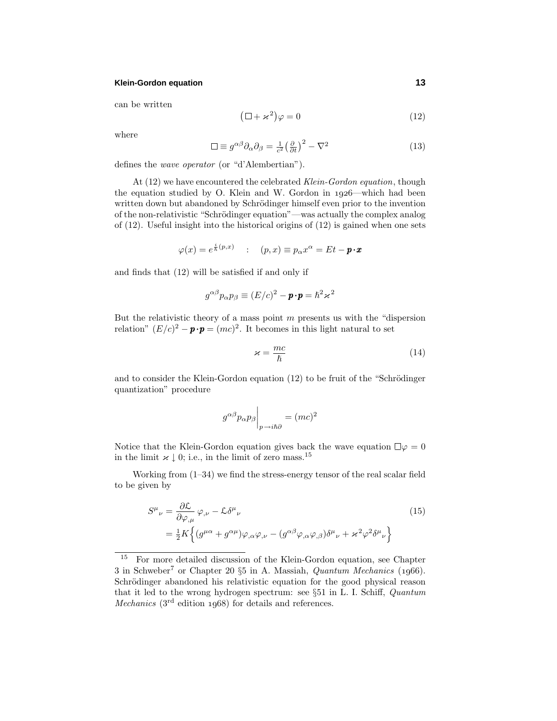#### **Klein-Gordon equation 13**

can be written

$$
(\Box + \varkappa^2)\varphi = 0 \tag{12}
$$

where

$$
\Box \equiv g^{\alpha\beta}\partial_{\alpha}\partial_{\beta} = \frac{1}{c^2} \left(\frac{\partial}{\partial t}\right)^2 - \nabla^2
$$
\n(13)

defines the wave operator (or "d'Alembertian").

At (12) we have encountered the celebrated Klein-Gordon equation, though the equation studied by O. Klein and W. Gordon in  $1926$ —which had been written down but abandoned by Schrödinger himself even prior to the invention of the non-relativistic "Schrödinger equation"—was actually the complex analog of (12). Useful insight into the historical origins of (12) is gained when one sets

$$
\varphi(x) = e^{\frac{i}{\hbar}(p,x)} \quad : \quad (p,x) \equiv p_\alpha x^\alpha = Et - \mathbf{p} \cdot \mathbf{x}
$$

and finds that (12) will be satisfied if and only if

$$
g^{\alpha\beta}p_{\alpha}p_{\beta}\equiv(E/c)^2-\mathbf{p}\cdot\mathbf{p}=\hbar^2\varkappa^2
$$

But the relativistic theory of a mass point *m* presents us with the "dispersion relation"  $(E/c)^2 - p \cdot p = (mc)^2$ . It becomes in this light natural to set

$$
\varkappa = \frac{mc}{\hbar} \tag{14}
$$

and to consider the Klein-Gordon equation  $(12)$  to be fruit of the "Schrödinger" quantization" procedure

$$
g^{\alpha\beta}p_{\alpha}p_{\beta}\Big|_{p\to i\hbar\partial} = (mc)^2
$$

Notice that the Klein-Gordon equation gives back the wave equation  $\Box \varphi = 0$ in the limit  $\varkappa \perp 0$ ; i.e., in the limit of zero mass.<sup>15</sup>

Working from (1–34) we find the stress-energy tensor of the real scalar field to be given by

$$
S^{\mu}{}_{\nu} = \frac{\partial \mathcal{L}}{\partial \varphi_{,\mu}} \varphi_{,\nu} - \mathcal{L} \delta^{\mu}{}_{\nu}
$$
  
=  $\frac{1}{2} K \left\{ (g^{\mu \alpha} + g^{\alpha \mu}) \varphi_{,\alpha} \varphi_{,\nu} - (g^{\alpha \beta} \varphi_{,\alpha} \varphi_{,\beta}) \delta^{\mu}{}_{\nu} + \varkappa^2 \varphi^2 \delta^{\mu}{}_{\nu} \right\}$  (15)

<sup>15</sup> For more detailed discussion of the Klein-Gordon equation, see Chapter 3 in Schweber<sup>7</sup> or Chapter 20  $\S5$  in A. Massiah, *Quantum Mechanics* (1966). Schrödinger abandoned his relativistic equation for the good physical reason that it led to the wrong hydrogen spectrum: see  $\S51$  in L. I. Schiff, *Quantum Mechanics* ( $3<sup>rd</sup>$  edition 1968) for details and references.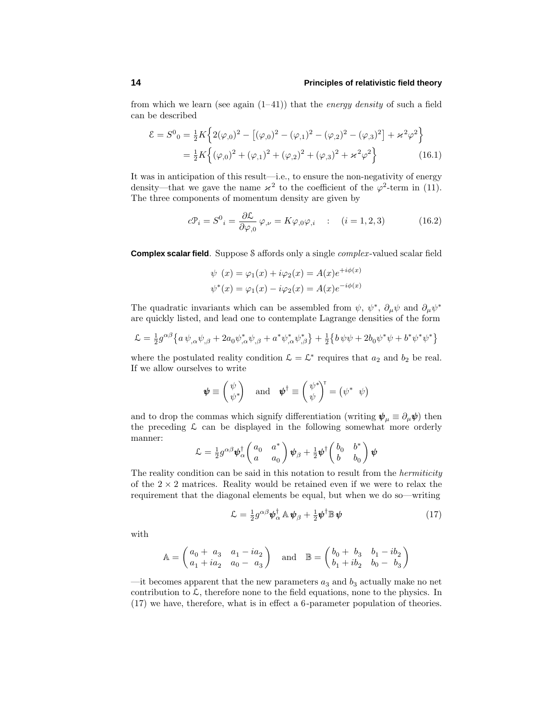from which we learn (see again  $(1-41)$ ) that the *energy density* of such a field can be described

$$
\mathcal{E} = S^0{}_0 = \frac{1}{2} K \left\{ 2(\varphi_{,0})^2 - \left[ (\varphi_{,0})^2 - (\varphi_{,1})^2 - (\varphi_{,2})^2 - (\varphi_{,3})^2 \right] + \varkappa^2 \varphi^2 \right\}
$$
  
= 
$$
\frac{1}{2} K \left\{ (\varphi_{,0})^2 + (\varphi_{,1})^2 + (\varphi_{,2})^2 + (\varphi_{,3})^2 + \varkappa^2 \varphi^2 \right\}
$$
(16.1)

It was in anticipation of this result—i.e., to ensure the non-negativity of energy density—that we gave the name  $\varkappa^2$  to the coefficient of the  $\varphi^2$ -term in (11). The three components of momentum density are given by

$$
c\mathcal{P}_i = S^0{}_i = \frac{\partial \mathcal{L}}{\partial \varphi_{,0}} \varphi_{,\nu} = K\varphi_{,0}\varphi_{,i} \quad : \quad (i = 1, 2, 3) \tag{16.2}
$$

**Complex scalar field**. Suppose S affords only a single *complex*-valued scalar field

$$
\psi(x) = \varphi_1(x) + i\varphi_2(x) = A(x)e^{+i\phi(x)}
$$
  

$$
\psi^*(x) = \varphi_1(x) - i\varphi_2(x) = A(x)e^{-i\phi(x)}
$$

The quadratic invariants which can be assembled from  $\psi$ ,  $\psi^*$ ,  $\partial_\mu \psi$  and  $\partial_\mu \psi^*$ are quickly listed, and lead one to contemplate Lagrange densities of the form

$$
\mathcal{L} = \frac{1}{2} g^{\alpha\beta} \left\{ a \psi_{,\alpha} \psi_{,\beta} + 2 a_0 \psi_{,\alpha}^* \psi_{,\beta} + a^* \psi_{,\alpha}^* \psi_{,\beta}^* \right\} + \frac{1}{2} \left\{ b \psi \psi + 2 b_0 \psi^* \psi + b^* \psi^* \psi^* \right\}
$$

where the postulated reality condition  $\mathcal{L} = \mathcal{L}^*$  requires that  $a_2$  and  $b_2$  be real. If we allow ourselves to write

$$
\boldsymbol{\psi} \equiv \begin{pmatrix} \psi \\ \psi^* \end{pmatrix} \quad \text{and} \quad \boldsymbol{\psi}^{\dagger} \equiv \begin{pmatrix} \psi^* \\ \psi \end{pmatrix}^{\mathsf{T}} = \begin{pmatrix} \psi^* & \psi \end{pmatrix}
$$

and to drop the commas which signify differentiation (writing  $\psi_{\mu} \equiv \partial_{\mu} \psi$ ) then the preceding  $\mathcal L$  can be displayed in the following somewhat more orderly manner:

$$
\mathcal{L} = \frac{1}{2} g^{\alpha \beta} \boldsymbol{\psi}_{\alpha}^{\dagger} \begin{pmatrix} a_0 & a^* \\ a & a_0 \end{pmatrix} \boldsymbol{\psi}_{\beta} + \frac{1}{2} \boldsymbol{\psi}^{\dagger} \begin{pmatrix} b_0 & b^* \\ b & b_0 \end{pmatrix} \boldsymbol{\psi}
$$

The reality condition can be said in this notation to result from the *hermiticity* of the  $2 \times 2$  matrices. Reality would be retained even if we were to relax the requirement that the diagonal elements be equal, but when we do so—writing

$$
\mathcal{L} = \frac{1}{2} g^{\alpha \beta} \boldsymbol{\psi}_{\alpha}^{\dagger} \mathbb{A} \boldsymbol{\psi}_{\beta} + \frac{1}{2} \boldsymbol{\psi}^{\dagger} \mathbb{B} \boldsymbol{\psi}
$$
(17)

with

$$
\mathbb{A}=\begin{pmatrix} a_0+a_3&a_1-ia_2\\ a_1+ia_2&a_0-a_3\end{pmatrix}\quad\text{and}\quad \mathbb{B}=\begin{pmatrix} b_0+b_3&b_1-ib_2\\ b_1+ib_2&b_0-b_3\end{pmatrix}
$$

—it becomes apparent that the new parameters  $a_3$  and  $b_3$  actually make no net contribution to  $\mathcal{L}$ , therefore none to the field equations, none to the physics. In (17) we have, therefore, what is in effect a 6-parameter population of theories.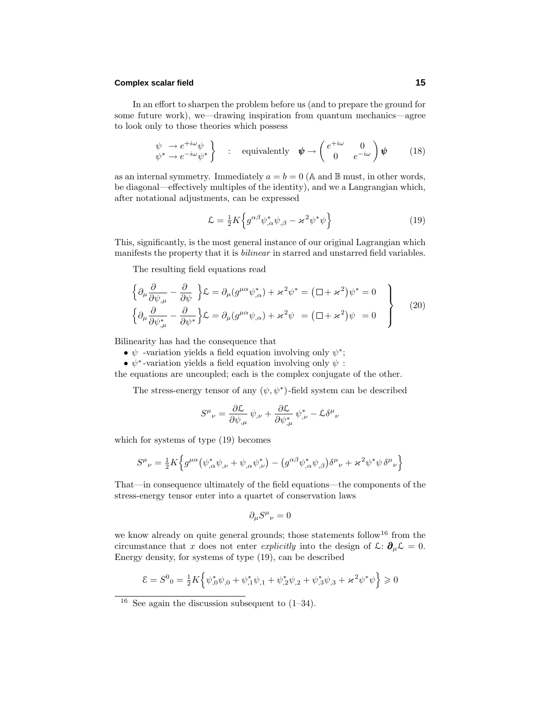#### **Complex scalar field 15**

In an effort to sharpen the problem before us (and to prepare the ground for some future work), we—drawing inspiration from quantum mechanics—agree to look only to those theories which possess

$$
\begin{array}{c}\n\psi \to e^{+i\omega}\psi \\
\psi^* \to e^{-i\omega}\psi^*\n\end{array}\n\bigg\} \quad : \quad \text{equivalently} \quad \psi \to \begin{pmatrix} e^{+i\omega} & 0 \\
0 & e^{-i\omega}\n\end{pmatrix}\n\psi \tag{18}
$$

as an internal symmetry. Immediately  $a = b = 0$  (A and B must, in other words, be diagonal—effectively multiples of the identity), and we a Langrangian which, after notational adjustments, can be expressed

$$
\mathcal{L} = \frac{1}{2} K \left\{ g^{\alpha \beta} \psi_{,\alpha}^* \psi_{,\beta} - \varkappa^2 \psi^* \psi \right\} \tag{19}
$$

This, significantly, is the most general instance of our original Lagrangian which manifests the property that it is *bilinear* in starred and unstarred field variables.

The resulting field equations read

$$
\left\{\partial_{\mu}\frac{\partial}{\partial\psi_{,\mu}} - \frac{\partial}{\partial\psi}\right\}\mathcal{L} = \partial_{\mu}(g^{\mu\alpha}\psi_{,\alpha}^{*}) + \varkappa^{2}\psi^{*} = (\Box + \varkappa^{2})\psi^{*} = 0
$$
\n
$$
\left\{\partial_{\mu}\frac{\partial}{\partial\psi_{,\mu}^{*}} - \frac{\partial}{\partial\psi^{*}}\right\}\mathcal{L} = \partial_{\mu}(g^{\mu\alpha}\psi_{,\alpha}) + \varkappa^{2}\psi = (\Box + \varkappa^{2})\psi = 0
$$
\n(20)

Bilinearity has had the consequence that

- $\psi$  -variation yields a field equation involving only  $\psi^*$ ;
- *ψ*<sup>∗</sup> -variation yields a field equation involving only *ψ* :

the equations are uncoupled; each is the complex conjugate of the other.

The stress-energy tensor of any  $(\psi, \psi^*)$ -field system can be described

$$
S^{\mu}{}_{\nu} = \frac{\partial \mathcal{L}}{\partial \psi_{,\mu}} \psi_{,\nu} + \frac{\partial \mathcal{L}}{\partial \psi_{,\mu}^*} \psi_{,\nu}^* - \mathcal{L} \delta^{\mu}{}_{\nu}
$$

which for systems of type (19) becomes

$$
S^{\mu}_{\ \nu} = \frac{1}{2} K \Big\{ g^{\mu\alpha} \big( \psi^*_{,\alpha} \psi_{,\nu} + \psi_{,\alpha} \psi^*_{,\nu} \big) - \big( g^{\alpha\beta} \psi^*_{,\alpha} \psi_{,\beta} \big) \delta^{\mu}_{\ \nu} + \varkappa^2 \psi^* \psi \delta^{\mu}_{\ \nu} \Big\}
$$

That—in consequence ultimately of the field equations—the components of the stress-energy tensor enter into a quartet of conservation laws

$$
\partial_{\mu}S^{\mu}{}_{\nu}=0
$$

we know already on quite general grounds; those statements follow<sup>16</sup> from the circumstance that *x* does not enter explicitly into the design of  $\mathcal{L}$ :  $\partial_{\mu} \mathcal{L} = 0$ . Energy density, for systems of type (19), can be described

$$
\mathcal{E} = S^0{}_0 = \frac{1}{2} K \left\{ \psi_{,0}^* \psi_{,0} + \psi_{,1}^* \psi_{,1} + \psi_{,2}^* \psi_{,2} + \psi_{,3}^* \psi_{,3} + \varkappa^2 \psi^* \psi \right\} \geq 0
$$

<sup>&</sup>lt;sup>16</sup> See again the discussion subsequent to  $(1-34)$ .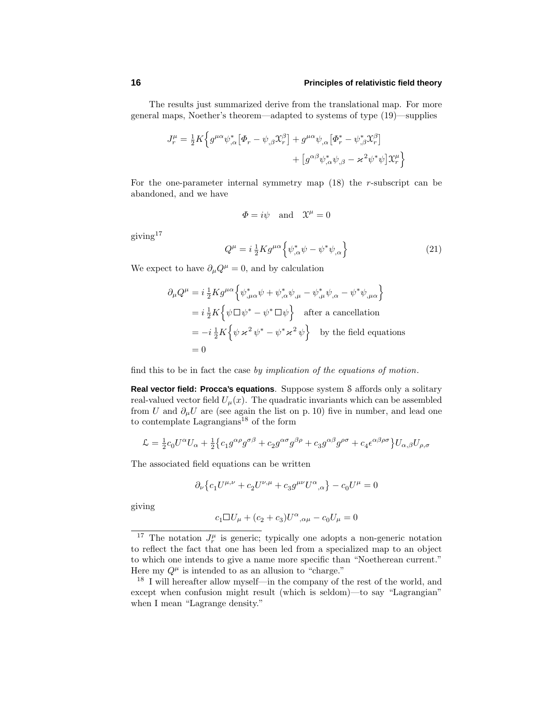The results just summarized derive from the translational map. For more general maps, Noether's theorem—adapted to systems of type (19)—supplies

$$
J_r^{\mu} = \frac{1}{2} K \Big\{ g^{\mu \alpha} \psi_{,\alpha}^* \big[ \Phi_r - \psi_{,\beta} \mathfrak{X}_r^{\beta} \big] + g^{\mu \alpha} \psi_{,\alpha} \big[ \Phi_r^* - \psi_{,\beta}^* \mathfrak{X}_r^{\beta} \big] + \big[ g^{\alpha \beta} \psi_{,\alpha}^* \psi_{,\beta} - \varkappa^2 \psi^* \psi \big] \mathfrak{X}_r^{\mu} \Big\}
$$

For the one-parameter internal symmetry map (18) the *r*-subscript can be abandoned, and we have

$$
\Phi = i\psi \quad \text{and} \quad \mathfrak{X}^{\mu} = 0
$$

 $giving<sup>17</sup>$ 

$$
Q^{\mu} = i \frac{1}{2} K g^{\mu \alpha} \left\{ \psi_{,\alpha}^* \psi - \psi^* \psi_{,\alpha} \right\} \tag{21}
$$

We expect to have  $\partial_{\mu}Q^{\mu} = 0$ , and by calculation

$$
\partial_{\mu}Q^{\mu} = i \frac{1}{2} K g^{\mu\alpha} \Big\{ \psi_{,\mu\alpha}^{*} \psi + \psi_{,\alpha}^{*} \psi_{,\mu} - \psi_{,\mu}^{*} \psi_{,\alpha} - \psi^{*} \psi_{,\mu\alpha} \Big\}
$$
  
=  $i \frac{1}{2} K \Big\{ \psi \Box \psi^{*} - \psi^{*} \Box \psi \Big\}$  after a cancellation  
=  $-i \frac{1}{2} K \Big\{ \psi \varkappa^{2} \psi^{*} - \psi^{*} \varkappa^{2} \psi \Big\}$  by the field equations  
= 0

find this to be in fact the case by implication of the equations of motion.

**Real vector field: Procca's equations**. Suppose system S affords only a solitary real-valued vector field  $U_{\mu}(x)$ . The quadratic invariants which can be assembled from *U* and  $\partial_{\mu}U$  are (see again the list on p. 10) five in number, and lead one to contemplate Lagrangians<sup>18</sup> of the form

$$
\mathcal{L} = \frac{1}{2}c_0 U^{\alpha} U_{\alpha} + \frac{1}{2} \left\{ c_1 g^{\alpha \rho} g^{\sigma \beta} + c_2 g^{\alpha \sigma} g^{\beta \rho} + c_3 g^{\alpha \beta} g^{\rho \sigma} + c_4 \epsilon^{\alpha \beta \rho \sigma} \right\} U_{\alpha, \beta} U_{\rho, \sigma}
$$

The associated field equations can be written

$$
\partial_{\nu} \left\{ c_1 U^{\mu,\nu} + c_2 U^{\nu,\mu} + c_3 g^{\mu\nu} U^{\alpha}{}_{,\alpha} \right\} - c_0 U^{\mu} = 0
$$

giving

$$
c_1 \Box U_\mu + (c_2+c_3) U^\alpha{}_{,\alpha\mu} - c_0 U_\mu = 0
$$

<sup>&</sup>lt;sup>17</sup> The notation  $J_r^{\mu}$  is generic; typically one adopts a non-generic notation to reflect the fact that one has been led from a specialized map to an object to which one intends to give a name more specific than "Noetherean current." Here my  $Q^{\mu}$  is intended to as an allusion to "charge."

<sup>18</sup> I will hereafter allow myself—in the company of the rest of the world, and except when confusion might result (which is seldom)—to say "Lagrangian" when I mean "Lagrange density."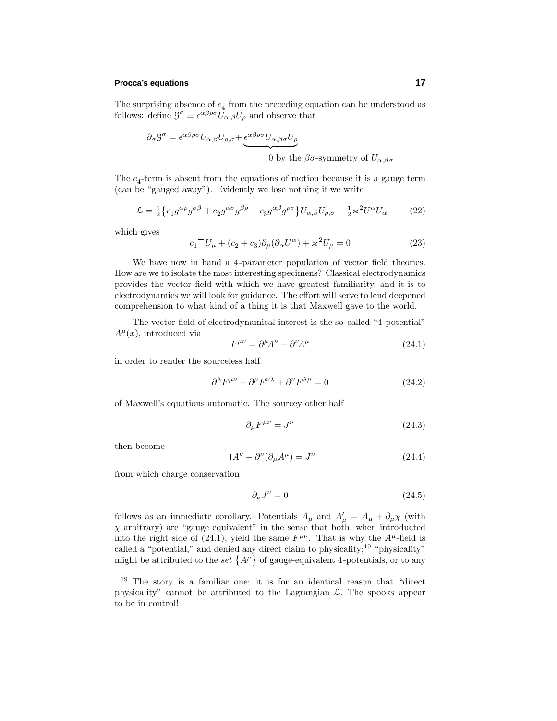### **Procca's equations 17**

The surprising absence of  $c_4$  from the preceding equation can be understood as follows: define  $\mathcal{G}^{\sigma} \equiv \epsilon^{\alpha\beta\rho\sigma} U_{\alpha,\beta} U_{\rho}$  and observe that

$$
\partial_{\sigma} \mathcal{G}^{\sigma} = \epsilon^{\alpha \beta \rho \sigma} U_{\alpha,\beta} U_{\rho,\sigma} + \underbrace{\epsilon^{\alpha \beta \rho \sigma} U_{\alpha,\beta \sigma} U_{\rho}}_{0 \text{ by the } \beta \sigma\text{-symmetry of } U_{\alpha,\beta \sigma}}
$$

The *c*4-term is absent from the equations of motion because it is a gauge term (can be "gauged away"). Evidently we lose nothing if we write

$$
\mathcal{L} = \frac{1}{2} \left\{ c_1 g^{\alpha \rho} g^{\sigma \beta} + c_2 g^{\alpha \sigma} g^{\beta \rho} + c_3 g^{\alpha \beta} g^{\rho \sigma} \right\} U_{\alpha, \beta} U_{\rho, \sigma} - \frac{1}{2} \varkappa^2 U^{\alpha} U_{\alpha} \tag{22}
$$

which gives

$$
c_1 \Box U_{\mu} + (c_2 + c_3) \partial_{\mu} (\partial_{\alpha} U^{\alpha}) + \varkappa^2 U_{\mu} = 0 \tag{23}
$$

We have now in hand a 4-parameter population of vector field theories. How are we to isolate the most interesting specimens? Classical electrodynamics provides the vector field with which we have greatest familiarity, and it is to electrodynamics we will look for guidance. The effort will serve to lend deepened comprehension to what kind of a thing it is that Maxwell gave to the world.

The vector field of electrodynamical interest is the so-called "4-potential"  $A^{\mu}(x)$ , introduced via

$$
F^{\mu\nu} = \partial^{\mu}A^{\nu} - \partial^{\nu}A^{\mu} \tag{24.1}
$$

in order to render the sourceless half

$$
\partial^{\lambda} F^{\mu\nu} + \partial^{\mu} F^{\nu\lambda} + \partial^{\nu} F^{\lambda\mu} = 0 \tag{24.2}
$$

of Maxwell's equations automatic. The sourcey other half

$$
\partial_{\mu}F^{\mu\nu} = J^{\nu} \tag{24.3}
$$

then become

$$
\Box A^{\nu} - \partial^{\nu}(\partial_{\mu}A^{\mu}) = J^{\nu}
$$
 (24.4)

from which charge conservation

$$
\partial_{\nu}J^{\nu} = 0 \tag{24.5}
$$

follows as an immediate corollary. Potentials  $A_\mu$  and  $A'_\mu = A_\mu + \partial_\mu \chi$  (with *χ* arbitrary) are "gauge equivalent" in the sense that both, when introducted into the right side of (24.1), yield the same  $F^{\mu\nu}$ . That is why the  $A^{\mu}$ -field is called a "potential," and denied any direct claim to physicality;<sup>19</sup> "physicality" might be attributed to the set  $\{A^{\mu}\}\$  of gauge-equivalent 4-potentials, or to any

<sup>&</sup>lt;sup>19</sup> The story is a familiar one; it is for an identical reason that "direct" physicality" cannot be attributed to the Lagrangian  $\mathcal{L}$ . The spooks appear to be in control!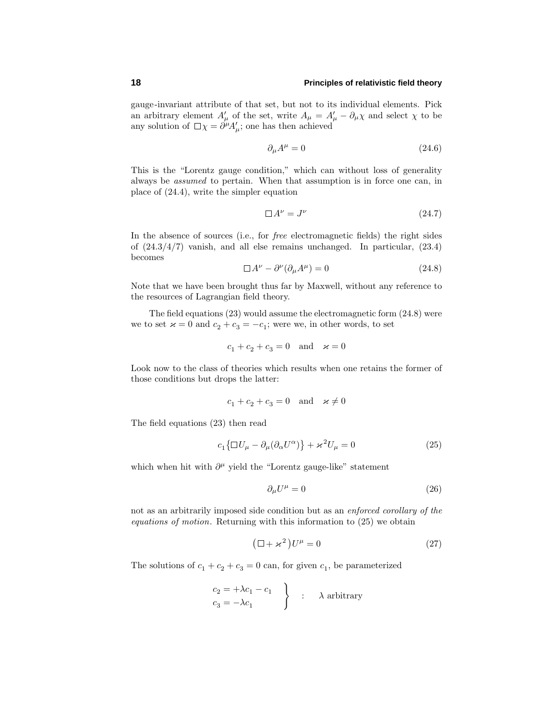gauge-invariant attribute of that set, but not to its individual elements. Pick an arbitrary element  $A'_\mu$  of the set, write  $A_\mu = A'_\mu - \partial_\mu \chi$  and select  $\chi$  to be any solution of  $\Box \chi = \partial^{\mu} A^{\prime}_{\mu}$ ; one has then achieved

$$
\partial_{\mu}A^{\mu} = 0 \tag{24.6}
$$

This is the "Lorentz gauge condition," which can without loss of generality always be assumed to pertain. When that assumption is in force one can, in place of (24.4), write the simpler equation

$$
\Box A^{\nu} = J^{\nu} \tag{24.7}
$$

In the absence of sources (i.e., for free electromagnetic fields) the right sides of (24.3/4/7) vanish, and all else remains unchanged. In particular, (23.4) becomes

$$
\Box A^{\nu} - \partial^{\nu} (\partial_{\mu} A^{\mu}) = 0 \qquad (24.8)
$$

Note that we have been brought thus far by Maxwell, without any reference to the resources of Lagrangian field theory.

The field equations (23) would assume the electromagnetic form (24.8) were we to set  $\varkappa = 0$  and  $c_2 + c_3 = -c_1$ ; were we, in other words, to set

$$
c_1 + c_2 + c_3 = 0 \quad \text{and} \quad \varkappa = 0
$$

Look now to the class of theories which results when one retains the former of those conditions but drops the latter:

$$
c_1 + c_2 + c_3 = 0 \quad \text{and} \quad \varkappa \neq 0
$$

The field equations (23) then read

$$
c_1 \left\{ \Box U_{\mu} - \partial_{\mu} (\partial_{\alpha} U^{\alpha}) \right\} + \varkappa^2 U_{\mu} = 0 \tag{25}
$$

which when hit with  $\partial^{\mu}$  yield the "Lorentz gauge-like" statement

$$
\partial_{\mu}U^{\mu} = 0 \tag{26}
$$

not as an arbitrarily imposed side condition but as an enforced corollary of the equations of motion. Returning with this information to (25) we obtain

$$
(\Box + \varkappa^2)U^{\mu} = 0 \tag{27}
$$

The solutions of  $c_1 + c_2 + c_3 = 0$  can, for given  $c_1$ , be parameterized

$$
\begin{aligned}\nc_2 &= +\lambda c_1 - c_1 \\
c_3 &= -\lambda c_1\n\end{aligned}\n\bigg\} \quad : \quad \lambda \text{ arbitrary}
$$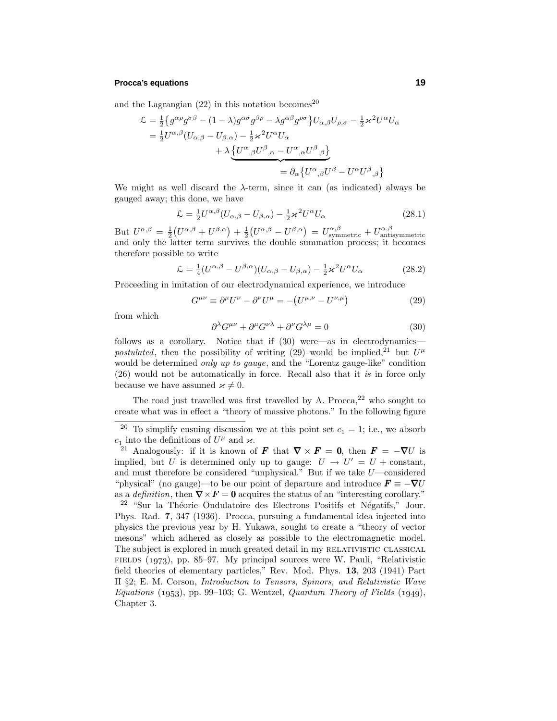#### **Procca's equations 19**

and the Lagrangian  $(22)$  in this notation becomes<sup>20</sup>

$$
\mathcal{L} = \frac{1}{2} \{ g^{\alpha \rho} g^{\sigma \beta} - (1 - \lambda) g^{\alpha \sigma} g^{\beta \rho} - \lambda g^{\alpha \beta} g^{\rho \sigma} \} U_{\alpha, \beta} U_{\rho, \sigma} - \frac{1}{2} \varkappa^2 U^{\alpha} U_{\alpha}
$$
  
\n
$$
= \frac{1}{2} U^{\alpha, \beta} (U_{\alpha, \beta} - U_{\beta, \alpha}) - \frac{1}{2} \varkappa^2 U^{\alpha} U_{\alpha}
$$
  
\n
$$
+ \lambda \underbrace{\{ U^{\alpha}, g U^{\beta}, \alpha - U^{\alpha}, a U^{\beta}, g \}}_{\alpha \beta \sigma} = \partial_{\alpha} \{ U^{\alpha}, g U^{\beta} - U^{\alpha} U^{\beta}, g \}
$$

We might as well discard the *λ*-term, since it can (as indicated) always be gauged away; this done, we have

$$
\mathcal{L} = \frac{1}{2} U^{\alpha,\beta} (U_{\alpha,\beta} - U_{\beta,\alpha}) - \frac{1}{2} \varkappa^2 U^{\alpha} U_{\alpha} \tag{28.1}
$$

 $\mathrm{But} U^{\alpha,\beta} = \frac{1}{2} (U^{\alpha,\beta} + U^{\beta,\alpha}) + \frac{1}{2} (U^{\alpha,\beta} - U^{\beta,\alpha}) = U^{\alpha,\beta}_{\mathrm{symmetric}} + U^{\alpha,\beta}_{\mathrm{antisymmetric}}$ and only the latter term survives the double summation process; it becomes therefore possible to write

$$
\mathcal{L} = \frac{1}{4} (U^{\alpha,\beta} - U^{\beta,\alpha}) (U_{\alpha,\beta} - U_{\beta,\alpha}) - \frac{1}{2} \varkappa^2 U^{\alpha} U_{\alpha} \tag{28.2}
$$

Proceeding in imitation of our electrodynamical experience, we introduce

$$
G^{\mu\nu} \equiv \partial^{\mu} U^{\nu} - \partial^{\nu} U^{\mu} = -\left(U^{\mu,\nu} - U^{\nu,\mu}\right) \tag{29}
$$

from which

$$
\partial^{\lambda} G^{\mu\nu} + \partial^{\mu} G^{\nu\lambda} + \partial^{\nu} G^{\lambda\mu} = 0 \tag{30}
$$

follows as a corollary. Notice that if (30) were—as in electrodynamics *postulated*, then the possibility of writing (29) would be implied,<sup>21</sup> but  $U^{\mu}$ would be determined *only up to gauge*, and the "Lorentz gauge-like" condition (26) would not be automatically in force. Recall also that it is in force only because we have assumed  $\varkappa \neq 0$ .

The road just travelled was first travelled by A. Procca, $22$  who sought to create what was in effect a "theory of massive photons." In the following figure

<sup>&</sup>lt;sup>20</sup> To simplify ensuing discussion we at this point set  $c_1 = 1$ ; i.e., we absorb  $c_1$  into the definitions of  $U^{\mu}$  and  $\varkappa$ .

<sup>&</sup>lt;sup>21</sup> Analogously: if it is known of *F* that  $\nabla \times F = 0$ , then  $F = -\nabla U$  is implied, but *U* is determined only up to gauge:  $U \rightarrow U' = U + constant$ , and must therefore be considered "unphysical." But if we take *U*—considered "physical" (no gauge)—to be our point of departure and introduce  $\mathbf{F} \equiv -\nabla U$ as a *definition*, then  $\nabla \times \vec{F} = 0$  acquires the status of an "interesting corollary."

<sup>&</sup>lt;sup>22</sup> "Sur la Théorie Ondulatoire des Electrons Positifs et Négatifs," Jour. Phys. Rad. **7**, 347 (1936). Procca, pursuing a fundamental idea injected into physics the previous year by H. Yukawa, sought to create a "theory of vector mesons" which adhered as closely as possible to the electromagnetic model. The subject is explored in much greated detail in my RELATIVISTIC CLASSICAL FIELDS (1973), pp. 85–97. My principal sources were W. Pauli, "Relativistic field theories of elementary particles," Rev. Mod. Phys. **13**, 203 (1941) Part II §2; E. M. Corson, Introduction to Tensors, Spinors, and Relativistic Wave  $Equations$  (1953), pp. 99–103; G. Wentzel, Quantum Theory of Fields (1949), Chapter 3.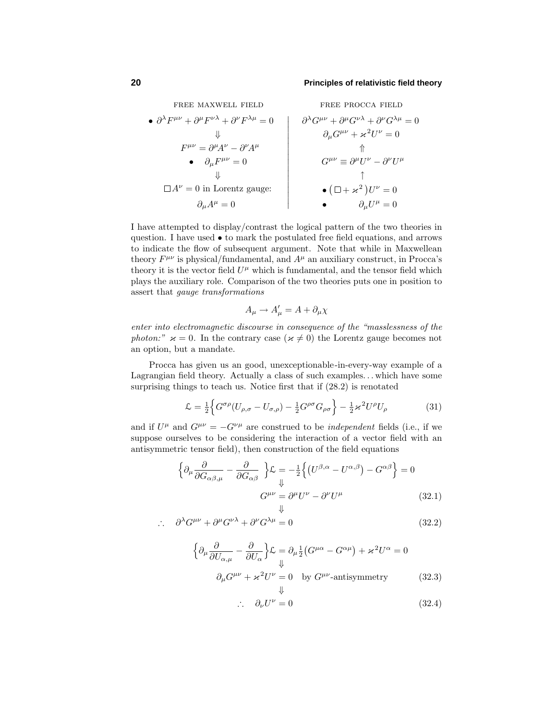FREE PROCCA FIELD

FREE MAXWELL FIELD

• 
$$
\partial^{\lambda} F^{\mu\nu} + \partial^{\mu} F^{\nu\lambda} + \partial^{\nu} F^{\lambda\mu} = 0
$$
  
\n
$$
F^{\mu\nu} = \partial^{\mu} A^{\nu} - \partial^{\nu} A^{\mu}
$$
\n•  $\partial_{\mu} F^{\mu\nu} = 0$   
\n
$$
\downarrow \qquad \qquad \partial_{\mu} G^{\mu\nu} + \partial^{\mu} G^{\nu\lambda} + \partial^{\nu} G^{\lambda\mu} = 0
$$
\n  
\n•  $\partial_{\mu} F^{\mu\nu} = 0$   
\n
$$
\downarrow \qquad \qquad \qquad \qquad \uparrow
$$
\n
$$
G^{\mu\nu} \equiv \partial^{\mu} U^{\nu} - \partial^{\nu} U^{\mu}
$$
\n  
\n•  $(\Box + \varkappa^2) U^{\nu} = 0$   
\n•  $(\Box + \varkappa^2) U^{\nu} = 0$   
\n•  $\partial_{\mu} U^{\mu} = 0$ 

I have attempted to display/contrast the logical pattern of the two theories in question. I have used • to mark the postulated free field equations, and arrows to indicate the flow of subsequent argument. Note that while in Maxwellean theory  $F^{\mu\nu}$  is physical/fundamental, and  $A^{\mu}$  an auxiliary construct, in Procca's theory it is the vector field  $U^{\mu}$  which is fundamental, and the tensor field which plays the auxiliary role. Comparison of the two theories puts one in position to assert that gauge transformations

$$
A_{\mu} \to A'_{\mu} = A + \partial_{\mu} \chi
$$

enter into electromagnetic discourse in consequence of the "masslessness of the photon:"  $\varkappa = 0$ . In the contrary case  $(\varkappa \neq 0)$  the Lorentz gauge becomes not an option, but a mandate.

Procca has given us an good, unexceptionable-in-every-way example of a Lagrangian field theory. Actually a class of such examples*...* which have some surprising things to teach us. Notice first that if (28.2) is renotated

$$
\mathcal{L} = \frac{1}{2} \Big\{ G^{\sigma\rho} (U_{\rho,\sigma} - U_{\sigma,\rho}) - \frac{1}{2} G^{\rho\sigma} G_{\rho\sigma} \Big\} - \frac{1}{2} \varkappa^2 U^{\rho} U_{\rho} \tag{31}
$$

and if  $U^{\mu}$  and  $G^{\mu\nu} = -G^{\nu\mu}$  are construed to be *independent* fields (i.e., if we suppose ourselves to be considering the interaction of a vector field with an antisymmetric tensor field), then construction of the field equations

⇓

$$
\left\{\partial_{\mu}\frac{\partial}{\partial G_{\alpha\beta,\mu}} - \frac{\partial}{\partial G_{\alpha\beta}}\right\}\mathcal{L} = -\frac{1}{2}\left\{ \left(U^{\beta,\alpha} - U^{\alpha,\beta}\right) - G^{\alpha\beta} \right\} = 0
$$
  

$$
G^{\mu\nu} = \partial^{\mu}U^{\nu} - \partial^{\nu}U^{\mu}
$$
 (32.1)

$$
\therefore \quad \partial^{\lambda} G^{\mu\nu} + \partial^{\mu} G^{\nu\lambda} + \partial^{\nu} G^{\lambda\mu} = 0 \tag{32.2}
$$

$$
\left\{\partial_{\mu}\frac{\partial}{\partial U_{\alpha,\mu}} - \frac{\partial}{\partial U_{\alpha}}\right\}\mathcal{L} = \partial_{\mu}\frac{1}{2}(G^{\mu\alpha} - G^{\alpha\mu}) + \varkappa^{2}U^{\alpha} = 0
$$
  

$$
\partial_{\mu}G^{\mu\nu} + \varkappa^{2}U^{\nu} = 0 \text{ by } G^{\mu\nu}\text{-antisymmetry}
$$
 (32.3)

$$
\therefore \quad \partial_{\nu}U^{\nu} = 0 \tag{32.4}
$$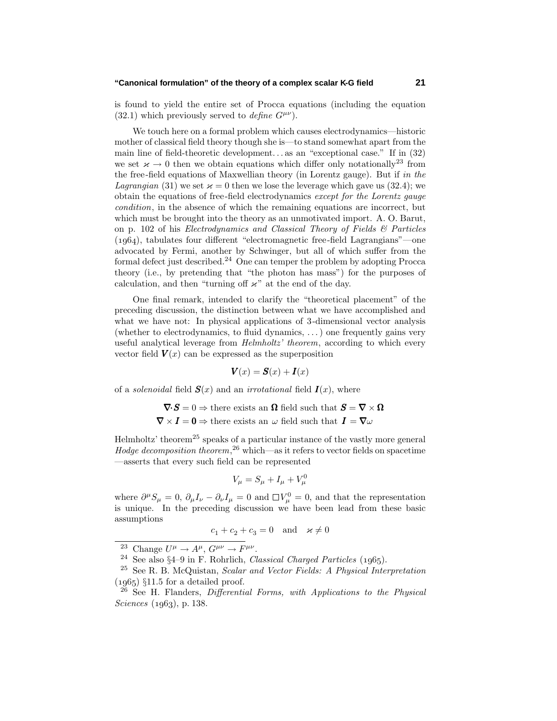#### **"Canonical formulation" of the theory of a complex scalar K-G field 21**

is found to yield the entire set of Procca equations (including the equation  $(32.1)$  which previously served to *define*  $G^{\mu\nu}$ ).

We touch here on a formal problem which causes electrodynamics—historic mother of classical field theory though she is—to stand somewhat apart from the main line of field-theoretic development*...* as an "exceptional case." If in (32) we set  $\varkappa \to 0$  then we obtain equations which differ only notationally<sup>23</sup> from the free-field equations of Maxwellian theory (in Lorentz gauge). But if in the *Lagrangian* (31) we set  $\varkappa = 0$  then we lose the leverage which gave us (32.4); we obtain the equations of free-field electrodynamics except for the Lorentz gauge condition, in the absence of which the remaining equations are incorrect, but which must be brought into the theory as an unmotivated import. A. O. Barut, on p. 102 of his Electrodynamics and Classical Theory of Fields & Particles  $(1964)$ , tabulates four different "electromagnetic free-field Lagrangians"—one advocated by Fermi, another by Schwinger, but all of which suffer from the formal defect just described.<sup>24</sup> One can temper the problem by adopting Procca theory (i.e., by pretending that "the photon has mass") for the purposes of calculation, and then "turning off  $x$ " at the end of the day.

One final remark, intended to clarify the "theoretical placement" of the preceding discussion, the distinction between what we have accomplished and what we have not: In physical applications of 3-dimensional vector analysis (whether to electrodynamics, to fluid dynamics, *...*) one frequently gains very useful analytical leverage from *Helmholtz' theorem*, according to which every vector field  $V(x)$  can be expressed as the superposition

$$
\mathbf{V}(x) = \mathbf{S}(x) + \mathbf{I}(x)
$$

of a *solenoidal* field  $S(x)$  and an *irrotational* field  $I(x)$ , where

$$
\nabla \cdot \mathbf{S} = 0 \Rightarrow \text{there exists an } \Omega \text{ field such that } \mathbf{S} = \nabla \times \Omega
$$

$$
\nabla \times \mathbf{I} = \mathbf{0} \Rightarrow \text{there exists an } \omega \text{ field such that } \mathbf{I} = \nabla \omega
$$

Helmholtz' theorem<sup>25</sup> speaks of a particular instance of the vastly more general Hodge decomposition theorem,<sup>26</sup> which—as it refers to vector fields on spacetime —asserts that every such field can be represented

$$
V_{\mu}=S_{\mu}+I_{\mu}+V_{\mu}^0
$$

where  $\partial^{\mu}S_{\mu} = 0$ ,  $\partial_{\mu}I_{\nu} - \partial_{\nu}I_{\mu} = 0$  and  $\Box V_{\mu}^{0} = 0$ , and that the representation is unique. In the preceding discussion we have been lead from these basic assumptions

$$
c_1 + c_2 + c_3 = 0 \quad \text{and} \quad \varkappa \neq 0
$$

<sup>&</sup>lt;sup>23</sup> Change  $U^{\mu} \rightarrow A^{\mu}$ ,  $G^{\mu\nu} \rightarrow F^{\mu\nu}$ .<br><sup>24</sup> See also §4–9 in F. Rohrlich, *Classical Charged Particles* (1965).

 $25$  See R. B. McQuistan, *Scalar and Vector Fields: A Physical Interpretation*  $(1965)$  §11.5 for a detailed proof.

<sup>26</sup> See H. Flanders, Differential Forms, with Applications to the Physical Sciences  $(1963)$ , p. 138.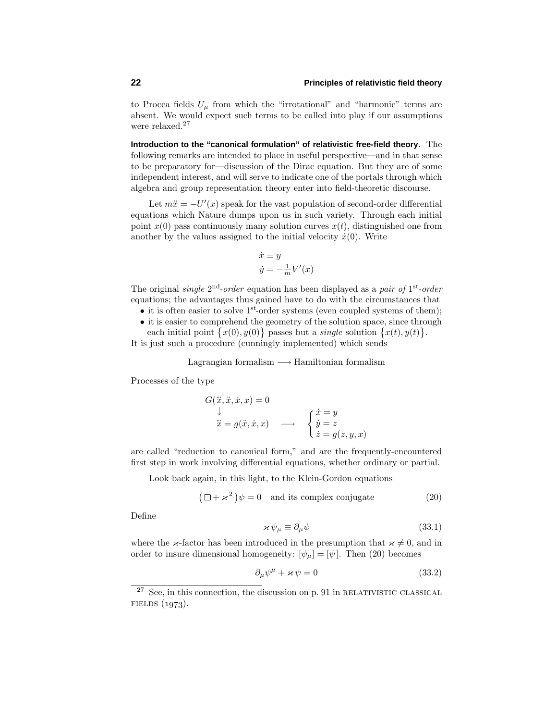to Procca fields  $U_{\mu}$  from which the "irrotational" and "harmonic" terms are absent. We would expect such terms to be called into play if our assumptions were relaxed.<sup>27</sup>

**Introduction to the "canonical formulation" of relativistic free-field theory**. The following remarks are intended to place in useful perspective—and in that sense to be preparatory for—discussion of the Dirac equation. But they are of some independent interest, and will serve to indicate one of the portals through which algebra and group representation theory enter into field-theoretic discourse.

Let  $m\ddot{x} = -U'(x)$  speak for the vast population of second-order differential equations which Nature dumps upon us in such variety. Through each initial point  $x(0)$  pass continuously many solution curves  $x(t)$ , distinguished one from another by the values assigned to the initial velocity  $\dot{x}(0)$ . Write

$$
\begin{aligned}\n\dot{x} &\equiv y\\ \n\dot{y} &=-\frac{1}{m}V'(x)\n\end{aligned}
$$

The original *single*  $2^{nd}$ -order equation has been displayed as a pair of  $1^{st}$ -order equations; the advantages thus gained have to do with the circumstances that

- it is often easier to solve  $1^{st}$ -order systems (even coupled systems of them);
- it is easier to comprehend the geometry of the solution space, since through

each initial point  $\{x(0), y(0)\}$  passes but a *single* solution  $\{x(t), y(t)\}$ . It is just such a procedure (cunningly implemented) which sends

Lagrangian formalism  $\longrightarrow$  Hamiltonian formalism

Processes of the type

$$
G(\ddot{x}, \ddot{x}, \dot{x}, x) = 0
$$
  
\n
$$
\ddot{x} = g(\ddot{x}, \dot{x}, x) \longrightarrow \begin{cases} \dot{x} = y \\ \dot{y} = z \\ \dot{z} = g(z, y, x) \end{cases}
$$

are called "reduction to canonical form," and are the frequently-encountered first step in work involving differential equations, whether ordinary or partial.

Look back again, in this light, to the Klein-Gordon equations

$$
(\Box + \varkappa^2)\psi = 0 \text{ and its complex conjugate}
$$
 (20)

Define

$$
\varkappa \psi_{\mu} \equiv \partial_{\mu} \psi \tag{33.1}
$$

where the *κ*-factor has been introduced in the presumption that  $\kappa \neq 0$ , and in order to insure dimensional homogeneity:  $[\psi_{\mu}] = [\psi]$ . Then (20) becomes

$$
\partial_{\mu}\psi^{\mu} + \varkappa \psi = 0 \tag{33.2}
$$

 $27$  See, in this connection, the discussion on p. 91 in RELATIVISTIC CLASSICAL FIELDS  $(1973)$ .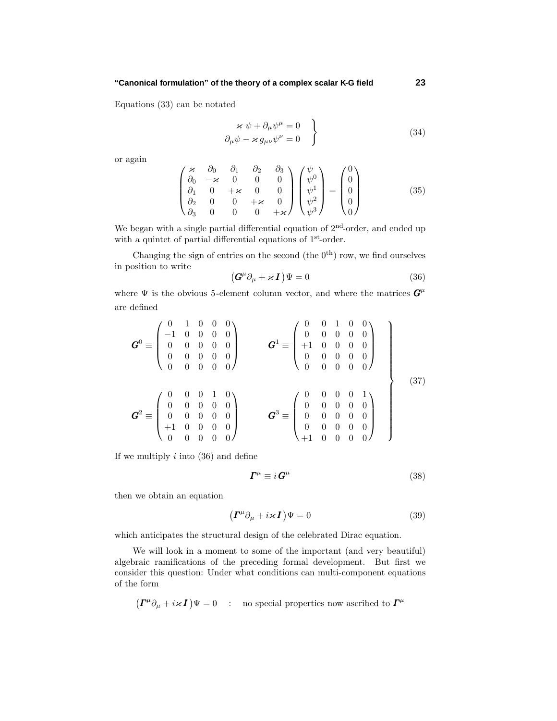Equations (33) can be notated

$$
\begin{aligned}\n \varkappa \ \psi + \partial_{\mu} \psi^{\mu} &= 0 \\
 \partial_{\mu} \psi - \varkappa \, g_{\mu\nu} \psi^{\nu} &= 0\n \end{aligned} \tag{34}
$$

or again

$$
\begin{pmatrix}\n\varkappa & \partial_0 & \partial_1 & \partial_2 & \partial_3 \\
\partial_0 & -\varkappa & 0 & 0 & 0 \\
\partial_1 & 0 & +\varkappa & 0 & 0 \\
\partial_2 & 0 & 0 & +\varkappa & 0 \\
\partial_3 & 0 & 0 & 0 & +\varkappa\n\end{pmatrix}\n\begin{pmatrix}\n\psi \\
\psi^0 \\
\psi^1 \\
\psi^2 \\
\psi^3\n\end{pmatrix} = \begin{pmatrix}\n0 \\
0 \\
0 \\
0 \\
0\n\end{pmatrix}
$$
\n(35)

We began with a single partial differential equation of  $2<sup>nd</sup>$ -order, and ended up with a quintet of partial differential equations of  $1<sup>st</sup>$ -order.

Changing the sign of entries on the second (the  $0<sup>th</sup>$ ) row, we find ourselves in position to write

$$
(\mathbf{G}^{\mu}\partial_{\mu} + \varkappa \mathbf{I})\Psi = 0 \tag{36}
$$

where  $\Psi$  is the obvious 5-element column vector, and where the matrices  $G^{\mu}$ are defined

$$
\mathbf{G}^{0} \equiv \begin{pmatrix} 0 & 1 & 0 & 0 & 0 \\ -1 & 0 & 0 & 0 & 0 \\ 0 & 0 & 0 & 0 & 0 \\ 0 & 0 & 0 & 0 & 0 \\ 0 & 0 & 0 & 0 & 0 \end{pmatrix} \qquad \mathbf{G}^{1} \equiv \begin{pmatrix} 0 & 0 & 1 & 0 & 0 \\ 0 & 0 & 0 & 0 & 0 \\ +1 & 0 & 0 & 0 & 0 \\ 0 & 0 & 0 & 0 & 0 \\ 0 & 0 & 0 & 0 & 0 \end{pmatrix}
$$

$$
\mathbf{G}^{2} \equiv \begin{pmatrix} 0 & 0 & 0 & 1 & 0 \\ 0 & 0 & 0 & 0 & 0 \\ 0 & 0 & 0 & 0 & 0 \\ 0 & 0 & 0 & 0 & 0 \\ 0 & 0 & 0 & 0 & 0 \end{pmatrix} \qquad \mathbf{G}^{3} \equiv \begin{pmatrix} 0 & 0 & 0 & 0 & 1 \\ 0 & 0 & 0 & 0 & 0 \\ 0 & 0 & 0 & 0 & 0 \\ 0 & 0 & 0 & 0 & 0 \\ 0 & 0 & 0 & 0 & 0 \end{pmatrix} \qquad (37)
$$

If we multiply *i* into (36) and define

$$
\boldsymbol{\varGamma}^{\mu} \equiv i \, \boldsymbol{G}^{\mu} \tag{38}
$$

then we obtain an equation

$$
\left(\mathbf{\Gamma}^{\mu}\partial_{\mu} + i\mathbf{x}\mathbf{I}\right)\Psi = 0\tag{39}
$$

which anticipates the structural design of the celebrated Dirac equation.

We will look in a moment to some of the important (and very beautiful) algebraic ramifications of the preceding formal development. But first we consider this question: Under what conditions can multi-component equations of the form

$$
\left( \boldsymbol{\varGamma}^{\mu} \partial_{\mu} + i \varkappa \, \boldsymbol{I} \right) \Psi = 0 \quad : \quad \text{no special properties now ascribed to $\boldsymbol{\varGamma}^{\mu}$}
$$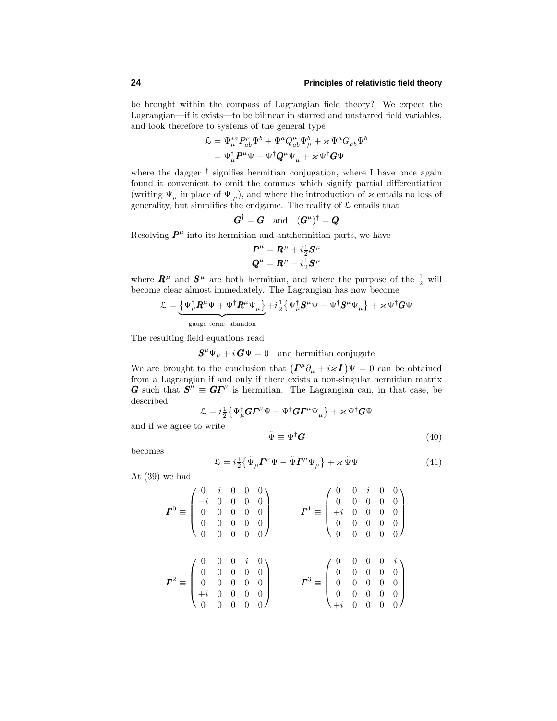be brought within the compass of Lagrangian field theory? We expect the Lagrangian—if it exists—to be bilinear in starred and unstarred field variables, and look therefore to systems of the general type

$$
\begin{aligned} \mathcal{L} &= \Psi_\mu^{*a} P^\mu_{ab} \Psi^b + \Psi^a Q^\mu_{ab} \Psi^b_\mu + \varkappa \Psi^a G_{ab} \Psi^b \\ &= \Psi_\mu^\dagger \pmb{P}^\mu \Psi + \Psi^\dagger \pmb{Q}^\mu \Psi_\mu + \varkappa \Psi^\dagger \pmb{G} \Psi \end{aligned}
$$

where the dagger  $\dagger$  signifies hermitian conjugation, where I have once again found it convenient to omit the commas which signify partial differentiation (writing  $\Psi_{\mu}$  in place of  $\Psi_{,\mu}$ ), and where the introduction of  $\varkappa$  entails no loss of generality, but simplifies the endgame. The reality of  $\mathcal L$  entails that

$$
\boldsymbol{G}^{\dagger}=\boldsymbol{G} \quad \text{and} \quad (\boldsymbol{G}^{\mu})^{\dagger}=\boldsymbol{Q}
$$

Resolving  $P^{\mu}$  into its hermitian and antihermitian parts, we have

$$
P^{\mu} = R^{\mu} + i \frac{1}{2} S^{\mu}
$$

$$
Q^{\mu} = R^{\mu} - i \frac{1}{2} S^{\mu}
$$

where  $\mathbf{R}^{\mu}$  and  $\mathbf{S}^{\mu}$  are both hermitian, and where the purpose of the  $\frac{1}{2}$  will become clear almost immediately. The Lagrangian has now become

$$
\mathcal{L} = \underbrace{\left\{\Psi^{\dagger}_{\mu}\pmb{R}^{\mu}\Psi + \Psi^{\dagger}\pmb{R}^{\mu}\Psi_{\mu}\right\}}_{\text{gauge term: abandon}} + i \tfrac{1}{2}\left\{\Psi^{\dagger}_{\mu}\pmb{S}^{\mu}\Psi - \Psi^{\dagger}\pmb{S}^{\mu}\Psi_{\mu}\right\} + \varkappa\,\Psi^{\dagger}\pmb{G}\Psi
$$

The resulting field equations read

$$
\mathbf{S}^{\mu}\Psi_{\mu} + i\,\mathbf{G}\Psi = 0 \quad \text{and hermitian conjugate}
$$

We are brought to the conclusion that  $(\mathbf{\Gamma}^{\mu} \partial_{\mu} + i \kappa \mathbf{I}) \Psi = 0$  can be obtained from a Lagrangian if and only if there exists a non-singular hermitian matrix *G* such that  $S^{\mu} \equiv G\Gamma^{\mu}$  is hermitian. The Lagrangian can, in that case, be described

$$
\mathcal{L} = i \tfrac{1}{2} \big\{ \Psi^\dagger_\mu \bm G \bm \Gamma^\mu \Psi - \Psi^\dagger \bm G \bm \Gamma^\mu \Psi_\mu \big\} + \varkappa \Psi^\dagger \bm G \Psi
$$

and if we agree to write

$$
\tilde{\Psi} \equiv \Psi^{\dagger} \mathbf{G} \tag{40}
$$

becomes

$$
\mathcal{L} = i\frac{1}{2} \left\{ \tilde{\Psi}_{\mu} \boldsymbol{\varGamma}^{\mu} \Psi - \tilde{\Psi} \boldsymbol{\varGamma}^{\mu} \Psi_{\mu} \right\} + \varkappa \tilde{\Psi} \Psi \tag{41}
$$

At (39) we had

$$
\boldsymbol{\varGamma}^{0} \equiv \begin{pmatrix} 0 & i & 0 & 0 & 0 \\ -i & 0 & 0 & 0 & 0 \\ 0 & 0 & 0 & 0 & 0 \\ 0 & 0 & 0 & 0 & 0 \\ 0 & 0 & 0 & 0 & 0 \end{pmatrix} \qquad \boldsymbol{\varGamma}^{1} \equiv \begin{pmatrix} 0 & 0 & i & 0 & 0 \\ 0 & 0 & 0 & 0 & 0 \\ +i & 0 & 0 & 0 & 0 \\ 0 & 0 & 0 & 0 & 0 \\ 0 & 0 & 0 & 0 & 0 \end{pmatrix}
$$

$$
\boldsymbol{\varGamma}^{2} \equiv \begin{pmatrix} 0 & 0 & 0 & i & 0 \\ 0 & 0 & 0 & 0 & 0 \\ 0 & 0 & 0 & 0 & 0 \\ +i & 0 & 0 & 0 & 0 \\ 0 & 0 & 0 & 0 & 0 \end{pmatrix} \qquad \boldsymbol{\varGamma}^{3} \equiv \begin{pmatrix} 0 & 0 & 0 & 0 & i \\ 0 & 0 & 0 & 0 & 0 \\ 0 & 0 & 0 & 0 & 0 \\ 0 & 0 & 0 & 0 & 0 \\ +i & 0 & 0 & 0 & 0 \end{pmatrix}
$$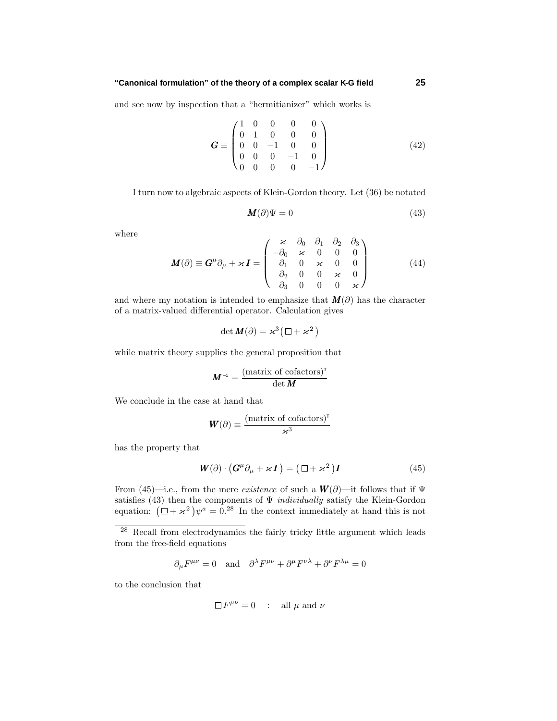#### **"Canonical formulation" of the theory of a complex scalar K-G field 25**

and see now by inspection that a "hermitianizer" which works is

$$
\mathbf{G} \equiv \begin{pmatrix} 1 & 0 & 0 & 0 & 0 \\ 0 & 1 & 0 & 0 & 0 \\ 0 & 0 & -1 & 0 & 0 \\ 0 & 0 & 0 & -1 & 0 \\ 0 & 0 & 0 & 0 & -1 \end{pmatrix}
$$
(42)

I turn now to algebraic aspects of Klein-Gordon theory. Let (36) be notated

$$
\mathbf{M}(\partial)\Psi = 0\tag{43}
$$

where

$$
\mathbf{M}(\partial) \equiv \mathbf{G}^{\mu}\partial_{\mu} + \varkappa \mathbf{I} = \begin{pmatrix} \varkappa & \partial_{0} & \partial_{1} & \partial_{2} & \partial_{3} \\ -\partial_{0} & \varkappa & 0 & 0 & 0 \\ \partial_{1} & 0 & \varkappa & 0 & 0 \\ \partial_{2} & 0 & 0 & \varkappa & 0 \\ \partial_{3} & 0 & 0 & 0 & \varkappa \end{pmatrix}
$$
(44)

and where my notation is intended to emphasize that  $M(\partial)$  has the character of a matrix-valued differential operator. Calculation gives

$$
\det \mathbf{M}(\partial) = \varkappa^3 (\Box + \varkappa^2)
$$

while matrix theory supplies the general proposition that

$$
\boldsymbol{M}^{\scriptscriptstyle -1} = \frac{(\text{matrix of cofactors})^{\scriptscriptstyle \sf T}}{\det \boldsymbol{M}}
$$

We conclude in the case at hand that

$$
\boldsymbol{W}(\partial) \equiv \frac{(\text{matrix of cofactors})^{\text{T}}}{\varkappa^3}
$$

has the property that

$$
\mathbf{W}(\partial) \cdot (\mathbf{G}^{\mu} \partial_{\mu} + \varkappa \mathbf{I}) = (\Box + \varkappa^2) \mathbf{I}
$$
 (45)

From (45)—i.e., from the mere *existence* of such a  $W(\partial)$ —it follows that if  $\Psi$ satisfies (43) then the components of  $\Psi$  *individually* satisfy the Klein-Gordon equation:  $(\Box + \varkappa^2)\psi^a = 0^{28}$  In the context immediately at hand this is not

$$
\partial_{\mu}F^{\mu\nu} = 0
$$
 and  $\partial^{\lambda}F^{\mu\nu} + \partial^{\mu}F^{\nu\lambda} + \partial^{\nu}F^{\lambda\mu} = 0$ 

to the conclusion that

$$
\Box F^{\mu\nu} = 0 \quad : \quad \text{all } \mu \text{ and } \nu
$$

<sup>&</sup>lt;sup>28</sup> Recall from electrodynamics the fairly tricky little argument which leads from the free-field equations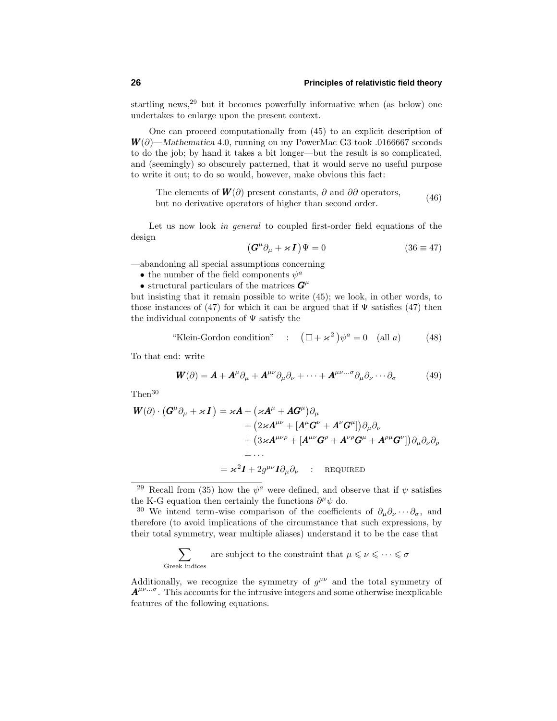startling news,<sup>29</sup> but it becomes powerfully informative when (as below) one undertakes to enlarge upon the present context.

One can proceed computationally from (45) to an explicit description of *W*( $\partial$ )—*Mathematica* 4.0, running on my PowerMac G3 took .0166667 seconds to do the job; by hand it takes a bit longer—but the result is so complicated, and (seemingly) so obscurely patterned, that it would serve no useful purpose to write it out; to do so would, however, make obvious this fact:

The elements of  $W(\partial)$  present constants,  $\partial$  and  $\partial \partial$  operators, but no derivative operators of higher than second order.  $(46)$ 

Let us now look in general to coupled first-order field equations of the design

$$
\left(\mathbf{G}^{\mu}\partial_{\mu} + \varkappa \mathbf{I}\right)\Psi = 0 \tag{36 \equiv 47}
$$

—abandoning all special assumptions concerning

- the number of the field components  $\psi^a$
- structural particulars of the matrices  $G^{\mu}$

but insisting that it remain possible to write (45); we look, in other words, to those instances of (47) for which it can be argued that if  $\Psi$  satisfies (47) then the individual components of  $\Psi$  satisfy the

"Klein-Gordon condition" : 
$$
(\Box + \varkappa^2)\psi^a = 0
$$
 (all *a*) (48)

To that end: write

$$
\mathbf{W}(\partial) = \mathbf{A} + \mathbf{A}^{\mu} \partial_{\mu} + \mathbf{A}^{\mu \nu} \partial_{\mu} \partial_{\nu} + \dots + \mathbf{A}^{\mu \nu \dots \sigma} \partial_{\mu} \partial_{\nu} \dots \partial_{\sigma}
$$
(49)

Then<sup>30</sup>

$$
W(\partial) \cdot (G^{\mu}\partial_{\mu} + \varkappa I) = \varkappa A + (\varkappa A^{\mu} + AG^{\mu})\partial_{\mu}
$$
  
+ 
$$
(2\varkappa A^{\mu\nu} + [A^{\mu}G^{\nu} + A^{\nu}G^{\mu}])\partial_{\mu}\partial_{\nu}
$$
  
+ 
$$
(3\varkappa A^{\mu\nu\rho} + [A^{\mu\nu}G^{\rho} + A^{\nu\rho}G^{\mu} + A^{\rho\mu}G^{\nu}])\partial_{\mu}\partial_{\nu}\partial_{\rho}
$$
  
+ 
$$
\cdots
$$
  
= 
$$
\varkappa^{2}I + 2g^{\mu\nu}I\partial_{\mu}\partial_{\nu} \quad : \quad \text{regulred}
$$

<sup>29</sup> Recall from (35) how the  $\psi^a$  were defined, and observe that if  $\psi$  satisfies the K-G equation then certainly the functions  $\partial^{\mu}\psi$  do.

<sup>30</sup> We intend term-wise comparison of the coefficients of  $\partial_{\mu}\partial_{\nu}\cdots\partial_{\sigma}$ , and therefore (to avoid implications of the circumstance that such expressions, by their total symmetry, wear multiple aliases) understand it to be the case that

$$
\sum_{\text{Greek indices}} \text{ are subject to the constraint that } \mu \leqslant \nu \leqslant \cdots \leqslant \sigma
$$

Additionally, we recognize the symmetry of  $g^{\mu\nu}$  and the total symmetry of  $A^{\mu\nu...\sigma}$ . This accounts for the intrusive integers and some otherwise inexplicable features of the following equations.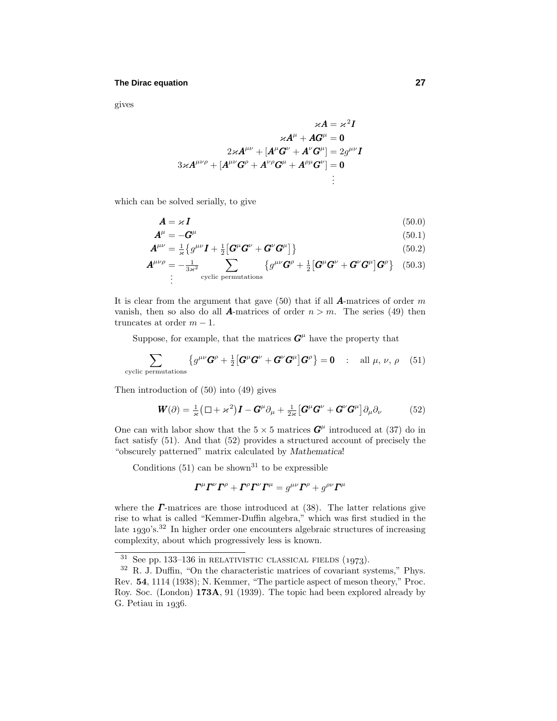gives

$$
\varkappa A = \varkappa^2 I
$$

$$
\varkappa A^{\mu} + A G^{\mu} = 0
$$

$$
2\varkappa A^{\mu\nu} + [A^{\mu}G^{\nu} + A^{\nu}G^{\mu}] = 2g^{\mu\nu}I
$$

$$
3\varkappa A^{\mu\nu\rho} + [A^{\mu\nu}G^{\rho} + A^{\nu\rho}G^{\mu} + A^{\rho\mu}G^{\nu}] = 0
$$

$$
\vdots
$$

which can be solved serially, to give

$$
\mathbf{A} = \varkappa \mathbf{I} \tag{50.0}
$$

$$
\mathbf{A}^{\mu} = -\mathbf{G}^{\mu} \tag{50.1}
$$
\n
$$
\mathbf{A}^{\mu\nu} = \frac{1}{\varkappa} \left\{ g^{\mu\nu} \mathbf{I} + \frac{1}{2} \left[ \mathbf{G}^{\mu} \mathbf{G}^{\nu} + \mathbf{G}^{\nu} \mathbf{G}^{\mu} \right] \right\} \tag{50.2}
$$

$$
\boldsymbol{A}^{\mu\nu\rho} = -\frac{1}{3\varkappa^2} \sum_{\text{cyclic permutations}} \left\{ g^{\mu\nu} \boldsymbol{G}^{\rho} + \frac{1}{2} \left[ \boldsymbol{G}^{\mu} \boldsymbol{G}^{\nu} + \boldsymbol{G}^{\nu} \boldsymbol{G}^{\mu} \right] \boldsymbol{G}^{\rho} \right\} \quad (50.3)
$$

It is clear from the argument that gave (50) that if all *A*-matrices of order *m* vanish, then so also do all **A**-matrices of order  $n > m$ . The series (49) then truncates at order  $m-1$ .

Suppose, for example, that the matrices  $G^{\mu}$  have the property that

$$
\sum_{\text{cyclic permutations}} \left\{ g^{\mu\nu} \mathbf{G}^{\rho} + \frac{1}{2} \left[ \mathbf{G}^{\mu} \mathbf{G}^{\nu} + \mathbf{G}^{\nu} \mathbf{G}^{\mu} \right] \mathbf{G}^{\rho} \right\} = \mathbf{0} \quad : \quad \text{all } \mu, \nu, \rho \quad (51)
$$

Then introduction of (50) into (49) gives

$$
\mathbf{W}(\partial) = \frac{1}{\varkappa} \left( \Box + \varkappa^2 \right) \mathbf{I} - \mathbf{G}^\mu \partial_\mu + \frac{1}{2\varkappa} \left[ \mathbf{G}^\mu \mathbf{G}^\nu + \mathbf{G}^\nu \mathbf{G}^\mu \right] \partial_\mu \partial_\nu \tag{52}
$$

One can with labor show that the  $5 \times 5$  matrices  $G^{\mu}$  introduced at (37) do in fact satisfy (51). And that (52) provides a structured account of precisely the "obscurely patterned" matrix calculated by *Mathematica*!

Conditions  $(51)$  can be shown<sup>31</sup> to be expressible

$$
\boldsymbol{\varGamma}^\mu \boldsymbol{\varGamma}^\nu \boldsymbol{\varGamma}^\rho + \boldsymbol{\varGamma}^\rho \boldsymbol{\varGamma}^\nu \boldsymbol{\varGamma}^\mu = g^{\mu\nu} \boldsymbol{\varGamma}^\rho + g^{\rho\nu} \boldsymbol{\varGamma}^\mu
$$

where the *Γ*-matrices are those introduced at (38). The latter relations give rise to what is called "Kemmer-Duffin algebra," which was first studied in the late  $1930's$ .<sup>32</sup> In higher order one encounters algebraic structures of increasing complexity, about which progressively less is known.

 $31$  See pp. 133–136 in RELATIVISTIC CLASSICAL FIELDS (1973).

 $32$  R. J. Duffin, "On the characteristic matrices of covariant systems," Phys. Rev. **54**, 1114 (1938); N. Kemmer, "The particle aspect of meson theory," Proc. Roy. Soc. (London) **173A**, 91 (1939). The topic had been explored already by G. Petiau in  $1936$ .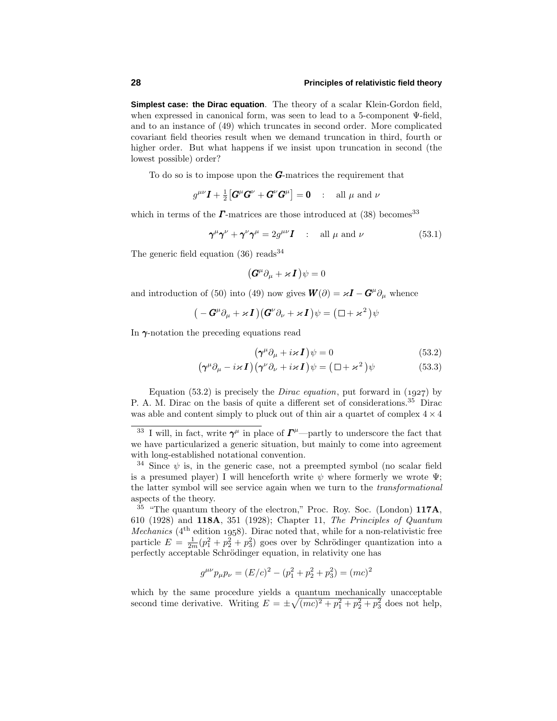**Simplest case: the Dirac equation**. The theory of a scalar Klein-Gordon field, when expressed in canonical form, was seen to lead to a 5-component Ψ-field, and to an instance of (49) which truncates in second order. More complicated covariant field theories result when we demand truncation in third, fourth or higher order. But what happens if we insist upon truncation in second (the lowest possible) order?

To do so is to impose upon the *G*-matrices the requirement that

$$
g^{\mu\nu}\mathbf{I} + \frac{1}{2} \big[ \mathbf{G}^{\mu} \mathbf{G}^{\nu} + \mathbf{G}^{\nu} \mathbf{G}^{\mu} \big] = \mathbf{0} \quad : \quad \text{all } \mu \text{ and } \nu
$$

which in terms of the  $\Gamma$ -matrices are those introduced at (38) becomes<sup>33</sup>

$$
\gamma^{\mu}\gamma^{\nu} + \gamma^{\nu}\gamma^{\mu} = 2g^{\mu\nu}\mathbf{I} \quad : \quad \text{all } \mu \text{ and } \nu \tag{53.1}
$$

The generic field equation  $(36)$  reads<sup>34</sup>

$$
\left(\bm{G}^{\mu}\partial_{\mu}+\varkappa\,\bm{I}\,\right)\psi=0
$$

and introduction of (50) into (49) now gives  $\mathbf{W}(\partial) = \varkappa \mathbf{I} - \mathbf{G}^{\mu} \partial_{\mu}$  whence

$$
(-\mathbf{G}^{\mu}\partial_{\mu}+\kappa\mathbf{I})(\mathbf{G}^{\nu}\partial_{\nu}+\kappa\mathbf{I})\psi=(\Box+\kappa^{2})\psi
$$

In *γ*-notation the preceding equations read

$$
\left(\pmb{\gamma}^{\mu}\partial_{\mu} + i\mathbf{x}\mathbf{I}\right)\psi = 0\tag{53.2}
$$

$$
(\pmb{\gamma}^{\mu}\partial_{\mu} - i\kappa \mathbf{I})(\pmb{\gamma}^{\nu}\partial_{\nu} + i\kappa \mathbf{I})\psi = (\Box + \kappa^2)\psi \tag{53.3}
$$

Equation (53.2) is precisely the *Dirac equation*, put forward in  $(1927)$  by P. A. M. Dirac on the basis of quite a different set of considerations.<sup>35</sup> Dirac was able and content simply to pluck out of thin air a quartet of complex  $4 \times 4$ 

<sup>35</sup> "The quantum theory of the electron," Proc. Roy. Soc. (London) **117A**, 610 (1928) and **118A**, 351 (1928); Chapter 11, The Principles of Quantum *Mechanics* ( $4<sup>th</sup>$  edition 1958). Dirac noted that, while for a non-relativistic free particle  $E = \frac{1}{2m}(p_1^2 + p_2^2 + p_3^2)$  goes over by Schrödinger quantization into a perfectly acceptable Schrödinger equation, in relativity one has

$$
g^{\mu\nu}p_{\mu}p_{\nu} = (E/c)^2 - (p_1^2 + p_2^2 + p_3^2) = (mc)^2
$$

which by the same procedure yields a quantum mechanically unacceptable second time derivative. Writing  $E = \pm \sqrt{(mc)^2 + p_1^2 + p_2^2 + p_3^2}$  does not help,

<sup>&</sup>lt;sup>33</sup> I will, in fact, write  $\gamma^{\mu}$  in place of  $\Gamma^{\mu}$ —partly to underscore the fact that we have particularized a generic situation, but mainly to come into agreement with long-established notational convention.

<sup>&</sup>lt;sup>34</sup> Since  $\psi$  is, in the generic case, not a preempted symbol (no scalar field is a presumed player) I will henceforth write  $\psi$  where formerly we wrote  $\Psi$ ; the latter symbol will see service again when we turn to the transformational aspects of the theory.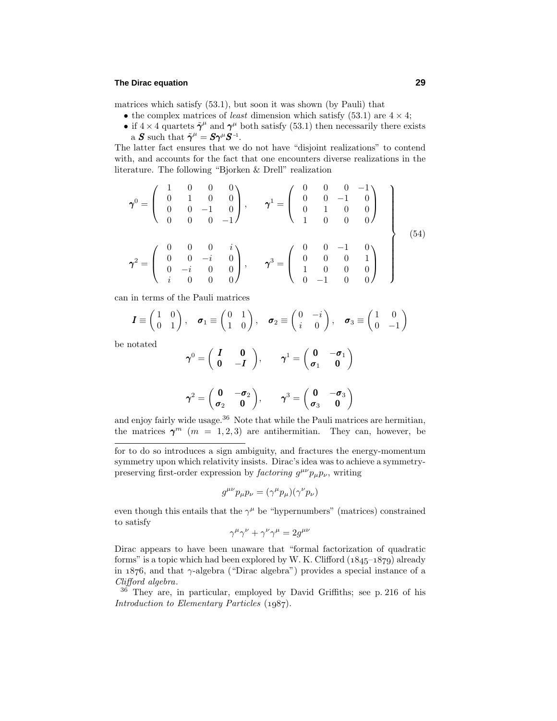#### **The Dirac equation 29**

matrices which satisfy (53.1), but soon it was shown (by Pauli) that

- the complex matrices of *least* dimension which satisfy (53.1) are  $4 \times 4$ ;
- if  $4 \times 4$  quartets  $\tilde{\gamma}^{\mu}$  and  $\gamma^{\mu}$  both satisfy (53.1) then necessarily there exists a *S* such that  $\tilde{\boldsymbol{\gamma}}^{\mu} = \boldsymbol{S} \boldsymbol{\gamma}^{\mu} \boldsymbol{S}^{-1}$ .

The latter fact ensures that we do not have "disjoint realizations" to contend with, and accounts for the fact that one encounters diverse realizations in the literature. The following "Bjorken & Drell" realization

$$
\boldsymbol{\gamma}^{0} = \begin{pmatrix} 1 & 0 & 0 & 0 \\ 0 & 1 & 0 & 0 \\ 0 & 0 & -1 & 0 \\ 0 & 0 & 0 & -1 \end{pmatrix}, \quad \boldsymbol{\gamma}^{1} = \begin{pmatrix} 0 & 0 & 0 & -1 \\ 0 & 0 & -1 & 0 \\ 0 & 1 & 0 & 0 \\ 1 & 0 & 0 & 0 \end{pmatrix}
$$

$$
\boldsymbol{\gamma}^{2} = \begin{pmatrix} 0 & 0 & 0 & i \\ 0 & 0 & -i & 0 \\ 0 & -i & 0 & 0 \\ i & 0 & 0 & 0 \end{pmatrix}, \quad \boldsymbol{\gamma}^{3} = \begin{pmatrix} 0 & 0 & -1 & 0 \\ 0 & 0 & 0 & 1 \\ 1 & 0 & 0 & 0 \\ 0 & -1 & 0 & 0 \end{pmatrix}
$$
(54)

can in terms of the Pauli matrices

$$
\boldsymbol{I} \equiv \begin{pmatrix} 1 & 0 \\ 0 & 1 \end{pmatrix}, \quad \boldsymbol{\sigma}_1 \equiv \begin{pmatrix} 0 & 1 \\ 1 & 0 \end{pmatrix}, \quad \boldsymbol{\sigma}_2 \equiv \begin{pmatrix} 0 & -i \\ i & 0 \end{pmatrix}, \quad \boldsymbol{\sigma}_3 \equiv \begin{pmatrix} 1 & 0 \\ 0 & -1 \end{pmatrix}
$$

be notated

$$
\gamma^0 = \begin{pmatrix} I & 0 \\ 0 & -I \end{pmatrix}, \qquad \gamma^1 = \begin{pmatrix} 0 & -\sigma_1 \\ \sigma_1 & 0 \end{pmatrix}
$$

$$
\gamma^2 = \begin{pmatrix} 0 & -\sigma_2 \\ \sigma_2 & 0 \end{pmatrix}, \qquad \gamma^3 = \begin{pmatrix} 0 & -\sigma_3 \\ \sigma_3 & 0 \end{pmatrix}
$$

and enjoy fairly wide usage. $36$  Note that while the Pauli matrices are hermitian, the matrices  $\gamma^m$  (*m* = 1,2,3) are antihermitian. They can, however, be

for to do so introduces a sign ambiguity, and fractures the energy-momentum symmetry upon which relativity insists. Dirac's idea was to achieve a symmetrypreserving first-order expression by *factoring*  $g^{\mu\nu}p_{\mu}p_{\nu}$ , writing

$$
g^{\mu\nu}p_{\mu}p_{\nu}=(\gamma^{\mu}p_{\mu})(\gamma^{\nu}p_{\nu})
$$

even though this entails that the  $\gamma^{\mu}$  be "hypernumbers" (matrices) constrained to satisfy

$$
\gamma^{\mu}\gamma^{\nu} + \gamma^{\nu}\gamma^{\mu} = 2g^{\mu\nu}
$$

Dirac appears to have been unaware that "formal factorization of quadratic forms" is a topic which had been explored by W. K. Clifford  $(1845-1879)$  already in  $1876$ , and that  $\gamma$ -algebra ("Dirac algebra") provides a special instance of a Clifford algebra.

<sup>36</sup> They are, in particular, employed by David Griffiths; see p. 216 of his Introduction to Elementary Particles  $(1987)$ .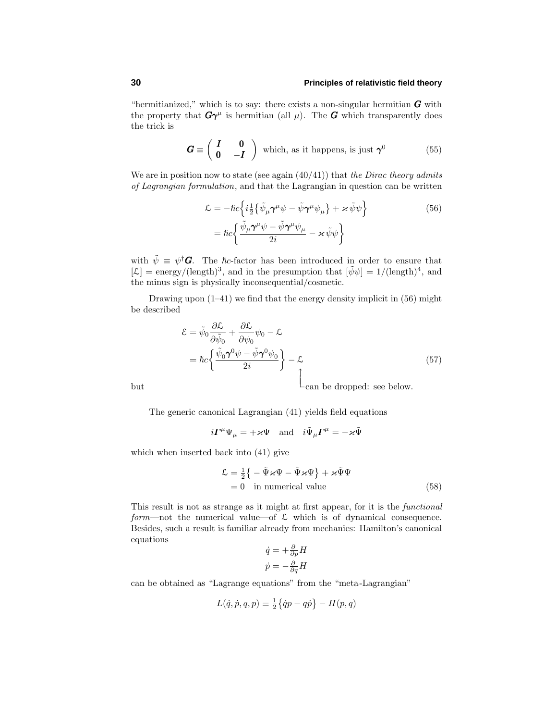"hermitianized," which is to say: there exists a non-singular hermitian  $\boldsymbol{G}$  with the property that  $G\gamma^{\mu}$  is hermitian (all  $\mu$ ). The *G* which transparently does the trick is

$$
\mathbf{G} \equiv \begin{pmatrix} \mathbf{I} & \mathbf{0} \\ \mathbf{0} & -\mathbf{I} \end{pmatrix} \text{ which, as it happens, is just } \boldsymbol{\gamma}^0 \tag{55}
$$

We are in position now to state (see again  $(40/41)$ ) that the Dirac theory admits of Lagrangian formulation, and that the Lagrangian in question can be written

$$
\mathcal{L} = -\hbar c \left\{ i \frac{1}{2} \left\{ \tilde{\psi}_{\mu} \gamma^{\mu} \psi - \tilde{\psi} \gamma^{\mu} \psi_{\mu} \right\} + \varkappa \tilde{\psi} \psi \right\} \n= \hbar c \left\{ \frac{\tilde{\psi}_{\mu} \gamma^{\mu} \psi - \tilde{\psi} \gamma^{\mu} \psi_{\mu}}{2i} - \varkappa \tilde{\psi} \psi \right\}
$$
\n(56)

with  $\tilde{\psi} \equiv \psi^{\dagger} G$ . The *fic*-factor has been introduced in order to ensure that  $[\mathcal{L}] = \text{energy}/(\text{length})^3$ , and in the presumption that  $[\tilde{\psi}\psi] = 1/(\text{length})^4$ , and the minus sign is physically inconsequential/cosmetic.

Drawing upon (1–41) we find that the energy density implicit in (56) might be described

$$
\mathcal{E} = \tilde{\psi}_0 \frac{\partial \mathcal{L}}{\partial \tilde{\psi}_0} + \frac{\partial \mathcal{L}}{\partial \psi_0} \psi_0 - \mathcal{L}
$$
  
=  $\hbar c \left\{ \frac{\tilde{\psi}_0 \gamma^0 \psi - \tilde{\psi} \gamma^0 \psi_0}{2i} \right\} - \mathcal{L}$  (57)

but

 $\perp$ can be dropped: see below.

The generic canonical Lagrangian (41) yields field equations

 $i\mathbf{I}^{\mu}\Psi_{\mu} = +\varkappa\Psi$  and  $i\tilde{\Psi}_{\mu}\mathbf{I}^{\mu} = -\varkappa\tilde{\Psi}$ 

which when inserted back into (41) give

$$
\mathcal{L} = \frac{1}{2} \left\{ - \tilde{\Psi} \varkappa \Psi - \tilde{\Psi} \varkappa \Psi \right\} + \varkappa \tilde{\Psi} \Psi
$$
  
= 0 in numerical value (58)

This result is not as strange as it might at first appear, for it is the functional form—not the numerical value—of  $\mathcal L$  which is of dynamical consequence. Besides, such a result is familiar already from mechanics: Hamilton's canonical equations

$$
\dot{q} = +\frac{\partial}{\partial p}H
$$

$$
\dot{p} = -\frac{\partial}{\partial q}H
$$

can be obtained as "Lagrange equations" from the "meta-Lagrangian"

$$
L(\dot{q}, \dot{p}, q, p) \equiv \frac{1}{2} \{ \dot{q}p - q\dot{p} \} - H(p, q)
$$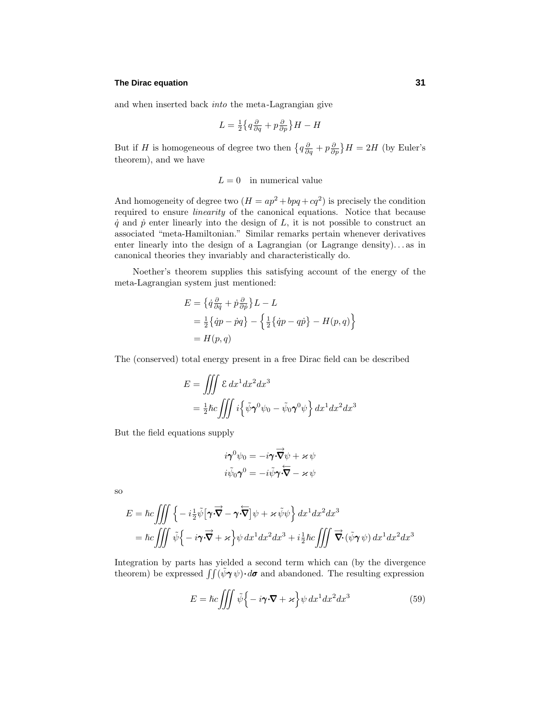#### **The Dirac equation 31**

and when inserted back into the meta-Lagrangian give

$$
L = \frac{1}{2} \left\{ q \frac{\partial}{\partial q} + p \frac{\partial}{\partial p} \right\} H - H
$$

But if *H* is homogeneous of degree two then  $\{q\frac{\partial}{\partial q}+p\frac{\partial}{\partial p}\}H=2H$  (by Euler's theorem), and we have

 $L = 0$  in numerical value

And homogeneity of degree two  $(H = ap^2 + bpq + cq^2)$  is precisely the condition required to ensure *linearity* of the canonical equations. Notice that because  $\dot{q}$  and  $\dot{p}$  enter linearly into the design of  $L$ , it is not possible to construct an associated "meta-Hamiltonian." Similar remarks pertain whenever derivatives enter linearly into the design of a Lagrangian (or Lagrange density)*...* as in canonical theories they invariably and characteristically do.

Noether's theorem supplies this satisfying account of the energy of the meta-Lagrangian system just mentioned:

$$
E = \left\{ \dot{q} \frac{\partial}{\partial \dot{q}} + \dot{p} \frac{\partial}{\partial \dot{p}} \right\} L - L
$$
  
=  $\frac{1}{2} \left\{ \dot{q}p - \dot{p}q \right\} - \left\{ \frac{1}{2} \left\{ \dot{q}p - q\dot{p} \right\} - H(p, q) \right\}$   
=  $H(p, q)$ 

The (conserved) total energy present in a free Dirac field can be described

$$
E = \iiint \mathcal{E} dx^1 dx^2 dx^3
$$
  
=  $\frac{1}{2} \hbar c \iiint i \left\{ \tilde{\psi} \gamma^0 \psi_0 - \tilde{\psi}_0 \gamma^0 \psi \right\} dx^1 dx^2 dx^3$ 

But the field equations supply

$$
i\boldsymbol{\gamma}^{0}\psi_{0} = -i\boldsymbol{\gamma}\cdot\overrightarrow{\boldsymbol{\nabla}}\psi + \varkappa\,\psi
$$

$$
i\tilde{\psi}_{0}\boldsymbol{\gamma}^{0} = -i\tilde{\psi}\boldsymbol{\gamma}\cdot\overleftarrow{\boldsymbol{\nabla}} - \varkappa\,\psi
$$

so

$$
E = \hbar c \iiint \left\{ -i\frac{1}{2}\tilde{\psi} \left[ \mathbf{\gamma} \cdot \overrightarrow{\mathbf{\nabla}} - \mathbf{\gamma} \cdot \overleftarrow{\mathbf{\nabla}} \right] \psi + \varkappa \tilde{\psi} \psi \right\} dx^1 dx^2 dx^3
$$
  
=  $\hbar c \iiint \tilde{\psi} \left\{ -i\mathbf{\gamma} \cdot \overrightarrow{\mathbf{\nabla}} + \varkappa \right\} \psi dx^1 dx^2 dx^3 + i\frac{1}{2}\hbar c \iiint \overrightarrow{\mathbf{\nabla}} \cdot (\tilde{\psi} \mathbf{\gamma} \psi) dx^1 dx^2 dx^3$ 

Integration by parts has yielded a second term which can (by the divergence theorem) be expressed  $\iint (\tilde{\psi}\gamma \psi) \cdot d\sigma$  and abandoned. The resulting expression

$$
E = \hbar c \iiint \tilde{\psi} \left\{ -i\boldsymbol{\gamma} \cdot \boldsymbol{\nabla} + \varkappa \right\} \psi \, dx^1 dx^2 dx^3 \tag{59}
$$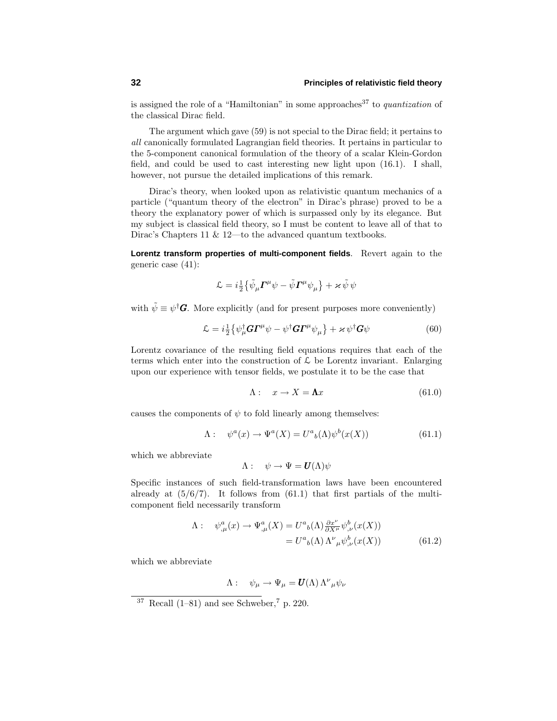is assigned the role of a "Hamiltonian" in some approaches<sup>37</sup> to *quantization* of the classical Dirac field.

The argument which gave (59) is not special to the Dirac field; it pertains to all canonically formulated Lagrangian field theories. It pertains in particular to the 5-component canonical formulation of the theory of a scalar Klein-Gordon field, and could be used to cast interesting new light upon (16.1). I shall, however, not pursue the detailed implications of this remark.

Dirac's theory, when looked upon as relativistic quantum mechanics of a particle ("quantum theory of the electron" in Dirac's phrase) proved to be a theory the explanatory power of which is surpassed only by its elegance. But my subject is classical field theory, so I must be content to leave all of that to Dirac's Chapters 11 & 12—to the advanced quantum textbooks.

**Lorentz transform properties of multi-component fields**. Revert again to the generic case (41):

$$
\mathcal{L}=i\tfrac{1}{2}\big\{\tilde{\psi}_\mu\pmb{\Gamma}^\mu\psi-\tilde{\psi}\pmb{\Gamma}^\mu\psi_\mu\big\}+\varkappa\,\tilde{\psi}\,\psi
$$

with  $\tilde{\psi} \equiv \psi^{\dagger} \mathbf{G}$ . More explicitly (and for present purposes more conveniently)

$$
\mathcal{L} = i \frac{1}{2} \{ \psi_{\mu}^{\dagger} \mathbf{G} \mathbf{\Gamma}^{\mu} \psi - \psi^{\dagger} \mathbf{G} \mathbf{\Gamma}^{\mu} \psi_{\mu} \} + \varkappa \psi^{\dagger} \mathbf{G} \psi \tag{60}
$$

Lorentz covariance of the resulting field equations requires that each of the terms which enter into the construction of  $\mathcal{L}$  be Lorentz invariant. Enlarging upon our experience with tensor fields, we postulate it to be the case that

$$
\Lambda: \quad x \to X = \Lambda x \tag{61.0}
$$

causes the components of  $\psi$  to fold linearly among themselves:

$$
\Lambda: \quad \psi^a(x) \to \Psi^a(X) = U^a{}_b(\Lambda)\psi^b(x(X)) \tag{61.1}
$$

which we abbreviate

$$
\Lambda: \quad \psi \to \Psi = \boldsymbol{U}(\Lambda)\psi
$$

Specific instances of such field-transformation laws have been encountered already at  $(5/6/7)$ . It follows from  $(61.1)$  that first partials of the multicomponent field necessarily transform

$$
\Lambda: \quad \psi^a_{,\mu}(x) \to \Psi^a_{,\mu}(X) = U^a{}_b(\Lambda) \frac{\partial x^{\nu}}{\partial X^{\mu}} \psi^b_{,\nu}(x(X))
$$

$$
= U^a{}_b(\Lambda) \Lambda^{\nu}{}_{\mu} \psi^b_{,\nu}(x(X)) \tag{61.2}
$$

which we abbreviate

$$
\Lambda: \quad \psi_{\mu} \to \Psi_{\mu} = \mathbf{U}(\Lambda) \Lambda^{\nu}{}_{\mu} \psi_{\nu}
$$

 $^{37}$  Recall (1–81) and see Schweber,  $7$  p. 220.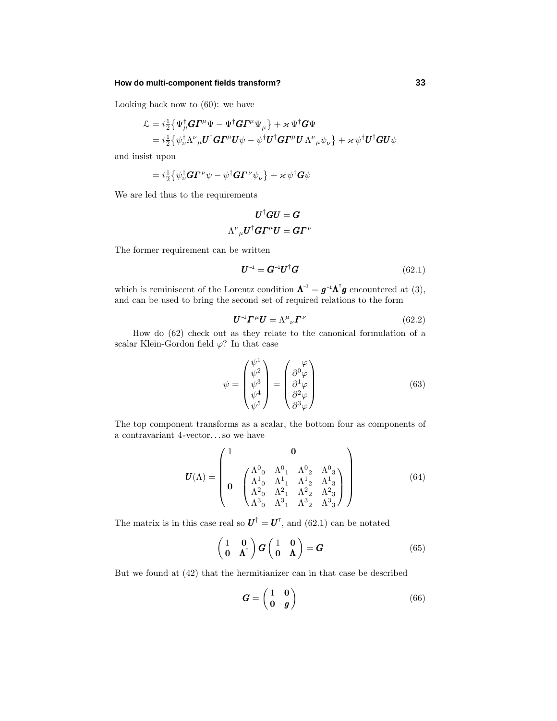#### **How do multi-component fields transform? 33**

Looking back now to  $(60)$ : we have

$$
\mathcal{L} = i\frac{1}{2} \left\{ \Psi_{\mu}^{\dagger} \mathbf{G} \mathbf{\Gamma}^{\mu} \Psi - \Psi^{\dagger} \mathbf{G} \mathbf{\Gamma}^{\mu} \Psi_{\mu} \right\} + \varkappa \Psi^{\dagger} \mathbf{G} \Psi
$$
  
=  $i\frac{1}{2} \left\{ \psi_{\nu}^{\dagger} \Lambda^{\nu}{}_{\mu} \mathbf{U}^{\dagger} \mathbf{G} \mathbf{\Gamma}^{\mu} \mathbf{U} \psi - \psi^{\dagger} \mathbf{U}^{\dagger} \mathbf{G} \mathbf{\Gamma}^{\mu} \mathbf{U} \Lambda^{\nu}{}_{\mu} \psi_{\nu} \right\} + \varkappa \psi^{\dagger} \mathbf{U}^{\dagger} \mathbf{G} \mathbf{U} \psi$ 

and insist upon

$$
=i\tfrac{1}{2}\big\{\psi^\dagger_\nu\bm{G}\bm{\varGamma}^\nu\psi-\psi^\dagger\bm{G}\bm{\varGamma}^\nu\psi_\nu\big\}+\varkappa\,\psi^\dagger\bm{G}\psi
$$

We are led thus to the requirements

$$
\bm{U}^\dagger \bm{G} \bm{U} = \bm{G} \\ {\Lambda^\nu}_\mu \bm{U}^\dagger \bm{G} \bm{\Gamma}^\mu \bm{U} = \bm{G} \bm{\Gamma}^\nu
$$

The former requirement can be written

$$
\boldsymbol{U}^{-1} = \boldsymbol{G}^{-1} \boldsymbol{U}^{\dagger} \boldsymbol{G} \tag{62.1}
$$

which is reminiscent of the Lorentz condition  $\mathbf{\Lambda}^{-1} = \mathbf{g}^{-1} \mathbf{\Lambda}^{\mathsf{T}} \mathbf{g}$  encountered at (3), and can be used to bring the second set of required relations to the form

$$
\mathbf{U}^{-1}\mathbf{\Gamma}^{\mu}\mathbf{U} = \Lambda^{\mu}{}_{\nu}\mathbf{\Gamma}^{\nu} \tag{62.2}
$$

How do (62) check out as they relate to the canonical formulation of a scalar Klein-Gordon field  $\varphi$ ? In that case

$$
\psi = \begin{pmatrix} \psi^1 \\ \psi^2 \\ \psi^3 \\ \psi^4 \\ \psi^5 \end{pmatrix} = \begin{pmatrix} \varphi \\ \partial^0 \varphi \\ \partial^1 \varphi \\ \partial^2 \varphi \\ \partial^3 \varphi \end{pmatrix}
$$
(63)

The top component transforms as a scalar, the bottom four as components of a contravariant 4-vector*...*so we have

$$
\boldsymbol{U}(\Lambda) = \begin{pmatrix} 1 & \mathbf{0} \\ \mathbf{0} & \begin{pmatrix} \Lambda^0{}_0 & \Lambda^0{}_1 & \Lambda^0{}_2 & \Lambda^0{}_3 \\ \Lambda^1{}_0 & \Lambda^1{}_1 & \Lambda^1{}_2 & \Lambda^1{}_3 \\ \Lambda^2{}_0 & \Lambda^2{}_1 & \Lambda^2{}_2 & \Lambda^2{}_3 \\ \Lambda^3{}_0 & \Lambda^3{}_1 & \Lambda^3{}_2 & \Lambda^3{}_3 \end{pmatrix} \end{pmatrix}
$$
(64)

The matrix is in this case real so  $\boldsymbol{U}^{\dagger} = \boldsymbol{U}^{\dagger}$ , and (62.1) can be notated

$$
\begin{pmatrix} 1 & \mathbf{0} \\ \mathbf{0} & \mathbf{\Lambda}^{\mathsf{T}} \end{pmatrix} \mathbf{G} \begin{pmatrix} 1 & \mathbf{0} \\ \mathbf{0} & \mathbf{\Lambda} \end{pmatrix} = \mathbf{G} \tag{65}
$$

But we found at (42) that the hermitianizer can in that case be described

$$
\boldsymbol{G} = \begin{pmatrix} 1 & \mathbf{0} \\ \mathbf{0} & \boldsymbol{g} \end{pmatrix} \tag{66}
$$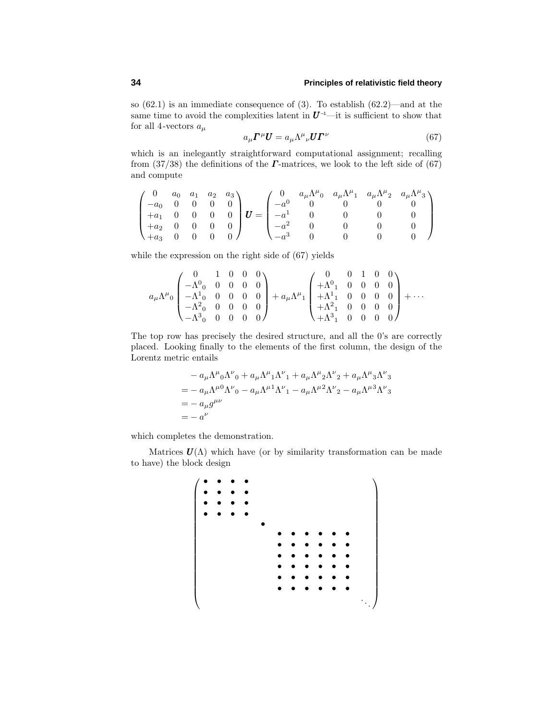so (62.1) is an immediate consequence of (3). To establish (62.2)—and at the same time to avoid the complexities latent in  $U^{-1}$ —it is sufficient to show that for all 4-vectors  $a_\mu$ 

$$
a_{\mu} \mathbf{\Gamma}^{\mu} \mathbf{U} = a_{\mu} \Lambda^{\mu}{}_{\nu} \mathbf{U} \mathbf{\Gamma}^{\nu} \tag{67}
$$

which is an inelegantly straightforward computational assignment; recalling from  $(37/38)$  the definitions of the *Γ*-matrices, we look to the left side of  $(67)$ and compute

$$
\begin{pmatrix}\n0 & a_0 & a_1 & a_2 & a_3 \\
-a_0 & 0 & 0 & 0 & 0 \\
+a_1 & 0 & 0 & 0 & 0 \\
+a_2 & 0 & 0 & 0 & 0 \\
+a_3 & 0 & 0 & 0 & 0\n\end{pmatrix}\n\boldsymbol{U} = \begin{pmatrix}\n0 & a_\mu \Lambda^\mu{}_0 & a_\mu \Lambda^\mu{}_1 & a_\mu \Lambda^\mu{}_2 & a_\mu \Lambda^\mu{}_3 \\
-a_0^0 & 0 & 0 & 0 & 0 \\
-a_1^1 & 0 & 0 & 0 & 0 \\
-a_2^2 & 0 & 0 & 0 & 0 \\
-a_3^3 & 0 & 0 & 0 & 0\n\end{pmatrix}
$$

while the expression on the right side of (67) yields

$$
a_{\mu}\Lambda^{\mu}{}_{0}\left(\begin{array}{cccccc} 0 & 1 & 0 & 0 & 0 \\ -\Lambda^{0}{}_{0} & 0 & 0 & 0 & 0 \\ -\Lambda^{1}{}_{0} & 0 & 0 & 0 & 0 \\ -\Lambda^{2}{}_{0} & 0 & 0 & 0 & 0 \\ -\Lambda^{3}{}_{0} & 0 & 0 & 0 & 0 \end{array}\right) + a_{\mu}\Lambda^{\mu}{}_{1}\left(\begin{array}{cccccc} 0 & 0 & 1 & 0 & 0 \\ +\Lambda^{0}{}_{1} & 0 & 0 & 0 & 0 \\ +\Lambda^{1}{}_{1} & 0 & 0 & 0 & 0 \\ +\Lambda^{2}{}_{1} & 0 & 0 & 0 & 0 \\ +\Lambda^{3}{}_{1} & 0 & 0 & 0 & 0 \end{array}\right) + \cdots
$$

The top row has precisely the desired structure, and all the 0's are correctly placed. Looking finally to the elements of the first column, the design of the Lorentz metric entails

$$
- a_{\mu} \Lambda^{\mu}{}_{0} \Lambda^{\nu}{}_{0} + a_{\mu} \Lambda^{\mu}{}_{1} \Lambda^{\nu}{}_{1} + a_{\mu} \Lambda^{\mu}{}_{2} \Lambda^{\nu}{}_{2} + a_{\mu} \Lambda^{\mu}{}_{3} \Lambda^{\nu}{}_{3}
$$
  
=  $- a_{\mu} \Lambda^{\mu}{}_{0} \Lambda^{\nu}{}_{0} - a_{\mu} \Lambda^{\mu}{}_{1} \Lambda^{\nu}{}_{1} - a_{\mu} \Lambda^{\mu}{}_{2} \Lambda^{\nu}{}_{2} - a_{\mu} \Lambda^{\mu}{}_{3} \Lambda^{\nu}{}_{3}$   
=  $- a_{\mu} g^{\mu \nu}$   
=  $- a^{\nu}$ 

which completes the demonstration.

Matrices  $U(\Lambda)$  which have (or by similarity transformation can be made to have) the block design

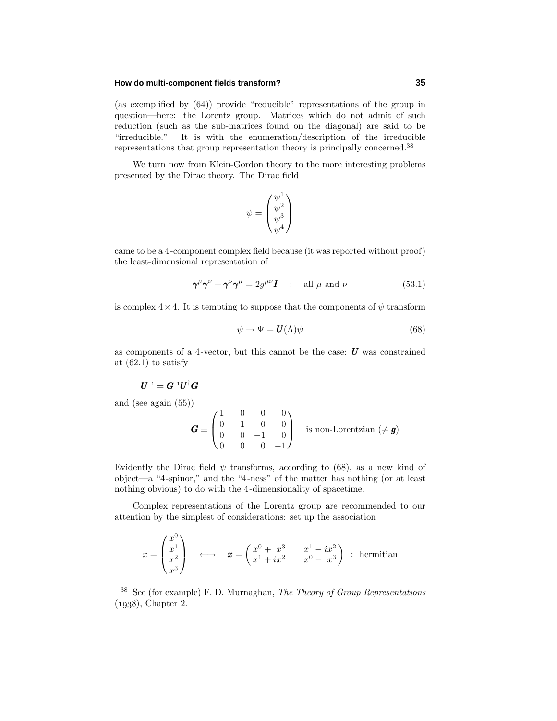#### **How do multi-component fields transform? 35**

(as exemplified by (64)) provide "reducible" representations of the group in question—here: the Lorentz group. Matrices which do not admit of such reduction (such as the sub-matrices found on the diagonal) are said to be "irreducible." It is with the enumeration/description of the irreducible representations that group representation theory is principally concerned.<sup>38</sup>

We turn now from Klein-Gordon theory to the more interesting problems presented by the Dirac theory. The Dirac field

$$
\psi = \begin{pmatrix} \psi^1 \\ \psi^2 \\ \psi^3 \\ \psi^4 \end{pmatrix}
$$

came to be a 4-component complex field because (it was reported without proof) the least-dimensional representation of

$$
\gamma^{\mu}\gamma^{\nu} + \gamma^{\nu}\gamma^{\mu} = 2g^{\mu\nu}\mathbf{I} \quad : \quad \text{all } \mu \text{ and } \nu \tag{53.1}
$$

is complex  $4 \times 4$ . It is tempting to suppose that the components of  $\psi$  transform

$$
\psi \to \Psi = \mathbf{U}(\Lambda)\psi \tag{68}
$$

as components of a 4-vector, but this cannot be the case:  $U$  was constrained at (62.1) to satisfy

$$
\boldsymbol{U}^{\scriptscriptstyle -1}=\boldsymbol{G}^{\scriptscriptstyle -1}\boldsymbol{U}^{\dagger}\boldsymbol{G}
$$

and (see again (55))

$$
\mathbf{G} \equiv \begin{pmatrix} 1 & 0 & 0 & 0 \\ 0 & 1 & 0 & 0 \\ 0 & 0 & -1 & 0 \\ 0 & 0 & 0 & -1 \end{pmatrix} \text{ is non-Lorentzian } (\neq \mathbf{g})
$$

Evidently the Dirac field  $\psi$  transforms, according to (68), as a new kind of object—a "4-spinor," and the "4-ness" of the matter has nothing (or at least nothing obvious) to do with the 4-dimensionality of spacetime.

Complex representations of the Lorentz group are recommended to our attention by the simplest of considerations: set up the association

$$
x = \begin{pmatrix} x^0 \\ x^1 \\ x^2 \\ x^3 \end{pmatrix} \quad \longleftrightarrow \quad \pmb{x} = \begin{pmatrix} x^0 + x^3 & x^1 - ix^2 \\ x^1 + ix^2 & x^0 - x^3 \end{pmatrix} \; : \; \text{hermitian}
$$

 $38$  See (for example) F. D. Murnaghan, The Theory of Group Representations  $(1938)$ , Chapter 2.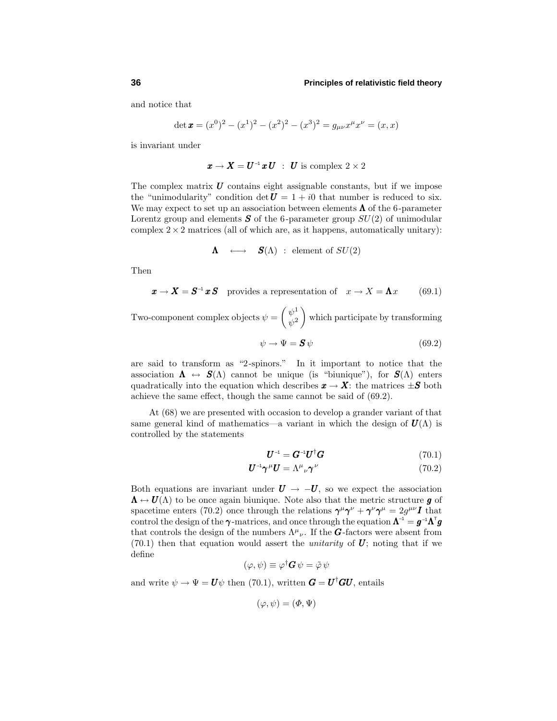and notice that

$$
\det \boldsymbol{x} = (x^0)^2 - (x^1)^2 - (x^2)^2 - (x^3)^2 = g_{\mu\nu} x^{\mu} x^{\nu} = (x, x)
$$

is invariant under

$$
\boldsymbol{x} \to \boldsymbol{X} = \boldsymbol{U}^{-1} \boldsymbol{x} \boldsymbol{U} \; : \; \boldsymbol{U} \; \text{is complex} \; 2 \times 2
$$

The complex matrix  $\boldsymbol{U}$  contains eight assignable constants, but if we impose the "unimodularity" condition det  $U = 1 + i0$  that number is reduced to six. We may expect to set up an association between elements  $\Lambda$  of the 6-parameter Lorentz group and elements  $S$  of the 6-parameter group  $SU(2)$  of unimodular complex  $2 \times 2$  matrices (all of which are, as it happens, automatically unitary):

$$
\Lambda \quad \longleftrightarrow \quad \mathbf{S}(\Lambda) \; : \; \text{element of } SU(2)
$$

Then

$$
\boldsymbol{x} \to \boldsymbol{X} = \boldsymbol{S}^{-1} \boldsymbol{x} \boldsymbol{S} \quad \text{provides a representation of} \quad \boldsymbol{x} \to \boldsymbol{X} = \boldsymbol{\Lambda} \boldsymbol{x} \tag{69.1}
$$

Two-component complex objects  $\psi = \begin{pmatrix} \psi^1 \\ \psi^2 \end{pmatrix}$  $\psi^2$ which participate by transforming

$$
\psi \to \Psi = \mathbf{S} \,\psi \tag{69.2}
$$

are said to transform as "2-spinors." In it important to notice that the association  $\Lambda \leftrightarrow S(\Lambda)$  cannot be unique (is "biunique"), for  $S(\Lambda)$  enters quadratically into the equation which describes  $x \to X$ : the matrices  $\pm S$  both achieve the same effect, though the same cannot be said of (69.2).

At (68) we are presented with occasion to develop a grander variant of that same general kind of mathematics—a variant in which the design of  $U(\Lambda)$  is controlled by the statements

$$
\boldsymbol{U}^{-1} = \boldsymbol{G}^{-1} \boldsymbol{U}^{\dagger} \boldsymbol{G} \tag{70.1}
$$

$$
\boldsymbol{U}^{-1}\boldsymbol{\gamma}^{\mu}\boldsymbol{U} = \Lambda^{\mu}{}_{\nu}\boldsymbol{\gamma}^{\nu} \tag{70.2}
$$

Both equations are invariant under  $U \rightarrow -U$ , so we expect the association  $\Lambda \leftrightarrow U(\Lambda)$  to be once again biunique. Note also that the metric structure *g* of spacetime enters (70.2) once through the relations  $\gamma^{\mu}\gamma^{\nu} + \gamma^{\nu}\gamma^{\mu} = 2g^{\mu\nu}I$  that control the design of the  $\gamma$ -matrices, and once through the equation  $\mathbf{\Lambda}^{-1} = \boldsymbol{g}^{-1} \mathbf{\Lambda}^{\text{T}} \boldsymbol{g}$ that controls the design of the numbers  $\Lambda^{\mu}{}_{\nu}$ . If the *G*-factors were absent from  $(70.1)$  then that equation would assert the *unitarity* of  $U$ ; noting that if we define

$$
(\varphi, \psi) \equiv \varphi^{\dagger} \mathbf{G} \psi = \tilde{\varphi} \psi
$$

and write  $\psi \to \Psi = \mathbf{U}\psi$  then (70.1), written  $\mathbf{G} = \mathbf{U}^{\dagger} \mathbf{G} \mathbf{U}$ , entails

$$
(\varphi, \psi) = (\varPhi, \Psi)
$$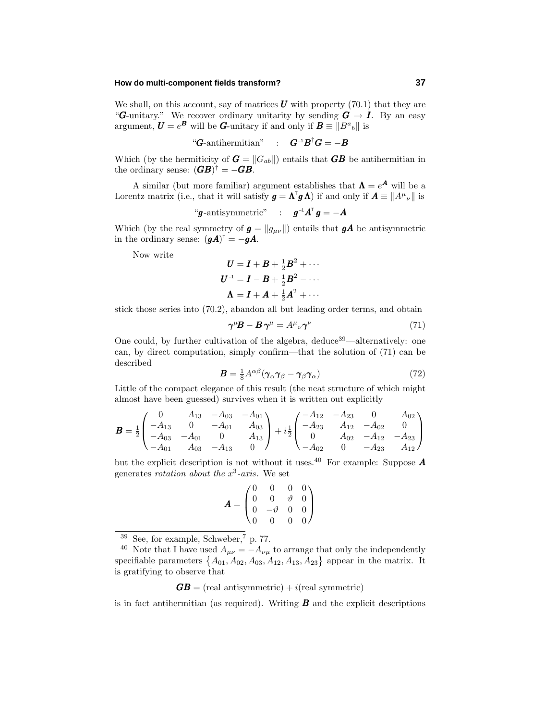#### **How do multi-component fields transform? 37**

We shall, on this account, say of matrices  $\boldsymbol{U}$  with property (70.1) that they are "*G*-unitary." We recover ordinary unitarity by sending  $G \to I$ . By an easy argument,  $\boldsymbol{U} = e^{\boldsymbol{B}}$  will be  $\boldsymbol{G}$ -unitary if and only if  $\boldsymbol{B} \equiv ||B^a{}_b||$  is

"G-antihermitian" : 
$$
G^{-1}B^{\dagger}G = -B
$$

Which (by the hermiticity of  $\mathbf{G} = ||G_{ab}||$ ) entails that  $\mathbf{G}\mathbf{B}$  be antihermitian in the ordinary sense:  $(\mathbf{G}\mathbf{B})^{\dagger} = -\mathbf{G}\mathbf{B}$ .

A similar (but more familiar) argument establishes that  $\Lambda = e^{\mathbf{A}}$  will be a Lorentz matrix (i.e., that it will satisfy  $g = \Lambda^T g \Lambda$ ) if and only if  $A \equiv ||A^{\mu}{}_{\nu}||$  is

"
$$
\boldsymbol{g}
$$
-antisymmetric" :  $\boldsymbol{g}^{-1}\boldsymbol{A}^{\mathsf{T}}\boldsymbol{g} = -\boldsymbol{A}$ 

Which (by the real symmetry of  $g = ||g_{\mu\nu}||$ ) entails that  $gA$  be antisymmetric in the ordinary sense:  $(gA)^{\dagger} = -gA$ .

Now write

$$
U = I + B + \frac{1}{2}B^2 + \cdots
$$
  
\n
$$
U^{-1} = I - B + \frac{1}{2}B^2 - \cdots
$$
  
\n
$$
\Lambda = I + A + \frac{1}{2}A^2 + \cdots
$$

stick those series into (70.2), abandon all but leading order terms, and obtain

$$
\gamma^{\mu}B - B \gamma^{\mu} = A^{\mu}{}_{\nu}\gamma^{\nu} \tag{71}
$$

One could, by further cultivation of the algebra, deduce  $39$ —alternatively: one can, by direct computation, simply confirm—that the solution of (71) can be described

$$
\boldsymbol{B} = \frac{1}{8} A^{\alpha\beta} (\boldsymbol{\gamma}_{\alpha} \boldsymbol{\gamma}_{\beta} - \boldsymbol{\gamma}_{\beta} \boldsymbol{\gamma}_{\alpha})
$$
(72)

Little of the compact elegance of this result (the neat structure of which might almost have been guessed) survives when it is written out explicitly

$$
B = \frac{1}{2} \begin{pmatrix} 0 & A_{13} & -A_{03} & -A_{01} \\ -A_{13} & 0 & -A_{01} & A_{03} \\ -A_{03} & -A_{01} & 0 & A_{13} \\ -A_{01} & A_{03} & -A_{13} & 0 \end{pmatrix} + i\frac{1}{2} \begin{pmatrix} -A_{12} & -A_{23} & 0 & A_{02} \\ -A_{23} & A_{12} & -A_{02} & 0 \\ 0 & A_{02} & -A_{12} & -A_{23} \\ -A_{02} & 0 & -A_{23} & A_{12} \end{pmatrix}
$$

but the explicit description is not without it uses.<sup>40</sup> For example: Suppose  $\boldsymbol{A}$ generates rotation about the *x*<sup>3</sup>-axis. We set

$$
\mathbf{A} = \begin{pmatrix} 0 & 0 & 0 & 0 \\ 0 & 0 & \vartheta & 0 \\ 0 & -\vartheta & 0 & 0 \\ 0 & 0 & 0 & 0 \end{pmatrix}
$$

 $GB = (real antisymmetric) + i(real symmetric)$ 

is in fact antihermitian (as required). Writing  $\bm{B}$  and the explicit descriptions

 $\frac{39}{38}$  See, for example, Schweber, p. 77.

<sup>&</sup>lt;sup>40</sup> Note that I have used  $A_{\mu\nu} = -A_{\nu\mu}$  to arrange that only the independently specifiable parameters  $\{A_{01}, A_{02}, A_{03}, A_{12}, A_{13}, A_{23}\}$  appear in the matrix. It is gratifying to observe that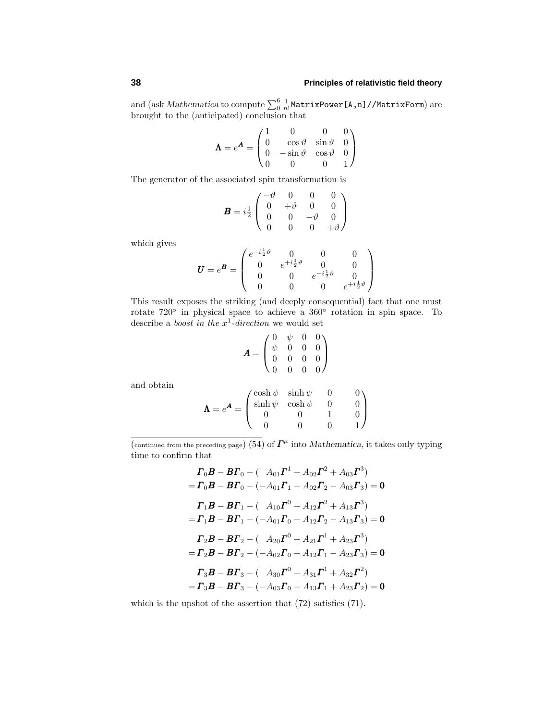and (ask  $Mathematica$  to compute  $\sum_{0}^{6}\frac{1}{n!}\texttt{MatrixPower}\texttt{[A,n]}/\texttt{MatrixForm)}$  are brought to the (anticipated) conclusion that

$$
\mathbf{\Lambda} = e^{\mathbf{A}} = \begin{pmatrix} 1 & 0 & 0 & 0 \\ 0 & \cos \vartheta & \sin \vartheta & 0 \\ 0 & -\sin \vartheta & \cos \vartheta & 0 \\ 0 & 0 & 0 & 1 \end{pmatrix}
$$

The generator of the associated spin transformation is

$$
B = i\frac{1}{2} \begin{pmatrix} -\vartheta & 0 & 0 & 0 \\ 0 & +\vartheta & 0 & 0 \\ 0 & 0 & -\vartheta & 0 \\ 0 & 0 & 0 & +\vartheta \end{pmatrix}
$$

which gives

$$
\mathbf{U} = e^{\mathbf{B}} = \begin{pmatrix} e^{-i\frac{1}{2}\vartheta} & 0 & 0 & 0 \\ 0 & e^{+i\frac{1}{2}\vartheta} & 0 & 0 \\ 0 & 0 & e^{-i\frac{1}{2}\vartheta} & 0 \\ 0 & 0 & 0 & e^{+i\frac{1}{2}\vartheta} \end{pmatrix}
$$

This result exposes the striking (and deeply consequential) fact that one must rotate 720◦ in physical space to achieve a 360◦ rotation in spin space. To describe a boost in the *x*<sup>1</sup>-direction we would set

$$
\mathbf{A} = \begin{pmatrix} 0 & \psi & 0 & 0 \\ \psi & 0 & 0 & 0 \\ 0 & 0 & 0 & 0 \\ 0 & 0 & 0 & 0 \end{pmatrix}
$$

and obtain

$$
\mathbf{\Lambda} = e^{\mathbf{A}} = \begin{pmatrix} \cosh \psi & \sinh \psi & 0 & 0 \\ \sinh \psi & \cosh \psi & 0 & 0 \\ 0 & 0 & 1 & 0 \\ 0 & 0 & 0 & 1 \end{pmatrix}
$$

(continued from the preceding page)  $\overline{(54)}$  of  $\overline{I}^{\mu}$  into *Mathematica*, it takes only typing time to confirm that

$$
\mathbf{F}_0 \mathbf{B} - \mathbf{B} \mathbf{\Gamma}_0 - (A_{01} \mathbf{\Gamma}^1 + A_{02} \mathbf{\Gamma}^2 + A_{03} \mathbf{\Gamma}^3)
$$
  
=  $\mathbf{\Gamma}_0 \mathbf{B} - \mathbf{B} \mathbf{\Gamma}_0 - (-A_{01} \mathbf{\Gamma}_1 - A_{02} \mathbf{\Gamma}_2 - A_{03} \mathbf{\Gamma}_3) = \mathbf{0}$   
 $\mathbf{\Gamma}_1 \mathbf{B} - \mathbf{B} \mathbf{\Gamma}_1 - (A_{10} \mathbf{\Gamma}^0 + A_{12} \mathbf{\Gamma}^2 + A_{13} \mathbf{\Gamma}^3)$   
=  $\mathbf{\Gamma}_1 \mathbf{B} - \mathbf{B} \mathbf{\Gamma}_1 - (-A_{01} \mathbf{\Gamma}_0 - A_{12} \mathbf{\Gamma}_2 - A_{13} \mathbf{\Gamma}_3) = \mathbf{0}$   
 $\mathbf{\Gamma}_2 \mathbf{B} - \mathbf{B} \mathbf{\Gamma}_2 - (A_{20} \mathbf{\Gamma}^0 + A_{21} \mathbf{\Gamma}^1 + A_{23} \mathbf{\Gamma}^3)$   
=  $\mathbf{\Gamma}_2 \mathbf{B} - \mathbf{B} \mathbf{\Gamma}_2 - (-A_{02} \mathbf{\Gamma}_0 + A_{12} \mathbf{\Gamma}_1 - A_{23} \mathbf{\Gamma}_3) = \mathbf{0}$   
 $\mathbf{\Gamma}_3 \mathbf{B} - \mathbf{B} \mathbf{\Gamma}_3 - (A_{30} \mathbf{\Gamma}^0 + A_{31} \mathbf{\Gamma}^1 + A_{32} \mathbf{\Gamma}^2)$   
=  $\mathbf{\Gamma}_3 \mathbf{B} - \mathbf{B} \mathbf{\Gamma}_3 - (-A_{03} \mathbf{\Gamma}_0 + A_{13} \mathbf{\Gamma}_1 + A_{23} \mathbf{\Gamma}_2) = \mathbf{0}$ 

which is the upshot of the assertion that (72) satisfies (71).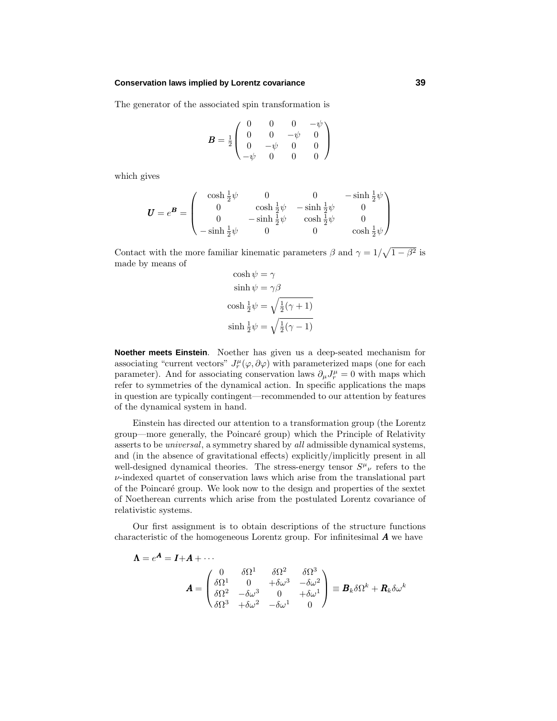#### **Conservation laws implied by Lorentz covariance 39**

The generator of the associated spin transformation is

$$
\boldsymbol{B} = \frac{1}{2} \begin{pmatrix} 0 & 0 & 0 & -\psi \\ 0 & 0 & -\psi & 0 \\ 0 & -\psi & 0 & 0 \\ -\psi & 0 & 0 & 0 \end{pmatrix}
$$

which gives

$$
\mathbf{U} = e^{\mathbf{B}} = \begin{pmatrix} \cosh \frac{1}{2} \psi & 0 & 0 & -\sinh \frac{1}{2} \psi \\ 0 & \cosh \frac{1}{2} \psi & -\sinh \frac{1}{2} \psi & 0 \\ 0 & -\sinh \frac{1}{2} \psi & \cosh \frac{1}{2} \psi & 0 \\ -\sinh \frac{1}{2} \psi & 0 & 0 & \cosh \frac{1}{2} \psi \end{pmatrix}
$$

Contact with the more familiar kinematic parameters  $\beta$  and  $\gamma = 1/\sqrt{1 - \beta^2}$  is made by means of

$$
\cosh \psi = \gamma
$$
  
\n
$$
\sinh \psi = \gamma \beta
$$
  
\n
$$
\cosh \frac{1}{2} \psi = \sqrt{\frac{1}{2}(\gamma + 1)}
$$
  
\n
$$
\sinh \frac{1}{2} \psi = \sqrt{\frac{1}{2}(\gamma - 1)}
$$

**Noether meets Einstein**. Noether has given us a deep-seated mechanism for associating "current vectors"  $J_r^{\mu}(\varphi, \partial \varphi)$  with parameterized maps (one for each parameter). And for associating conservation laws  $\partial_{\mu}J^{\mu}_{r} = 0$  with maps which refer to symmetries of the dynamical action. In specific applications the maps in question are typically contingent—recommended to our attention by features of the dynamical system in hand.

Einstein has directed our attention to a transformation group (the Lorentz group—more generally, the Poincar´e group) which the Principle of Relativity asserts to be universal, a symmetry shared by all admissible dynamical systems, and (in the absence of gravitational effects) explicitly/implicitly present in all well-designed dynamical theories. The stress-energy tensor  $S^{\mu}{}_{\nu}$  refers to the *ν*-indexed quartet of conservation laws which arise from the translational part of the Poincar´e group. We look now to the design and properties of the sextet of Noetherean currents which arise from the postulated Lorentz covariance of relativistic systems.

Our first assignment is to obtain descriptions of the structure functions characteristic of the homogeneous Lorentz group. For infinitesimal *A* we have

$$
\mathbf{\Lambda} = e^{\mathbf{A}} = \mathbf{I} + \mathbf{A} + \cdots
$$

$$
\mathbf{A} = \begin{pmatrix} 0 & \delta \Omega^1 & \delta \Omega^2 & \delta \Omega^3 \\ \delta \Omega^1 & 0 & +\delta \omega^3 & -\delta \omega^2 \\ \delta \Omega^2 & -\delta \omega^3 & 0 & +\delta \omega^1 \\ \delta \Omega^3 & +\delta \omega^2 & -\delta \omega^1 & 0 \end{pmatrix} \equiv \mathbf{B}_k \delta \Omega^k + \mathbf{R}_k \delta \omega^k
$$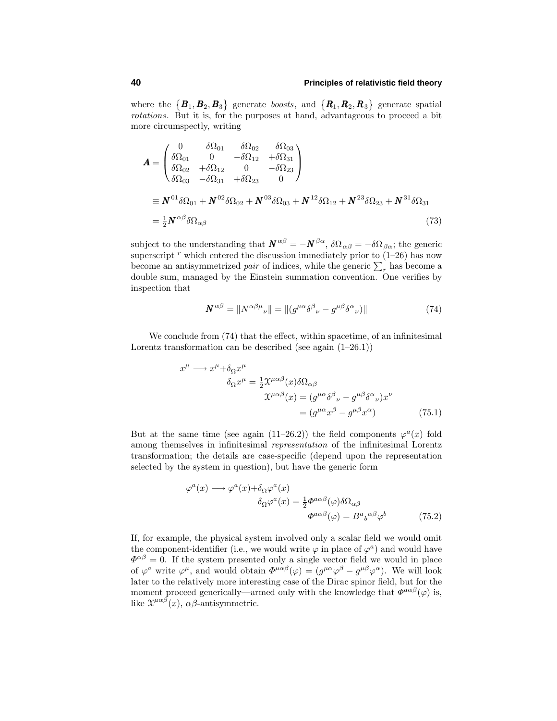where the  $\{B_1, B_2, B_3\}$  generate boosts, and  $\{R_1, R_2, R_3\}$  generate spatial rotations. But it is, for the purposes at hand, advantageous to proceed a bit more circumspectly, writing

$$
\mathbf{A} = \begin{pmatrix} 0 & \delta\Omega_{01} & \delta\Omega_{02} & \delta\Omega_{03} \\ \delta\Omega_{01} & 0 & -\delta\Omega_{12} & +\delta\Omega_{31} \\ \delta\Omega_{02} & +\delta\Omega_{12} & 0 & -\delta\Omega_{23} \\ \delta\Omega_{03} & -\delta\Omega_{31} & +\delta\Omega_{23} & 0 \end{pmatrix}
$$
  
\n
$$
\equiv \mathbf{N}^{01} \delta\Omega_{01} + \mathbf{N}^{02} \delta\Omega_{02} + \mathbf{N}^{03} \delta\Omega_{03} + \mathbf{N}^{12} \delta\Omega_{12} + \mathbf{N}^{23} \delta\Omega_{23} + \mathbf{N}^{31} \delta\Omega_{31}
$$
  
\n
$$
= \frac{1}{2} \mathbf{N}^{\alpha\beta} \delta\Omega_{\alpha\beta}
$$
 (73)

subject to the understanding that  $\mathbf{N}^{\alpha\beta} = -\mathbf{N}^{\beta\alpha}$ ,  $\delta\Omega_{\alpha\beta} = -\delta\Omega_{\beta\alpha}$ ; the generic superscript  $r$  which entered the discussion immediately prior to  $(1-26)$  has now become an antisymmetrized *pair* of indices, while the generic  $\sum_{r}$  has become a double sum, managed by the Einstein summation convention. One verifies by inspection that

$$
\mathbf{N}^{\alpha\beta} = \|N^{\alpha\beta\mu}{}_{\nu}\| = \|(g^{\mu\alpha}\delta^{\beta}{}_{\nu} - g^{\mu\beta}\delta^{\alpha}{}_{\nu})\| \tag{74}
$$

We conclude from  $(74)$  that the effect, within spacetime, of an infinitesimal Lorentz transformation can be described (see again  $(1-26.1)$ )

$$
x^{\mu} \longrightarrow x^{\mu} + \delta_{\Omega} x^{\mu}
$$
  
\n
$$
\delta_{\Omega} x^{\mu} = \frac{1}{2} \mathfrak{X}^{\mu \alpha \beta}(x) \delta \Omega_{\alpha \beta}
$$
  
\n
$$
\mathfrak{X}^{\mu \alpha \beta}(x) = (g^{\mu \alpha} \delta^{\beta}{}_{\nu} - g^{\mu \beta} \delta^{\alpha}{}_{\nu}) x^{\nu}
$$
  
\n
$$
= (g^{\mu \alpha} x^{\beta} - g^{\mu \beta} x^{\alpha})
$$
(75.1)

But at the same time (see again (11–26.2)) the field components  $\varphi^a(x)$  fold among themselves in infinitesimal representation of the infinitesimal Lorentz transformation; the details are case-specific (depend upon the representation selected by the system in question), but have the generic form

$$
\varphi^{a}(x) \longrightarrow \varphi^{a}(x) + \delta_{\Omega} \varphi^{a}(x)
$$

$$
\delta_{\Omega} \varphi^{a}(x) = \frac{1}{2} \Phi^{a\alpha\beta}(\varphi) \delta \Omega_{\alpha\beta}
$$

$$
\Phi^{a\alpha\beta}(\varphi) = B^{a}{}_{b}{}^{\alpha\beta} \varphi^{b} \tag{75.2}
$$

If, for example, the physical system involved only a scalar field we would omit the component-identifier (i.e., we would write  $\varphi$  in place of  $\varphi^a$ ) and would have  $\Phi^{\alpha\beta} = 0$ . If the system presented only a single vector field we would in place of  $\varphi^a$  write  $\varphi^{\mu}$ , and would obtain  $\Phi^{\mu\alpha\beta}(\varphi)=(g^{\mu\alpha}\varphi^{\beta}-g^{\mu\beta}\varphi^{\alpha})$ . We will look later to the relatively more interesting case of the Dirac spinor field, but for the moment proceed generically—armed only with the knowledge that  $\Phi^{a\alpha\beta}(\varphi)$  is, like  $\mathcal{X}^{\mu\alpha\beta}(x)$ ,  $\alpha\beta$ -antisymmetric.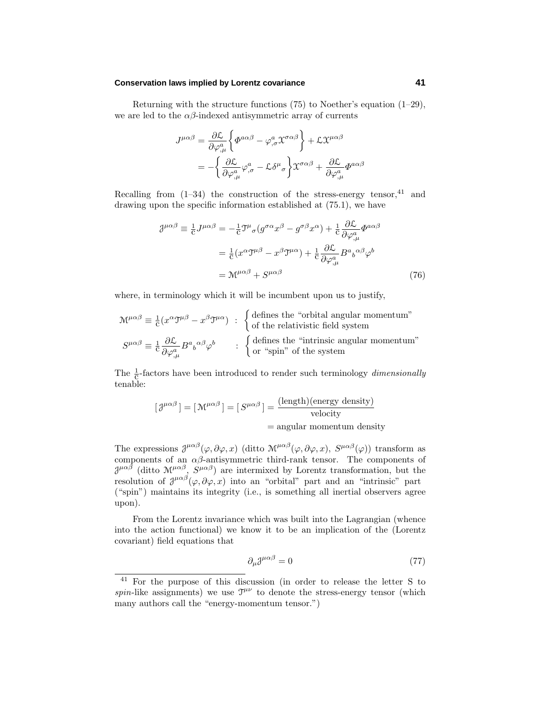#### **Conservation laws implied by Lorentz covariance 41**

Returning with the structure functions (75) to Noether's equation (1–29), we are led to the  $\alpha\beta$ -indexed antisymmetric array of currents

$$
J^{\mu\alpha\beta} = \frac{\partial \mathcal{L}}{\partial \varphi_{,\mu}^{a}} \left\{ \varPhi^{\alpha\alpha\beta} - \varphi_{,\sigma}^{a} \chi^{\sigma\alpha\beta} \right\} + \mathcal{L} \chi^{\mu\alpha\beta}
$$

$$
= -\left\{ \frac{\partial \mathcal{L}}{\partial \varphi_{,\mu}^{a}} \varphi_{,\sigma}^{a} - \mathcal{L} \delta^{\mu}{}_{\sigma} \right\} \chi^{\sigma\alpha\beta} + \frac{\partial \mathcal{L}}{\partial \varphi_{,\mu}^{a}} \varPhi^{a\alpha\beta}
$$

Recalling from  $(1-34)$  the construction of the stress-energy tensor,  $41$  and drawing upon the specific information established at (75.1), we have

$$
\mathcal{J}^{\mu\alpha\beta} \equiv \frac{1}{c} J^{\mu\alpha\beta} = -\frac{1}{c} \mathcal{J}^{\mu}{}_{\sigma} (g^{\sigma\alpha} x^{\beta} - g^{\sigma\beta} x^{\alpha}) + \frac{1}{c} \frac{\partial \mathcal{L}}{\partial \varphi^{a}_{,\mu}} \Phi^{a\alpha\beta}
$$

$$
= \frac{1}{c} (x^{\alpha} \mathcal{J}^{\mu\beta} - x^{\beta} \mathcal{J}^{\mu\alpha}) + \frac{1}{c} \frac{\partial \mathcal{L}}{\partial \varphi^{a}_{,\mu}} B^{a}{}_{b}{}^{\alpha\beta} \varphi^{b}
$$

$$
= \mathcal{M}^{\mu\alpha\beta} + S^{\mu\alpha\beta} \tag{76}
$$

where, in terminology which it will be incumbent upon us to justify,

$$
\mathcal{M}^{\mu\alpha\beta} \equiv \frac{1}{c} (x^{\alpha} \mathcal{T}^{\mu\beta} - x^{\beta} \mathcal{T}^{\mu\alpha}) \; : \; \begin{cases} \text{defines the "orbital angular momentum" } \\ \text{of the relativistic field system} \end{cases}
$$

$$
S^{\mu\alpha\beta} \equiv \frac{1}{c} \frac{\partial \mathcal{L}}{\partial \varphi_{,\mu}^a} B^a{}_b{}^{\alpha\beta} \varphi^b \qquad : \; \begin{cases} \text{defines the "intrinsic angular momentum" } \\ \text{or "spin" of the system} \end{cases}
$$

The  $\frac{1}{c}$ -factors have been introduced to render such terminology *dimensionally* tenable:

$$
[\mathcal{J}^{\mu\alpha\beta}] = [\mathcal{M}^{\mu\alpha\beta}] = [S^{\mu\alpha\beta}] = \frac{(\text{length})(\text{energy density})}{\text{velocity}}
$$

$$
= \text{angular momentum density}
$$

The expressions  $\partial^{\mu\alpha\beta}(\varphi,\partial\varphi,x)$  (ditto  $\mathcal{M}^{\mu\alpha\beta}(\varphi,\partial\varphi,x)$ ,  $S^{\mu\alpha\beta}(\varphi)$ ) transform as components of an *αβ*-antisymmetric third-rank tensor. The components of J*µαβ* (ditto M*µαβ*, *Sµαβ*) are intermixed by Lorentz transformation, but the resolution of  $\partial^{\mu\alpha\beta}(\varphi,\partial\varphi,x)$  into an "orbital" part and an "intrinsic" part ("spin") maintains its integrity (i.e., is something all inertial observers agree upon).

From the Lorentz invariance which was built into the Lagrangian (whence into the action functional) we know it to be an implication of the (Lorentz covariant) field equations that

$$
\partial_{\mu} \mathcal{J}^{\mu \alpha \beta} = 0 \tag{77}
$$

<sup>41</sup> For the purpose of this discussion (in order to release the letter S to spin-like assignments) we use  $\mathcal{T}^{\mu\nu}$  to denote the stress-energy tensor (which many authors call the "energy-momentum tensor.")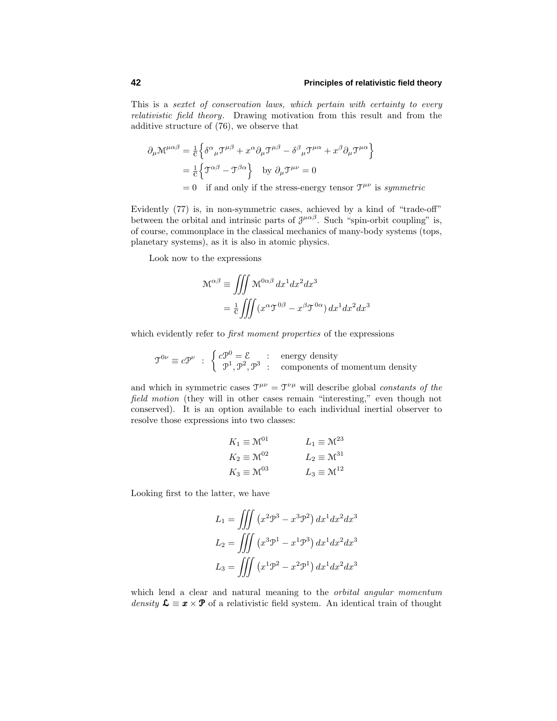This is a sextet of conservation laws, which pertain with certainty to every relativistic field theory. Drawing motivation from this result and from the additive structure of (76), we observe that

$$
\partial_{\mu} \mathcal{M}^{\mu\alpha\beta} = \frac{1}{c} \left\{ \delta^{\alpha}{}_{\mu} \mathcal{T}^{\mu\beta} + x^{\alpha} \partial_{\mu} \mathcal{T}^{\mu\beta} - \delta^{\beta}{}_{\mu} \mathcal{T}^{\mu\alpha} + x^{\beta} \partial_{\mu} \mathcal{T}^{\mu\alpha} \right\}
$$
  
=  $\frac{1}{c} \left\{ \mathcal{T}^{\alpha\beta} - \mathcal{T}^{\beta\alpha} \right\}$  by  $\partial_{\mu} \mathcal{T}^{\mu\nu} = 0$   
= 0 if and only if the stress-energy tensor  $\mathcal{T}^{\mu\nu}$  is *symmetric*

Evidently (77) is, in non-symmetric cases, achieved by a kind of "trade-off" between the orbital and intrinsic parts of  $\mathcal{J}^{\mu\alpha\beta}$ . Such "spin-orbit coupling" is, of course, commonplace in the classical mechanics of many-body systems (tops, planetary systems), as it is also in atomic physics.

Look now to the expressions

$$
\mathcal{M}^{\alpha\beta} \equiv \iiint \mathcal{M}^{0\alpha\beta} dx^1 dx^2 dx^3
$$

$$
= \frac{1}{c} \iiint (x^{\alpha} \mathcal{J}^{0\beta} - x^{\beta} \mathcal{J}^{0\alpha}) dx^1 dx^2 dx^3
$$

which evidently refer to *first moment properties* of the expressions

 $\mathcal{T}^{0\nu} \equiv c \mathcal{P}^{\nu}$  :  $\begin{cases} c \mathcal{P}^{0} = \mathcal{E} \\ \mathcal{P}^{1} \quad \mathcal{P}^{2} \quad \mathcal{P}^{3} \end{cases}$  : energy density  $\mathcal{P}^1, \mathcal{P}^2, \mathcal{P}^3$  : components of momentum density

and which in symmetric cases  $\mathcal{T}^{\mu\nu} = \mathcal{T}^{\nu\mu}$  will describe global *constants of the* field motion (they will in other cases remain "interesting," even though not conserved). It is an option available to each individual inertial observer to resolve those expressions into two classes:

$$
K_1 \equiv \mathcal{M}^{01} \qquad L_1 \equiv \mathcal{M}^{23}
$$
  
\n
$$
K_2 \equiv \mathcal{M}^{02} \qquad L_2 \equiv \mathcal{M}^{31}
$$
  
\n
$$
K_3 \equiv \mathcal{M}^{03} \qquad L_3 \equiv \mathcal{M}^{12}
$$

Looking first to the latter, we have

$$
L_1 = \iiint (x^2 \mathcal{P}^3 - x^3 \mathcal{P}^2) dx^1 dx^2 dx^3
$$

$$
L_2 = \iiint (x^3 \mathcal{P}^1 - x^1 \mathcal{P}^3) dx^1 dx^2 dx^3
$$

$$
L_3 = \iiint (x^1 \mathcal{P}^2 - x^2 \mathcal{P}^1) dx^1 dx^2 dx^3
$$

which lend a clear and natural meaning to the *orbital angular momentum* density  $\mathcal{L} \equiv x \times \mathcal{P}$  of a relativistic field system. An identical train of thought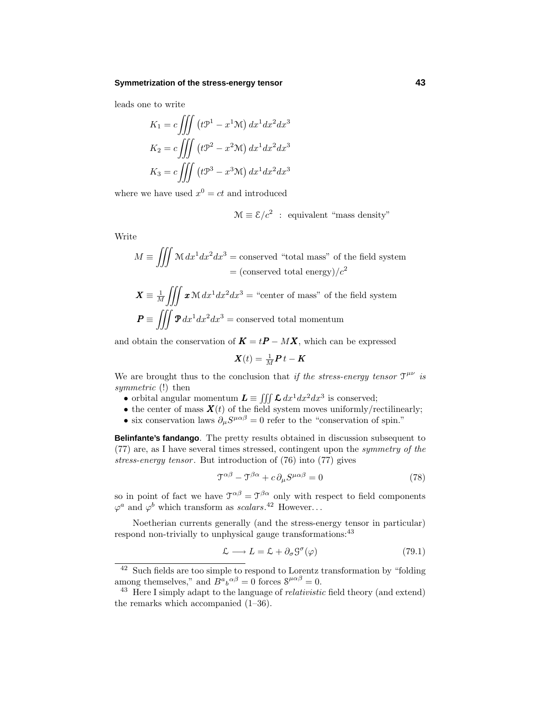#### **Symmetrization of the stress-energy tensor 43**

leads one to write

$$
K_1 = c \iiint (t\mathfrak{P}^1 - x^1 \mathfrak{M}) dx^1 dx^2 dx^3
$$

$$
K_2 = c \iiint (t\mathfrak{P}^2 - x^2 \mathfrak{M}) dx^1 dx^2 dx^3
$$

$$
K_3 = c \iiint (t\mathfrak{P}^3 - x^3 \mathfrak{M}) dx^1 dx^2 dx^3
$$

where we have used  $x^0 = ct$  and introduced

$$
\mathcal{M} \equiv \mathcal{E}/c^2 \; : \; \text{equivalent \text{``mass density''}}
$$

Write

$$
M \equiv \iiint \mathcal{M} dx^1 dx^2 dx^3 = \text{conserved "total mass" of the field system}
$$

$$
= (\text{conserved total energy})/c^2
$$

$$
\mathbf{X} \equiv \frac{1}{M} \iiint \mathbf{x} \, \mathbf{M} \, dx^1 dx^2 dx^3 = \text{``center of mass'' of the field system}
$$

$$
\mathbf{P} \equiv \iiint \mathbf{P} \, dx^1 dx^2 dx^3 = \text{conserved total momentum}
$$

and obtain the conservation of  $\mathbf{K} = t\mathbf{P} - M\mathbf{X}$ , which can be expressed

$$
\boldsymbol{X}(t) = \frac{1}{M}\boldsymbol{P}\,t - \boldsymbol{K}
$$

We are brought thus to the conclusion that if the stress-energy tensor  $\mathcal{T}^{\mu\nu}$  is symmetric (!) then

- orbital angular momentum  $\mathbf{L} \equiv \iiint \mathbf{L} \, dx^1 dx^2 dx^3$  is conserved;
- the center of mass  $\mathbf{X}(t)$  of the field system moves uniformly/rectilinearly;
- six conservation laws  $\partial_{\mu}S^{\mu\alpha\beta} = 0$  refer to the "conservation of spin."

**Belinfante's fandango**. The pretty results obtained in discussion subsequent to (77) are, as I have several times stressed, contingent upon the symmetry of the stress-energy tensor. But introduction of (76) into (77) gives

$$
\mathfrak{T}^{\alpha\beta} - \mathfrak{T}^{\beta\alpha} + c \,\partial_{\mu} S^{\mu\alpha\beta} = 0 \tag{78}
$$

so in point of fact we have  $\mathfrak{T}^{\alpha\beta} = \mathfrak{T}^{\beta\alpha}$  only with respect to field components  $\varphi^a$  and  $\varphi^b$  which transform as *scalars*.<sup>42</sup> However...

Noetherian currents generally (and the stress-energy tensor in particular) respond non-trivially to unphysical gauge transformations:<sup>43</sup>

$$
\mathcal{L} \longrightarrow L = \mathcal{L} + \partial_{\sigma} \mathcal{G}^{\sigma}(\varphi) \tag{79.1}
$$

<sup>42</sup> Such fields are too simple to respond to Lorentz transformation by "folding among themselves," and  $B^a{}_b{}^{\alpha\beta} = 0$  forces  $S^{\mu\alpha\beta} = 0$ .

<sup>&</sup>lt;sup>43</sup> Here I simply adapt to the language of *relativistic* field theory (and extend) the remarks which accompanied (1–36).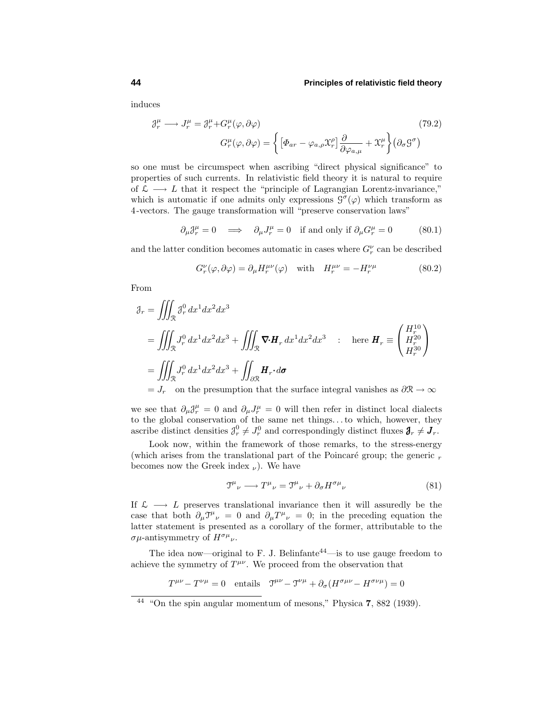induces

$$
\mathcal{J}_r^{\mu} \longrightarrow J_r^{\mu} = \mathcal{J}_r^{\mu} + G_r^{\mu}(\varphi, \partial \varphi)
$$
\n
$$
G_r^{\mu}(\varphi, \partial \varphi) = \left\{ \left[ \varPhi_{ar} - \varphi_{a,\rho} \mathcal{X}_r^{\rho} \right] \frac{\partial}{\partial \varphi_{a,\mu}} + \mathcal{X}_r^{\mu} \right\} (\partial_{\sigma} \mathcal{G}^{\sigma})
$$
\n(79.2)

so one must be circumspect when ascribing "direct physical significance" to properties of such currents. In relativistic field theory it is natural to require of  $\mathcal{L} \longrightarrow L$  that it respect the "principle of Lagrangian Lorentz-invariance," which is automatic if one admits only expressions  $\mathcal{G}^{\sigma}(\varphi)$  which transform as 4-vectors. The gauge transformation will "preserve conservation laws"

 $\partial_{\mu} \mathcal{J}_{r}^{\mu} = 0 \implies \partial_{\mu} J_{r}^{\mu} = 0$  if and only if  $\partial_{\mu} G_{r}^{\mu} = 0$  (80*.*1)

and the latter condition becomes automatic in cases where  $G_r^{\nu}$  can be described

$$
G_r^{\nu}(\varphi, \partial \varphi) = \partial_{\mu} H_r^{\mu \nu}(\varphi) \quad \text{with} \quad H_r^{\mu \nu} = -H_r^{\nu \mu} \tag{80.2}
$$

From

$$
\mathcal{J}_r = \iiint_{\mathcal{R}} \mathcal{J}_r^0 dx^1 dx^2 dx^3
$$
  
\n
$$
= \iiint_{\mathcal{R}} J_r^0 dx^1 dx^2 dx^3 + \iiint_{\mathcal{R}} \nabla \cdot \mathbf{H}_r dx^1 dx^2 dx^3 \quad : \quad \text{here } \mathbf{H}_r \equiv \begin{pmatrix} H_r^{10} \\ H_r^{20} \\ H_r^{30} \end{pmatrix}
$$
  
\n
$$
= \iiint_{\mathcal{R}} J_r^0 dx^1 dx^2 dx^3 + \iint_{\partial \mathcal{R}} \mathbf{H}_r \cdot d\sigma
$$
  
\n
$$
= I_r \quad \text{on the maximumity that the surface integral vanishes as } \partial \mathcal{R} \to 0
$$

 $= J_r$  on the presumption that the surface integral vanishes as  $\partial \mathcal{R} \to \infty$ 

we see that  $\partial_{\mu}J^{\mu}_{r} = 0$  and  $\partial_{\mu}J^{\mu}_{r} = 0$  will then refer in distinct local dialects to the global conservation of the same net things*...*to which, however, they ascribe distinct densities  $\mathcal{J}_r^0 \neq \mathcal{J}_r^0$  and correspondingly distinct fluxes  $\mathcal{J}_r \neq \mathcal{J}_r$ .

Look now, within the framework of those remarks, to the stress-energy (which arises from the translational part of the Poincaré group; the generic  $r$ becomes now the Greek index  $\nu$ ). We have

$$
\mathfrak{T}^{\mu}{}_{\nu} \longrightarrow T^{\mu}{}_{\nu} = \mathfrak{T}^{\mu}{}_{\nu} + \partial_{\sigma} H^{\sigma}{}^{\mu}{}_{\nu} \tag{81}
$$

If  $\mathcal{L} \longrightarrow L$  preserves translational invariance then it will assuredly be the case that both  $\partial_{\mu} \mathcal{T}^{\mu}{}_{\nu} = 0$  and  $\partial_{\mu} T^{\mu}{}_{\nu} = 0$ ; in the preceding equation the latter statement is presented as a corollary of the former, attributable to the *σu*-antisymmetry of  $H^{\sigma\mu}$ <sub>v</sub>.

The idea now—original to F. J. Belinfante<sup>44</sup>—is to use gauge freedom to achieve the symmetry of  $T^{\mu\nu}$ . We proceed from the observation that

$$
T^{\mu\nu} - T^{\nu\mu} = 0 \quad \text{entails} \quad \mathfrak{I}^{\mu\nu} - \mathfrak{I}^{\nu\mu} + \partial_{\sigma} (H^{\sigma\mu\nu} - H^{\sigma\nu\mu}) = 0
$$

<sup>44</sup> "On the spin angular momentum of mesons," Physica **7**, 882 (1939).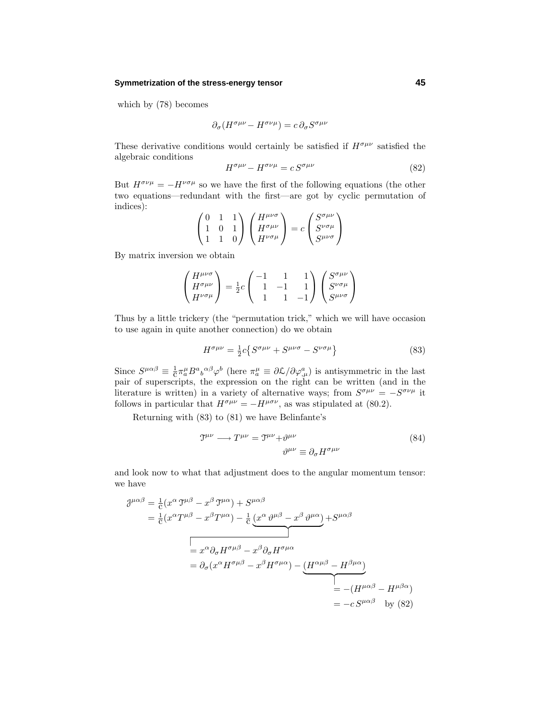#### **Symmetrization of the stress-energy tensor 45**

which by (78) becomes

$$
\partial_{\sigma} (H^{\sigma\mu\nu} - H^{\sigma\nu\mu}) = c \,\partial_{\sigma} S^{\sigma\mu\nu}
$$

These derivative conditions would certainly be satisfied if  $H^{\sigma\mu\nu}$  satisfied the algebraic conditions

$$
H^{\sigma\mu\nu} - H^{\sigma\nu\mu} = c \, S^{\sigma\mu\nu} \tag{82}
$$

But  $H^{\sigma\nu\mu} = -H^{\nu\sigma\mu}$  so we have the first of the following equations (the other two equations—redundant with the first—are got by cyclic permutation of indices):

$$
\begin{pmatrix} 0 & 1 & 1 \ 1 & 0 & 1 \ 1 & 1 & 0 \end{pmatrix} \begin{pmatrix} H^{\mu\nu\sigma} \\ H^{\sigma\mu\nu} \\ H^{\nu\sigma\mu} \end{pmatrix} = c \begin{pmatrix} S^{\sigma\mu\nu} \\ S^{\nu\sigma\mu} \\ S^{\mu\nu\sigma} \end{pmatrix}
$$

By matrix inversion we obtain

$$
\begin{pmatrix} H^{\mu\nu\sigma} \\ H^{\sigma\mu\nu} \\ H^{\nu\sigma\mu} \end{pmatrix} = \frac{1}{2}c \begin{pmatrix} -1 & 1 & 1 \\ 1 & -1 & 1 \\ 1 & 1 & -1 \end{pmatrix} \begin{pmatrix} S^{\sigma\mu\nu} \\ S^{\nu\sigma\mu} \\ S^{\mu\nu\sigma} \end{pmatrix}
$$

Thus by a little trickery (the "permutation trick," which we will have occasion to use again in quite another connection) do we obtain

$$
H^{\sigma\mu\nu} = \frac{1}{2}c\left\{S^{\sigma\mu\nu} + S^{\mu\nu\sigma} - S^{\nu\sigma\mu}\right\} \tag{83}
$$

Since  $S^{\mu\alpha\beta} \equiv \frac{1}{c} \pi^{\mu}_{a} B^{a}{}_{b}{}^{\alpha\beta} \varphi^{b}$  (here  $\pi^{\mu}_{a} \equiv \partial \mathcal{L}/\partial \varphi^{a}_{,\mu}$ ) is antisymmetric in the last pair of superscripts, the expression on the right can be written (and in the literature is written) in a variety of alternative ways; from  $S^{\sigma\mu\nu} = -S^{\sigma\nu\mu}$  it follows in particular that  $H^{\sigma\mu\nu} = -H^{\mu\sigma\nu}$ , as was stipulated at (80.2).

Returning with (83) to (81) we have Belinfante's

$$
\mathcal{T}^{\mu\nu} \longrightarrow T^{\mu\nu} = \mathcal{T}^{\mu\nu} + \vartheta^{\mu\nu}
$$

$$
\vartheta^{\mu\nu} \equiv \partial_{\sigma} H^{\sigma\mu\nu}
$$
(84)

and look now to what that adjustment does to the angular momentum tensor: we have

$$
\mathcal{J}^{\mu\alpha\beta} = \frac{1}{c} (x^{\alpha} \mathcal{J}^{\mu\beta} - x^{\beta} \mathcal{J}^{\mu\alpha}) + S^{\mu\alpha\beta}
$$
  
\n
$$
= \frac{1}{c} (x^{\alpha} T^{\mu\beta} - x^{\beta} T^{\mu\alpha}) - \frac{1}{c} \underbrace{(x^{\alpha} \vartheta^{\mu\beta} - x^{\beta} \vartheta^{\mu\alpha})}_{= x^{\alpha} \partial_{\sigma} H^{\sigma\mu\beta} - x^{\beta} \partial_{\sigma} H^{\sigma\mu\alpha}} + S^{\mu\alpha\beta}
$$
  
\n
$$
= x^{\alpha} \partial_{\sigma} H^{\sigma\mu\beta} - x^{\beta} \partial_{\sigma} H^{\sigma\mu\alpha}
$$
  
\n
$$
= \partial_{\sigma} (x^{\alpha} H^{\sigma\mu\beta} - x^{\beta} H^{\sigma\mu\alpha}) - \underbrace{(H^{\alpha\mu\beta} - H^{\beta\mu\alpha})}_{= - (H^{\mu\alpha\beta} - H^{\mu\beta\alpha})}
$$
  
\n
$$
= -c S^{\mu\alpha\beta} \text{ by (82)}
$$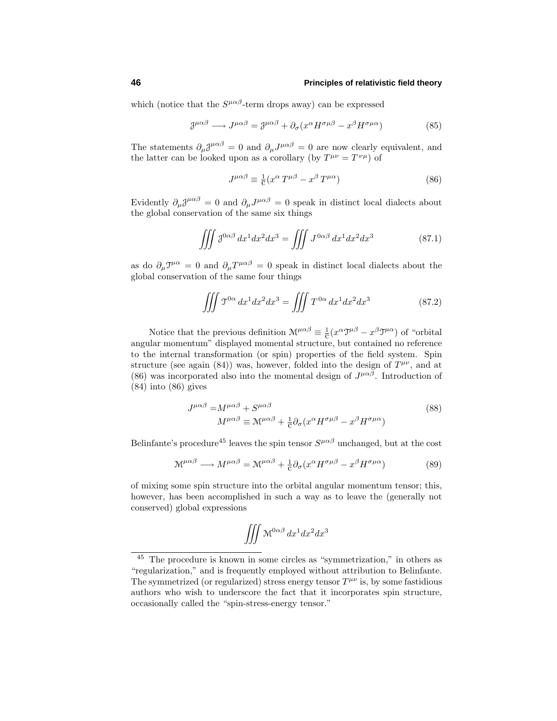which (notice that the  $S^{\mu\alpha\beta}$ -term drops away) can be expressed

$$
\mathcal{J}^{\mu\alpha\beta} \longrightarrow J^{\mu\alpha\beta} = \mathcal{J}^{\mu\alpha\beta} + \partial_{\sigma} (x^{\alpha} H^{\sigma\mu\beta} - x^{\beta} H^{\sigma\mu\alpha}) \tag{85}
$$

The statements  $\partial_{\mu} \mathcal{J}^{\mu\alpha\beta} = 0$  and  $\partial_{\mu} J^{\mu\alpha\beta} = 0$  are now clearly equivalent, and the latter can be looked upon as a corollary (by  $T^{\mu\nu} = T^{\nu\mu}$ ) of

$$
J^{\mu\alpha\beta} \equiv \frac{1}{C} (x^{\alpha} T^{\mu\beta} - x^{\beta} T^{\mu\alpha}) \tag{86}
$$

Evidently  $\partial_{\mu} \mathcal{J}^{\mu\alpha\beta} = 0$  and  $\partial_{\mu} J^{\mu\alpha\beta} = 0$  speak in distinct local dialects about the global conservation of the same six things

$$
\iiint \mathcal{J}^{0\alpha\beta} dx^1 dx^2 dx^3 = \iiint J^{0\alpha\beta} dx^1 dx^2 dx^3 \tag{87.1}
$$

as do  $\partial_\mu \mathcal{J}^{\mu\alpha} = 0$  and  $\partial_\mu T^{\mu\alpha\beta} = 0$  speak in distinct local dialects about the global conservation of the same four things

$$
\iiint \mathcal{T}^{0\alpha} dx^1 dx^2 dx^3 = \iiint T^{0\alpha} dx^1 dx^2 dx^3 \tag{87.2}
$$

Notice that the previous definition  $\mathcal{M}^{\mu\alpha\beta} \equiv \frac{1}{c} (x^{\alpha} \mathcal{J}^{\mu\beta} - x^{\beta} \mathcal{J}^{\mu\alpha})$  of "orbital" angular momentum" displayed momental structure, but contained no reference to the internal transformation (or spin) properties of the field system. Spin structure (see again (84)) was, however, folded into the design of  $T^{\mu\nu}$ , and at (86) was incorporated also into the momental design of  $J^{\mu\alpha\beta}$ . Introduction of (84) into (86) gives

$$
J^{\mu\alpha\beta} = M^{\mu\alpha\beta} + S^{\mu\alpha\beta}
$$
  
\n
$$
M^{\mu\alpha\beta} \equiv \mathcal{M}^{\mu\alpha\beta} + \frac{1}{c} \partial_{\sigma} (x^{\alpha} H^{\sigma\mu\beta} - x^{\beta} H^{\sigma\mu\alpha})
$$
\n(88)

Belinfante's procedure<sup>45</sup> leaves the spin tensor  $S^{\mu\alpha\beta}$  unchanged, but at the cost

$$
\mathcal{M}^{\mu\alpha\beta} \longrightarrow M^{\mu\alpha\beta} = \mathcal{M}^{\mu\alpha\beta} + \frac{1}{c} \partial_{\sigma} (x^{\alpha} H^{\sigma\mu\beta} - x^{\beta} H^{\sigma\mu\alpha}) \tag{89}
$$

of mixing some spin structure into the orbital angular momentum tensor; this, however, has been accomplished in such a way as to leave the (generally not conserved) global expressions

$$
\iiint \mathcal{M}^{0\alpha\beta} dx^1 dx^2 dx^3
$$

<sup>45</sup> The procedure is known in some circles as "symmetrization," in others as "regularization," and is frequently employed without attribution to Belinfante. The symmetrized (or regularized) stress energy tensor  $T^{\mu\nu}$  is, by some fastidious authors who wish to underscore the fact that it incorporates spin structure, occasionally called the "spin-stress-energy tensor."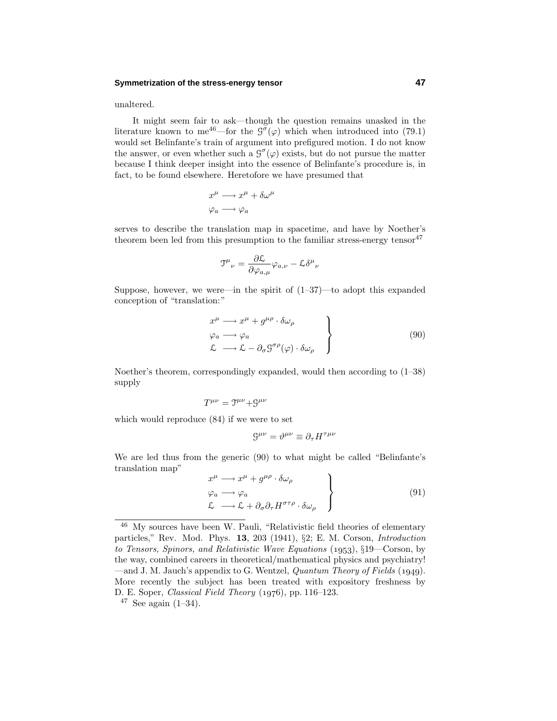#### **Symmetrization of the stress-energy tensor 47**

unaltered.

It might seem fair to ask—though the question remains unasked in the literature known to me<sup>46</sup>—for the  $\mathcal{G}^{\sigma}(\varphi)$  which when introduced into (79.1) would set Belinfante's train of argument into prefigured motion. I do not know the answer, or even whether such a  $\mathcal{G}^{\sigma}(\varphi)$  exists, but do not pursue the matter because I think deeper insight into the essence of Belinfante's procedure is, in fact, to be found elsewhere. Heretofore we have presumed that

$$
x^{\mu} \longrightarrow x^{\mu} + \delta \omega^{\mu}
$$

$$
\varphi_a \longrightarrow \varphi_a
$$

serves to describe the translation map in spacetime, and have by Noether's theorem been led from this presumption to the familiar stress-energy tensor<sup>47</sup>

$$
\mathfrak{T}^{\mu}{}_{\nu}=\frac{\partial\mathcal{L}}{\partial\varphi_{a,\mu}}\varphi_{a,\nu}-\mathcal{L}\delta^{\mu}{}_{\nu}
$$

Suppose, however, we were—in the spirit of  $(1-37)$ —to adopt this expanded conception of "translation:"

$$
\begin{aligned}\nx^{\mu} &\longrightarrow x^{\mu} + g^{\mu\rho} \cdot \delta \omega_{\rho} \\
\varphi_{a} &\longrightarrow \varphi_{a} \\
\mathcal{L} &\longrightarrow \mathcal{L} - \partial_{\sigma} \mathcal{G}^{\sigma\rho}(\varphi) \cdot \delta \omega_{\rho}\n\end{aligned}
$$
\n(90)

Noether's theorem, correspondingly expanded, would then according to (1–38) supply

$$
T^{\mu\nu} = \mathfrak{T}^{\mu\nu} + \mathfrak{G}^{\mu\nu}
$$

which would reproduce (84) if we were to set

$$
\mathcal{G}^{\mu\nu} = \vartheta^{\mu\nu} \equiv \partial_{\tau} H^{\tau\mu\nu}
$$

We are led thus from the generic (90) to what might be called "Belinfante's translation map"

$$
\begin{aligned}\nx^{\mu} &\longrightarrow x^{\mu} + g^{\mu\rho} \cdot \delta\omega_{\rho} \\
\varphi_{a} &\longrightarrow \varphi_{a} \\
\mathcal{L} &\longrightarrow \mathcal{L} + \partial_{\sigma}\partial_{\tau}H^{\sigma\tau\rho} \cdot \delta\omega_{\rho}\n\end{aligned}
$$
\n(91)

<sup>46</sup> My sources have been W. Pauli, "Relativistic field theories of elementary particles," Rev. Mod. Phys. **13**, 203 (1941), §2; E. M. Corson, Introduction to Tensors, Spinors, and Relativistic Wave Equations  $(1953)$ ,  $$19$ –Corson, by the way, combined careers in theoretical/mathematical physics and psychiatry! —and J. M. Jauch's appendix to G. Wentzel, Quantum Theory of Fields  $(1949)$ . More recently the subject has been treated with expository freshness by D. E. Soper, *Classical Field Theory*  $(1976)$ , pp. 116–123.

 $47$  See again  $(1-34)$ .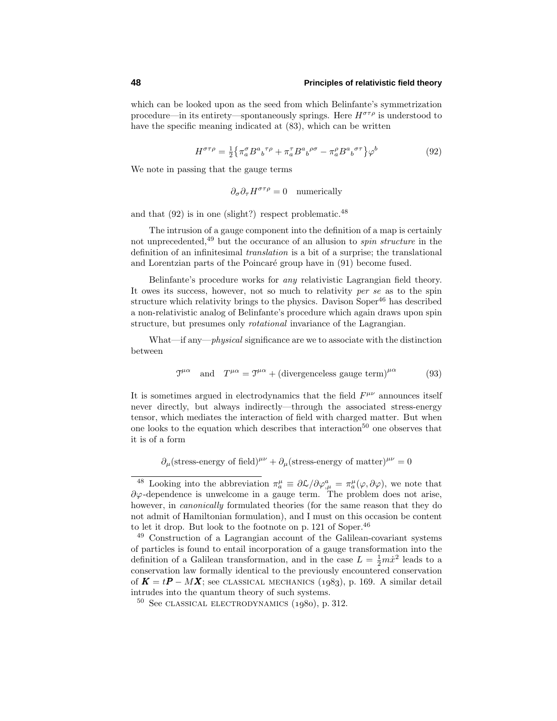which can be looked upon as the seed from which Belinfante's symmetrization procedure—in its entirety—spontaneously springs. Here *Hστρ* is understood to have the specific meaning indicated at (83), which can be written

$$
H^{\sigma\tau\rho} = \frac{1}{2} \{ \pi_a^{\sigma} B^a{}_b{}^{\tau\rho} + \pi_a^{\tau} B^a{}_b{}^{\rho\sigma} - \pi_a^{\rho} B^a{}_b{}^{\sigma\tau} \} \varphi^b
$$
(92)

We note in passing that the gauge terms

$$
\partial_{\sigma} \partial_{\tau} H^{\sigma \tau \rho} = 0 \quad \text{numerically}
$$

and that  $(92)$  is in one (slight?) respect problematic.<sup>48</sup>

The intrusion of a gauge component into the definition of a map is certainly not unprecedented,  $49$  but the occurance of an allusion to *spin structure* in the definition of an infinitesimal translation is a bit of a surprise; the translational and Lorentzian parts of the Poincaré group have in  $(91)$  become fused.

Belinfante's procedure works for any relativistic Lagrangian field theory. It owes its success, however, not so much to relativity per se as to the spin structure which relativity brings to the physics. Davison  $Soper^{46}$  has described a non-relativistic analog of Belinfante's procedure which again draws upon spin structure, but presumes only rotational invariance of the Lagrangian.

What—if any—*physical* significance are we to associate with the distinction between

$$
\mathfrak{T}^{\mu\alpha} \quad \text{and} \quad T^{\mu\alpha} = \mathfrak{T}^{\mu\alpha} + \left(\text{divergences gauge term}\right)^{\mu\alpha} \tag{93}
$$

It is sometimes argued in electrodynamics that the field  $F^{\mu\nu}$  announces itself never directly, but always indirectly—through the associated stress-energy tensor, which mediates the interaction of field with charged matter. But when one looks to the equation which describes that interaction<sup>50</sup> one observes that it is of a form

 $\partial_{\mu}$ (stress-energy of field)<sup> $\mu\nu$ </sup> +  $\partial_{\mu}$ (stress-energy of matter)<sup> $\mu\nu$ </sup> = 0

<sup>&</sup>lt;sup>48</sup> Looking into the abbreviation  $\pi_a^{\mu} \equiv \partial \mathcal{L}/\partial \varphi_{,\mu}^a = \pi_a^{\mu}(\varphi, \partial \varphi)$ , we note that *∂ϕ*-dependence is unwelcome in a gauge term. The problem does not arise, however, in *canonically* formulated theories (for the same reason that they do not admit of Hamiltonian formulation), and I must on this occasion be content to let it drop. But look to the footnote on p. 121 of Soper.<sup>46</sup>

<sup>49</sup> Construction of a Lagrangian account of the Galilean-covariant systems of particles is found to entail incorporation of a gauge transformation into the definition of a Galilean transformation, and in the case  $L = \frac{1}{2}m\dot{x}^2$  leads to a conservation law formally identical to the previously encountered conservation of  $K = tP - MX$ ; see CLASSICAL MECHANICS (1983), p. 169. A similar detail intrudes into the quantum theory of such systems.

 $50$  See CLASSICAL ELECTRODYNAMICS  $(1080)$ , p. 312.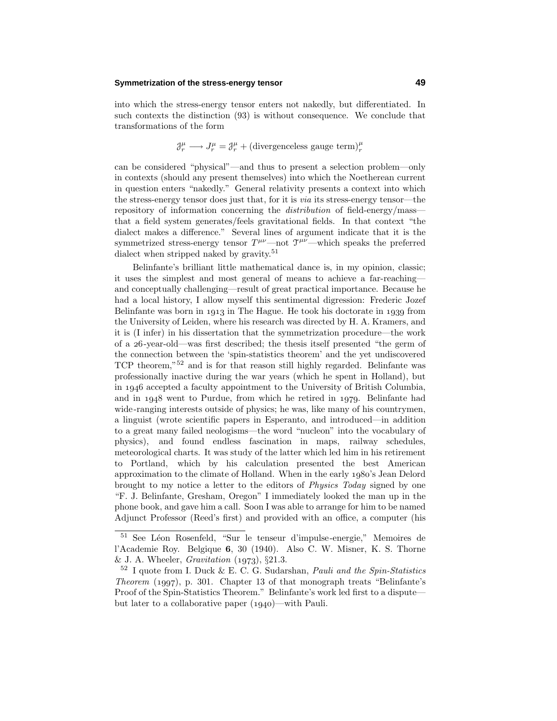#### **Symmetrization of the stress-energy tensor 49**

into which the stress-energy tensor enters not nakedly, but differentiated. In such contexts the distinction (93) is without consequence. We conclude that transformations of the form

$$
\mathcal{J}^\mu_r\longrightarrow J^\mu_r=\mathcal{J}^\mu_r
$$
 + (divergencelss gauge term)  
  $_{r}^\mu$ 

can be considered "physical"—and thus to present a selection problem—only in contexts (should any present themselves) into which the Noetherean current in question enters "nakedly." General relativity presents a context into which the stress-energy tensor does just that, for it is via its stress-energy tensor—the repository of information concerning the *distribution* of field-energy/massthat a field system generates/feels gravitational fields. In that context "the dialect makes a difference." Several lines of argument indicate that it is the symmetrized stress-energy tensor  $T^{\mu\nu}$ —not  $T^{\mu\nu}$ —which speaks the preferred dialect when stripped naked by gravity.<sup>51</sup>

Belinfante's brilliant little mathematical dance is, in my opinion, classic; it uses the simplest and most general of means to achieve a far-reaching and conceptually challenging—result of great practical importance. Because he had a local history, I allow myself this sentimental digression: Frederic Jozef Belinfante was born in 1913 in The Hague. He took his doctorate in 1939 from the University of Leiden, where his research was directed by H. A. Kramers, and it is (I infer) in his dissertation that the symmetrization procedure—the work of a -year-old—was first described; the thesis itself presented "the germ of the connection between the 'spin-statistics theorem' and the yet undiscovered TCP theorem,"<sup>52</sup> and is for that reason still highly regarded. Belinfante was professionally inactive during the war years (which he spent in Holland), but in  $1946$  accepted a faculty appointment to the University of British Columbia, and in  $1948$  went to Purdue, from which he retired in 1979. Belinfante had wide-ranging interests outside of physics; he was, like many of his countrymen, a linguist (wrote scientific papers in Esperanto, and introduced—in addition to a great many failed neologisms—the word "nucleon" into the vocabulary of physics), and found endless fascination in maps, railway schedules, meteorological charts. It was study of the latter which led him in his retirement to Portland, which by his calculation presented the best American approximation to the climate of Holland. When in the early 1980's Jean Delord brought to my notice a letter to the editors of Physics Today signed by one "F. J. Belinfante, Gresham, Oregon" I immediately looked the man up in the phone book, and gave him a call. Soon I was able to arrange for him to be named Adjunct Professor (Reed's first) and provided with an office, a computer (his

<sup>&</sup>lt;sup>51</sup> See Léon Rosenfeld, "Sur le tenseur d'impulse-energie," Memoires de l'Academie Roy. Belgique **6**, 30 (1940). Also C. W. Misner, K. S. Thorne & J. A. Wheeler, *Gravitation*  $(1973)$ ,  $\S21.3$ .

 $52$  I quote from I. Duck & E. C. G. Sudarshan, *Pauli and the Spin-Statistics* Theorem  $(1997)$ , p. 301. Chapter 13 of that monograph treats "Belinfante's Proof of the Spin-Statistics Theorem." Belinfante's work led first to a dispute but later to a collaborative paper  $(1940)$ —with Pauli.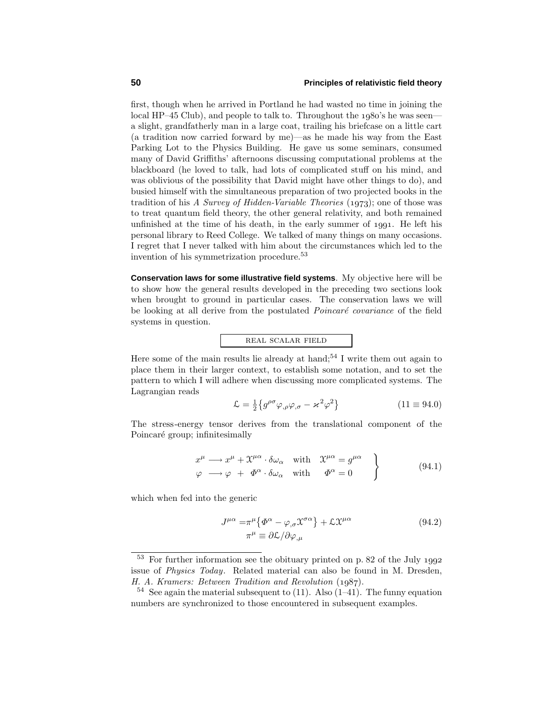first, though when he arrived in Portland he had wasted no time in joining the local HP–45 Club), and people to talk to. Throughout the  $1980$ 's he was seena slight, grandfatherly man in a large coat, trailing his briefcase on a little cart (a tradition now carried forward by me)—as he made his way from the East Parking Lot to the Physics Building. He gave us some seminars, consumed many of David Griffiths' afternoons discussing computational problems at the blackboard (he loved to talk, had lots of complicated stuff on his mind, and was oblivious of the possibility that David might have other things to do), and busied himself with the simultaneous preparation of two projected books in the tradition of his A Survey of Hidden-Variable Theories  $(1973)$ ; one of those was to treat quantum field theory, the other general relativity, and both remained unfinished at the time of his death, in the early summer of 1991. He left his personal library to Reed College. We talked of many things on many occasions. I regret that I never talked with him about the circumstances which led to the invention of his symmetrization procedure.<sup>53</sup>

**Conservation laws for some illustrative field systems**. My objective here will be to show how the general results developed in the preceding two sections look when brought to ground in particular cases. The conservation laws we will be looking at all derive from the postulated *Poincaré covariance* of the field systems in question.

## real scalar field

Here some of the main results lie already at hand;<sup>54</sup> I write them out again to place them in their larger context, to establish some notation, and to set the pattern to which I will adhere when discussing more complicated systems. The Lagrangian reads

$$
\mathcal{L} = \frac{1}{2} \left\{ g^{\rho \sigma} \varphi_{,\rho} \varphi_{,\sigma} - \varkappa^2 \varphi^2 \right\} \tag{11 \equiv 94.0}
$$

The stress-energy tensor derives from the translational component of the Poincaré group; infinitesimally

$$
x^{\mu} \longrightarrow x^{\mu} + \mathfrak{X}^{\mu\alpha} \cdot \delta\omega_{\alpha} \quad \text{with} \quad \mathfrak{X}^{\mu\alpha} = g^{\mu\alpha} \}
$$
  

$$
\varphi \longrightarrow \varphi + \Phi^{\alpha} \cdot \delta\omega_{\alpha} \quad \text{with} \quad \Phi^{\alpha} = 0
$$
 (94.1)

which when fed into the generic

$$
J^{\mu\alpha} = \pi^{\mu} \{ \Phi^{\alpha} - \varphi_{,\sigma} \mathcal{X}^{\sigma\alpha} \} + \mathcal{L} \mathcal{X}^{\mu\alpha}
$$
  
\n
$$
\pi^{\mu} \equiv \partial \mathcal{L} / \partial \varphi_{,\mu}
$$
\n(94.2)

<sup>&</sup>lt;sup>53</sup> For further information see the obituary printed on p. 82 of the July 1992 issue of Physics Today. Related material can also be found in M. Dresden, H. A. Kramers: Between Tradition and Revolution (1987).

 $54$  See again the material subsequent to (11). Also (1–41). The funny equation numbers are synchronized to those encountered in subsequent examples.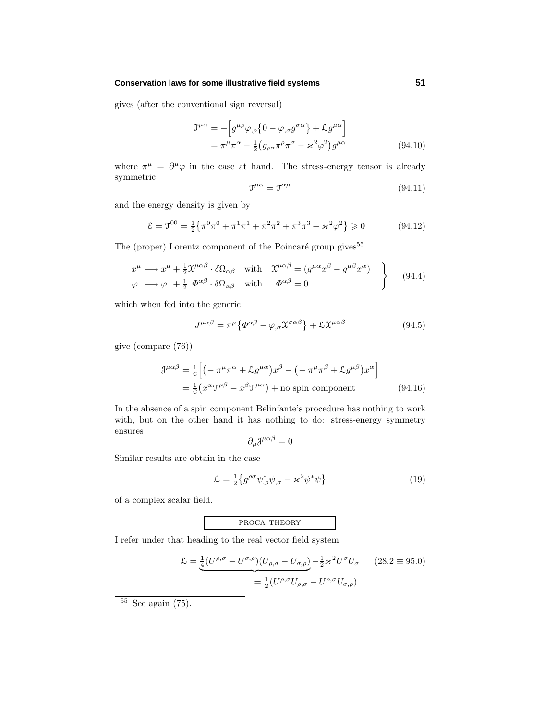#### **Conservation laws for some illustrative field systems 51**

gives (after the conventional sign reversal)

$$
\mathcal{T}^{\mu\alpha} = -\left[g^{\mu\rho}\varphi_{,\rho}\left\{0 - \varphi_{,\sigma}g^{\sigma\alpha}\right\} + \mathcal{L}g^{\mu\alpha}\right]
$$

$$
= \pi^{\mu}\pi^{\alpha} - \frac{1}{2}\left(g_{\rho\sigma}\pi^{\rho}\pi^{\sigma} - \varkappa^{2}\varphi^{2}\right)g^{\mu\alpha}
$$
(94.10)

where  $\pi^{\mu} = \partial^{\mu} \varphi$  in the case at hand. The stress-energy tensor is already symmetric

$$
\mathfrak{T}^{\mu\alpha} = \mathfrak{T}^{\alpha\mu} \tag{94.11}
$$

and the energy density is given by

$$
\mathcal{E} = \mathcal{T}^{00} = \frac{1}{2} \left\{ \pi^0 \pi^0 + \pi^1 \pi^1 + \pi^2 \pi^2 + \pi^3 \pi^3 + \varkappa^2 \varphi^2 \right\} \geq 0 \tag{94.12}
$$

The (proper) Lorentz component of the Poincaré group gives $55$ 

$$
x^{\mu} \longrightarrow x^{\mu} + \frac{1}{2} \mathfrak{X}^{\mu \alpha \beta} \cdot \delta \Omega_{\alpha \beta} \quad \text{with} \quad \mathfrak{X}^{\mu \alpha \beta} = (g^{\mu \alpha} x^{\beta} - g^{\mu \beta} x^{\alpha})
$$
  

$$
\varphi \longrightarrow \varphi + \frac{1}{2} \Phi^{\alpha \beta} \cdot \delta \Omega_{\alpha \beta} \quad \text{with} \quad \Phi^{\alpha \beta} = 0
$$
 (94.4)

which when fed into the generic

$$
J^{\mu\alpha\beta} = \pi^{\mu} \{ \Phi^{\alpha\beta} - \varphi_{,\sigma} \mathcal{X}^{\sigma\alpha\beta} \} + \mathcal{L} \mathcal{X}^{\mu\alpha\beta} \tag{94.5}
$$

give (compare (76))

$$
\mathcal{J}^{\mu\alpha\beta} = \frac{1}{c} \left[ \left( -\pi^{\mu} \pi^{\alpha} + \mathcal{L} g^{\mu\alpha} \right) x^{\beta} - \left( -\pi^{\mu} \pi^{\beta} + \mathcal{L} g^{\mu\beta} \right) x^{\alpha} \right]
$$
  
=  $\frac{1}{c} \left( x^{\alpha} \mathcal{J}^{\mu\beta} - x^{\beta} \mathcal{J}^{\mu\alpha} \right) + \text{no spin component}$  (94.16)

In the absence of a spin component Belinfante's procedure has nothing to work with, but on the other hand it has nothing to do: stress-energy symmetry ensures

$$
\partial_{\mu} \mathcal{J}^{\mu \alpha \beta} = 0
$$

Similar results are obtain in the case

$$
\mathcal{L} = \frac{1}{2} \{ g^{\rho \sigma} \psi_{,\rho}^* \psi_{,\sigma} - \varkappa^2 \psi^* \psi \} \tag{19}
$$

of a complex scalar field.

# proca theory

I refer under that heading to the real vector field system

$$
\mathcal{L} = \underbrace{\frac{1}{4}(U^{\rho,\sigma} - U^{\sigma,\rho})(U_{\rho,\sigma} - U_{\sigma,\rho})}_{\text{}} - \frac{1}{2} \varkappa^2 U^{\sigma} U_{\sigma} \qquad (28.2 \equiv 95.0)
$$
\n
$$
= \frac{1}{2}(U^{\rho,\sigma} U_{\rho,\sigma} - U^{\rho,\sigma} U_{\sigma,\rho})
$$

 $\overline{55}$  See again (75).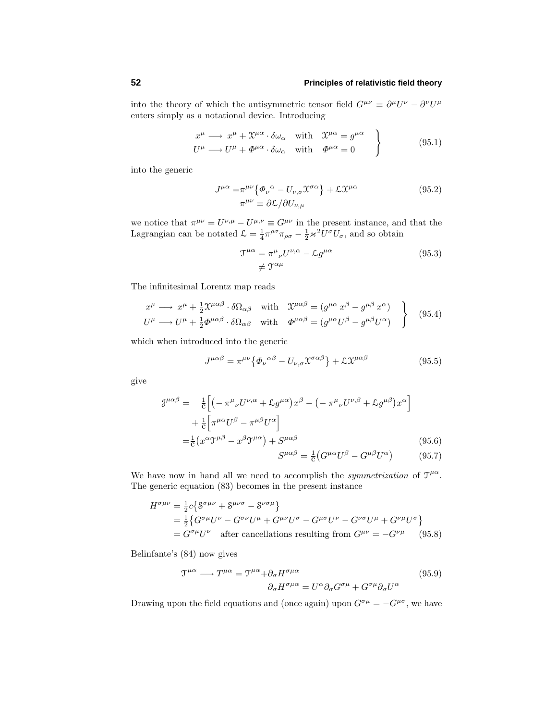into the theory of which the antisymmetric tensor field  $G^{\mu\nu} \equiv \partial^{\mu}U^{\nu} - \partial^{\nu}U^{\mu}$ enters simply as a notational device. Introducing

$$
x^{\mu} \longrightarrow x^{\mu} + \mathcal{X}^{\mu\alpha} \cdot \delta\omega_{\alpha} \quad \text{with} \quad \mathcal{X}^{\mu\alpha} = g^{\mu\alpha} \}
$$
  

$$
U^{\mu} \longrightarrow U^{\mu} + \Phi^{\mu\alpha} \cdot \delta\omega_{\alpha} \quad \text{with} \quad \Phi^{\mu\alpha} = 0
$$
 (95.1)

into the generic

$$
J^{\mu\alpha} = \pi^{\mu\nu} \{ \Phi_{\nu}{}^{\alpha} - U_{\nu,\sigma} \mathfrak{X}^{\sigma\alpha} \} + \mathcal{L} \mathfrak{X}^{\mu\alpha} \tag{95.2}
$$

$$
\pi^{\mu\nu} \equiv \partial \mathcal{L} / \partial U_{\nu,\mu}
$$

we notice that  $\pi^{\mu\nu} = U^{\nu,\mu} - U^{\mu,\nu} \equiv G^{\mu\nu}$  in the present instance, and that the Lagrangian can be notated  $\mathcal{L} = \frac{1}{4} \pi^{\rho \sigma} \pi_{\rho \sigma} - \frac{1}{2} \varkappa^2 U^{\sigma} U_{\sigma}$ , and so obtain

$$
\mathcal{T}^{\mu\alpha} = \pi^{\mu}{}_{\nu}U^{\nu,\alpha} - \mathcal{L}g^{\mu\alpha} \tag{95.3}
$$

$$
\neq \mathcal{T}^{\alpha\mu}
$$

The infinitesimal Lorentz map reads

$$
x^{\mu} \longrightarrow x^{\mu} + \frac{1}{2} \mathfrak{X}^{\mu\alpha\beta} \cdot \delta \Omega_{\alpha\beta} \quad \text{with} \quad \mathfrak{X}^{\mu\alpha\beta} = (g^{\mu\alpha} x^{\beta} - g^{\mu\beta} x^{\alpha})
$$
  

$$
U^{\mu} \longrightarrow U^{\mu} + \frac{1}{2} \Phi^{\mu\alpha\beta} \cdot \delta \Omega_{\alpha\beta} \quad \text{with} \quad \Phi^{\mu\alpha\beta} = (g^{\mu\alpha} U^{\beta} - g^{\mu\beta} U^{\alpha})
$$
 (95.4)

which when introduced into the generic

$$
J^{\mu\alpha\beta} = \pi^{\mu\nu} \{ \Phi_{\nu}{}^{\alpha\beta} - U_{\nu,\sigma} \mathfrak{X}^{\sigma\alpha\beta} \} + \mathcal{L} \mathfrak{X}^{\mu\alpha\beta} \tag{95.5}
$$

give

$$
\mathcal{J}^{\mu\alpha\beta} = \frac{1}{c} \Big[ \Big( -\pi^{\mu}{}_{\nu}U^{\nu,\alpha} + \mathcal{L}g^{\mu\alpha} \Big) x^{\beta} - \Big( -\pi^{\mu}{}_{\nu}U^{\nu,\beta} + \mathcal{L}g^{\mu\beta} \Big) x^{\alpha} \Big] \n+ \frac{1}{c} \Big[ \pi^{\mu\alpha}U^{\beta} - \pi^{\mu\beta}U^{\alpha} \Big] \n= \frac{1}{c} \Big( x^{\alpha} \mathcal{T}^{\mu\beta} - x^{\beta} \mathcal{T}^{\mu\alpha} \Big) + S^{\mu\alpha\beta} \qquad (95.6)
$$
\n
$$
\mathcal{J}^{\mu\alpha\beta} = \mathcal{J}^{\mu\beta} \mathcal{J}^{\mu\alpha} \Big( \mathcal{J}^{\mu\beta} - \mathcal{J}^{\mu\beta} \mathcal{J}^{\mu\alpha} \Big) + \mathcal{J}^{\mu\alpha\beta} \qquad (95.7)
$$

$$
S^{\mu\alpha\beta} = \frac{1}{c} \left( G^{\mu\alpha} U^{\beta} - G^{\mu\beta} U^{\alpha} \right) \tag{95.7}
$$

We have now in hand all we need to accomplish the *symmetrization* of  $\mathfrak{T}^{\mu\alpha}$ . The generic equation (83) becomes in the present instance

$$
H^{\sigma\mu\nu} = \frac{1}{2}c\{8^{\sigma\mu\nu} + 8^{\mu\nu\sigma} - 8^{\nu\sigma\mu}\}
$$
  
=  $\frac{1}{2}\{G^{\sigma\mu}U^{\nu} - G^{\sigma\nu}U^{\mu} + G^{\mu\nu}U^{\sigma} - G^{\mu\sigma}U^{\nu} - G^{\nu\sigma}U^{\mu} + G^{\nu\mu}U^{\sigma}\}$   
=  $G^{\sigma\mu}U^{\nu}$  after cancellations resulting from  $G^{\mu\nu} = -G^{\nu\mu}$  (95.8)

Belinfante's (84) now gives

$$
\mathcal{T}^{\mu\alpha} \longrightarrow T^{\mu\alpha} = \mathcal{T}^{\mu\alpha} + \partial_{\sigma} H^{\sigma\mu\alpha} \qquad (95.9)
$$

$$
\partial_{\sigma} H^{\sigma\mu\alpha} = U^{\alpha} \partial_{\sigma} G^{\sigma\mu} + G^{\sigma\mu} \partial_{\sigma} U^{\alpha}
$$

Drawing upon the field equations and (once again) upon  $G^{\sigma\mu} = -G^{\mu\sigma}$ , we have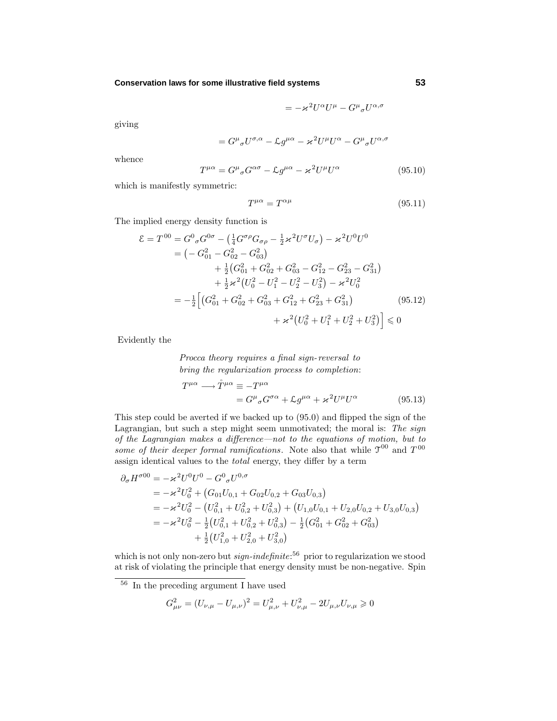#### **Conservation laws for some illustrative field systems 53**

$$
= -\varkappa^2 U^{\alpha} U^{\mu} - G^{\mu}{}_{\sigma} U^{\alpha,\sigma}
$$

giving

$$
=G^{\mu}{}_{\sigma}U^{\sigma,\alpha}-\mathcal{L}g^{\mu\alpha}-\varkappa^2U^{\mu}U^{\alpha}-G^{\mu}{}_{\sigma}U^{\alpha,\sigma}
$$

whence

$$
T^{\mu\alpha} = G^{\mu}{}_{\sigma} G^{\alpha\sigma} - \mathcal{L} g^{\mu\alpha} - \varkappa^2 U^{\mu} U^{\alpha} \tag{95.10}
$$

which is manifestly symmetric:

$$
T^{\mu\alpha} = T^{\alpha\mu} \tag{95.11}
$$

The implied energy density function is

$$
\mathcal{E} = T^{00} = G^0{}_{\sigma} G^{0\sigma} - \left(\frac{1}{4} G^{\sigma \rho} G_{\sigma \rho} - \frac{1}{2} \varkappa^2 U^{\sigma} U_{\sigma}\right) - \varkappa^2 U^0 U^0
$$
  
\n
$$
= \left(-G_{01}^2 - G_{02}^2 - G_{03}^2\right)
$$
  
\n
$$
+ \frac{1}{2} \left(G_{01}^2 + G_{02}^2 + G_{03}^2 - G_{12}^2 - G_{23}^2 - G_{31}^2\right)
$$
  
\n
$$
+ \frac{1}{2} \varkappa^2 \left(U_0^2 - U_1^2 - U_2^2 - U_3^2\right) - \varkappa^2 U_0^2
$$
  
\n
$$
= -\frac{1}{2} \left[\left(G_{01}^2 + G_{02}^2 + G_{03}^2 + G_{12}^2 + G_{23}^2 + G_{31}^2\right) + \varkappa^2 \left(U_0^2 + U_1^2 + U_2^2 + U_3^2\right)\right] \leq 0
$$
 (95.12)

Evidently the

*Procca theory requires a final sign-reversal to*  
\n*bring the regularization process to completion:*  
\n
$$
T^{\mu\alpha} \longrightarrow \mathring{T}^{\mu\alpha} \equiv -T^{\mu\alpha}
$$
\n
$$
= G^{\mu}{}_{\sigma}G^{\sigma\alpha} + \mathcal{L}g^{\mu\alpha} + \varkappa^2 U^{\mu}U^{\alpha}
$$
\n(95.13)

This step could be averted if we backed up to (95.0) and flipped the sign of the Lagrangian, but such a step might seem unmotivated; the moral is: The sign of the Lagrangian makes a difference—not to the equations of motion, but to some of their deeper formal ramifications. Note also that while  $T^{00}$  and  $T^{00}$ assign identical values to the total energy, they differ by a term

$$
\partial_{\sigma} H^{\sigma 00} = -\varkappa^2 U^0 U^0 - G^0{}_{\sigma} U^{0,\sigma}
$$
  
\n
$$
= -\varkappa^2 U_0^2 + (G_{01}U_{0,1} + G_{02}U_{0,2} + G_{03}U_{0,3})
$$
  
\n
$$
= -\varkappa^2 U_0^2 - (U_{0,1}^2 + U_{0,2}^2 + U_{0,3}^2) + (U_{1,0}U_{0,1} + U_{2,0}U_{0,2} + U_{3,0}U_{0,3})
$$
  
\n
$$
= -\varkappa^2 U_0^2 - \frac{1}{2} (U_{0,1}^2 + U_{0,2}^2 + U_{0,3}^2) - \frac{1}{2} (G_{01}^2 + G_{02}^2 + G_{03}^2)
$$
  
\n
$$
+ \frac{1}{2} (U_{1,0}^2 + U_{2,0}^2 + U_{3,0}^2)
$$

which is not only non-zero but  $sign\text{-}indefinite:$ <sup>56</sup> prior to regularization we stood at risk of violating the principle that energy density must be non-negative. Spin

$$
G_{\mu\nu}^2 = (U_{\nu,\mu} - U_{\mu,\nu})^2 = U_{\mu,\nu}^2 + U_{\nu,\mu}^2 - 2U_{\mu,\nu}U_{\nu,\mu} \ge 0
$$

<sup>56</sup> In the preceding argument I have used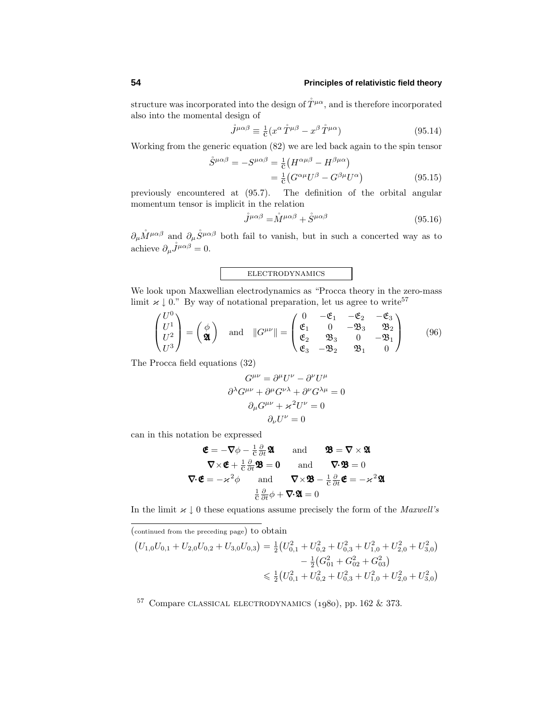structure was incorporated into the design of  $\mathring{T}^{\mu\alpha}$ , and is therefore incorporated also into the momental design of

$$
\mathring{J}^{\mu\alpha\beta} \equiv \frac{1}{c} (x^{\alpha} \mathring{T}^{\mu\beta} - x^{\beta} \mathring{T}^{\mu\alpha}) \tag{95.14}
$$

Working from the generic equation (82) we are led back again to the spin tensor

$$
\dot{S}^{\mu\alpha\beta} = -S^{\mu\alpha\beta} = \frac{1}{c} \left( H^{\alpha\mu\beta} - H^{\beta\mu\alpha} \right)
$$

$$
= \frac{1}{c} \left( G^{\alpha\mu} U^{\beta} - G^{\beta\mu} U^{\alpha} \right)
$$
(95.15)

previously encountered at (95.7). The definition of the orbital angular momentum tensor is implicit in the relation

$$
\mathring{J}^{\mu\alpha\beta} = \mathring{M}^{\mu\alpha\beta} + \mathring{S}^{\mu\alpha\beta} \tag{95.16}
$$

 $\partial_{\mu} \mathring{M}^{\mu\alpha\beta}$  and  $\partial_{\mu} \mathring{S}^{\mu\alpha\beta}$  both fail to vanish, but in such a concerted way as to achieve  $\partial_{\mu} \mathring{J}^{\mu\alpha\beta} = 0.$ 

## electrodynamics

We look upon Maxwellian electrodynamics as "Procca theory in the zero-mass limit  $x \downarrow 0$ ." By way of notational preparation, let us agree to write<sup>57</sup>

$$
\begin{pmatrix} U^0 \\ U^1 \\ U^2 \\ U^3 \end{pmatrix} = \begin{pmatrix} \phi \\ \mathbf{\mathfrak{A}} \end{pmatrix} \text{ and } ||G^{\mu\nu}|| = \begin{pmatrix} 0 & -\mathfrak{E}_1 & -\mathfrak{E}_2 & -\mathfrak{E}_3 \\ \mathfrak{E}_1 & 0 & -\mathfrak{B}_3 & \mathfrak{B}_2 \\ \mathfrak{E}_2 & \mathfrak{B}_3 & 0 & -\mathfrak{B}_1 \\ \mathfrak{E}_3 & -\mathfrak{B}_2 & \mathfrak{B}_1 & 0 \end{pmatrix}
$$
(96)

The Procca field equations (32)

$$
G^{\mu\nu} = \partial^{\mu}U^{\nu} - \partial^{\nu}U^{\mu}
$$

$$
\partial^{\lambda}G^{\mu\nu} + \partial^{\mu}G^{\nu\lambda} + \partial^{\nu}G^{\lambda\mu} = 0
$$

$$
\partial_{\mu}G^{\mu\nu} + \varkappa^{2}U^{\nu} = 0
$$

$$
\partial_{\nu}U^{\nu} = 0
$$

can in this notation be expressed

$$
\mathbf{\mathfrak{E}} = -\nabla\phi - \frac{1}{c}\frac{\partial}{\partial t}\mathbf{\mathfrak{A}} \quad \text{and} \quad \mathbf{\mathfrak{B}} = \nabla \times \mathbf{\mathfrak{A}} \n\nabla \times \mathbf{\mathfrak{E}} + \frac{1}{c}\frac{\partial}{\partial t}\mathbf{\mathfrak{B}} = \mathbf{0} \quad \text{and} \quad \nabla \cdot \mathbf{\mathfrak{B}} = 0 \n\nabla \cdot \mathbf{\mathfrak{E}} = -\varkappa^2 \phi \quad \text{and} \quad \nabla \times \mathbf{\mathfrak{B}} - \frac{1}{c}\frac{\partial}{\partial t}\mathbf{\mathfrak{E}} = -\varkappa^2 \mathbf{\mathfrak{A}} \n\frac{1}{c}\frac{\partial}{\partial t}\phi + \nabla \cdot \mathbf{\mathfrak{A}} = 0
$$

In the limit  $\varkappa \downarrow 0$  these equations assume precisely the form of the  $Maxwell's$ 

(continued from the preceding page) to obtain

$$
(U_{1,0}U_{0,1} + U_{2,0}U_{0,2} + U_{3,0}U_{0,3}) = \frac{1}{2}(U_{0,1}^2 + U_{0,2}^2 + U_{0,3}^2 + U_{1,0}^2 + U_{2,0}^2 + U_{3,0}^2)
$$
  

$$
- \frac{1}{2}(G_{01}^2 + G_{02}^2 + G_{03}^2)
$$
  

$$
\leq \frac{1}{2}(U_{0,1}^2 + U_{0,2}^2 + U_{0,3}^2 + U_{1,0}^2 + U_{2,0}^2 + U_{3,0}^2)
$$

 $57$  Compare CLASSICAL ELECTRODYNAMICS (1980), pp. 162 & 373.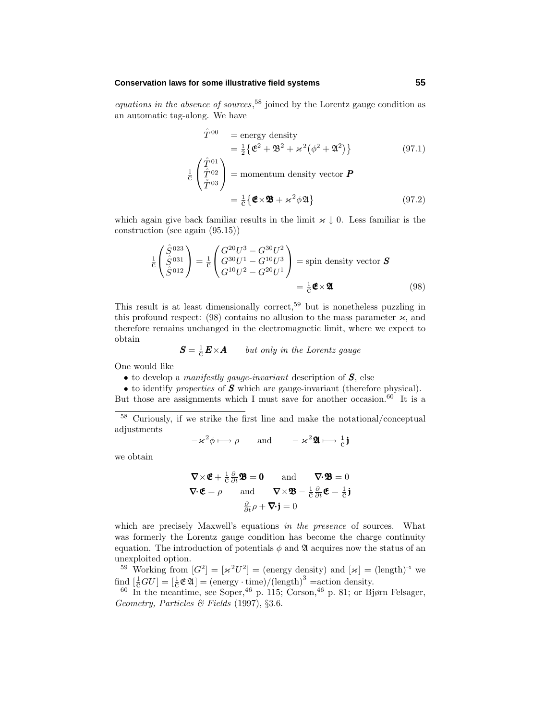#### **Conservation laws for some illustrative field systems 55**

equations in the absence of sources,<sup>58</sup> joined by the Lorentz gauge condition as an automatic tag-along. We have

$$
\tilde{T}^{00} = \text{energy density}
$$
\n
$$
= \frac{1}{2} \{ \mathfrak{E}^2 + \mathfrak{B}^2 + \varkappa^2 (\phi^2 + \mathfrak{A}^2) \}
$$
\n
$$
\frac{1}{2} \begin{pmatrix} \mathring{T}^{01} \\ \mathring{T}^{02} \\ \mathring{T}^{03} \end{pmatrix} = \text{momentum density vector } \mathbf{P}
$$
\n(97.1)

$$
= \frac{1}{C} \{ \mathbf{\mathfrak{E}} \times \mathbf{\mathfrak{B}} + \varkappa^2 \phi \mathfrak{A} \}
$$
(97.2)

which again give back familiar results in the limit  $\varkappa \downarrow 0$ . Less familiar is the construction (see again (95.15))

$$
\frac{1}{c} \begin{pmatrix} \mathring{S}^{023} \\ \mathring{S}^{031} \\ \mathring{S}^{012} \end{pmatrix} = \frac{1}{c} \begin{pmatrix} G^{20}U^3 - G^{30}U^2 \\ G^{30}U^1 - G^{10}U^3 \\ G^{10}U^2 - G^{20}U^1 \end{pmatrix} = \text{spin density vector } \mathbf{S}
$$
\n
$$
= \frac{1}{c} \mathbf{\mathfrak{E}} \times \mathbf{\mathfrak{A}} \tag{98}
$$

This result is at least dimensionally correct,<sup>59</sup> but is nonetheless puzzling in this profound respect: (98) contains no allusion to the mass parameter  $\varkappa$ , and therefore remains unchanged in the electromagnetic limit, where we expect to obtain

$$
S = \frac{1}{c} E \times A
$$
 but only in the Lorentz gauge

One would like

• to develop a manifestly gauge-invariant description of *S*, else

• to identify properties of *S* which are gauge-invariant (therefore physical). But those are assignments which I must save for another occasion.<sup>60</sup> It is a

<sup>58</sup> Curiously, if we strike the first line and make the notational/conceptual adjustments

$$
-\varkappa^2\phi \longmapsto \rho
$$
 and  $-\varkappa^2\mathfrak{A} \longmapsto \frac{1}{c}\mathfrak{j}$ 

we obtain

$$
\nabla \times \mathbf{\mathfrak{E}} + \frac{1}{c} \frac{\partial}{\partial t} \mathbf{\mathfrak{B}} = \mathbf{0} \quad \text{and} \quad \nabla \cdot \mathbf{\mathfrak{B}} = 0
$$
  

$$
\nabla \cdot \mathbf{\mathfrak{E}} = \rho \quad \text{and} \quad \nabla \times \mathbf{\mathfrak{B}} - \frac{1}{c} \frac{\partial}{\partial t} \mathbf{\mathfrak{E}} = \frac{1}{c} \mathbf{j}
$$
  

$$
\frac{\partial}{\partial t} \rho + \nabla \cdot \mathbf{j} = 0
$$

which are precisely Maxwell's equations in the presence of sources. What was formerly the Lorentz gauge condition has become the charge continuity equation. The introduction of potentials  $\phi$  and  $\mathfrak A$  acquires now the status of an unexploited option.

<sup>59</sup> Working from  $[G^2]=[\varkappa^2 U^2] = ($ energy density) and  $[\varkappa] = (\text{length})^{-1}$  we  $\lim_{\epsilon \to 0} \left[ \frac{1}{c} G U \right] = \left( \frac{1}{c} \mathfrak{E} \mathfrak{A} \right] = \left( \text{energy} \cdot \text{time} \right) / \left( \text{length} \right)^3 = \text{action density}.$ 

 $60$  In the meantime, see Soper,  $46$  p. 115; Corson,  $46$  p. 81; or Bjørn Felsager, Geometry, Particles & Fields (1997), §3.6.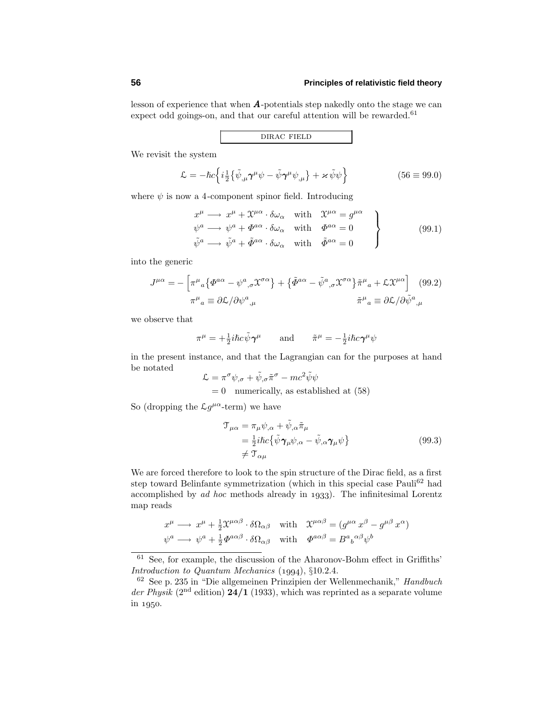lesson of experience that when *A*-potentials step nakedly onto the stage we can expect odd goings-on, and that our careful attention will be rewarded.<sup>61</sup>

dirac field

We revisit the system

$$
\mathcal{L} = -\hbar c \left\{ i \frac{1}{2} \left\{ \tilde{\psi}_{,\mu} \gamma^{\mu} \psi - \tilde{\psi} \gamma^{\mu} \psi_{,\mu} \right\} + \varkappa \tilde{\psi} \psi \right\} \tag{56 \equiv 99.0}
$$

where  $\psi$  is now a 4-component spinor field. Introducing

$$
x^{\mu} \longrightarrow x^{\mu} + \mathcal{X}^{\mu\alpha} \cdot \delta\omega_{\alpha} \quad \text{with} \quad \mathcal{X}^{\mu\alpha} = g^{\mu\alpha} \n\psi^{a} \longrightarrow \psi^{a} + \Phi^{a\alpha} \cdot \delta\omega_{\alpha} \quad \text{with} \quad \Phi^{a\alpha} = 0 \n\tilde{\psi}^{a} \longrightarrow \tilde{\psi}^{a} + \tilde{\Phi}^{a\alpha} \cdot \delta\omega_{\alpha} \quad \text{with} \quad \tilde{\Phi}^{a\alpha} = 0
$$
\n(99.1)

into the generic

$$
J^{\mu\alpha} = -\left[\pi^{\mu}{}_{a}\left\{\Phi^{a\alpha} - \psi^{a}{}_{,\sigma}\mathfrak{X}^{\sigma\alpha}\right\} + \left\{\tilde{\Phi}^{a\alpha} - \tilde{\psi}^{a}{}_{,\sigma}\mathfrak{X}^{\sigma\alpha}\right\}\tilde{\pi}^{\mu}{}_{a} + \mathcal{L}\mathfrak{X}^{\mu\alpha}\right] \tag{99.2}
$$

$$
\pi^{\mu}{}_{a} \equiv \partial\mathcal{L}/\partial\psi^{a}{}_{,\mu} \qquad \qquad \tilde{\pi}^{\mu}{}_{a} \equiv \partial\mathcal{L}/\partial\tilde{\psi}^{a}{}_{,\mu}
$$

we observe that

$$
\pi^{\mu} = +\frac{1}{2}i\hbar c\tilde{\psi}\pmb{\gamma}^{\mu} \qquad\text{and}\qquad \tilde{\pi}^{\mu} = -\frac{1}{2}i\hbar c\pmb{\gamma}^{\mu}\psi
$$

in the present instance, and that the Lagrangian can for the purposes at hand be notated

$$
\mathcal{L} = \pi^{\sigma} \psi_{,\sigma} + \tilde{\psi}_{,\sigma} \tilde{\pi}^{\sigma} - mc^2 \tilde{\psi} \psi
$$
  
= 0 numerically, as established at (58)

So (dropping the  $\mathcal{L}g^{\mu\alpha}$ -term) we have

$$
\begin{split} \mathcal{T}_{\mu\alpha} &= \pi_{\mu}\psi_{,\alpha} + \tilde{\psi}_{,\alpha}\tilde{\pi}_{\mu} \\ &= \frac{1}{2}i\hbar c\{\tilde{\psi}\gamma_{\mu}\psi_{,\alpha} - \tilde{\psi}_{,\alpha}\gamma_{\mu}\psi\} \\ &\neq \mathcal{T}_{\alpha\mu} \end{split} \tag{99.3}
$$

We are forced therefore to look to the spin structure of the Dirac field, as a first step toward Belinfante symmetrization (which in this special case Pauli<sup>62</sup> had accomplished by  $ad hoc$  methods already in 1933). The infinitesimal Lorentz map reads

$$
x^{\mu} \longrightarrow x^{\mu} + \frac{1}{2} \mathfrak{X}^{\mu\alpha\beta} \cdot \delta\Omega_{\alpha\beta} \quad \text{with} \quad \mathfrak{X}^{\mu\alpha\beta} = (g^{\mu\alpha} x^{\beta} - g^{\mu\beta} x^{\alpha})
$$
  

$$
\psi^{a} \longrightarrow \psi^{a} + \frac{1}{2} \Phi^{a\alpha\beta} \cdot \delta\Omega_{\alpha\beta} \quad \text{with} \quad \Phi^{a\alpha\beta} = B^{a}{}_{b}{}^{\alpha\beta} \psi^{b}
$$

 $61$  See, for example, the discussion of the Aharonov-Bohm effect in Griffiths' Introduction to Quantum Mechanics  $(1994), §10.2.4$ .

<sup>&</sup>lt;sup>62</sup> See p. 235 in "Die allgemeinen Prinzipien der Wellenmechanik," Handbuch der Physik  $(2<sup>nd</sup>$  edition) **24/1** (1933), which was reprinted as a separate volume in 1950.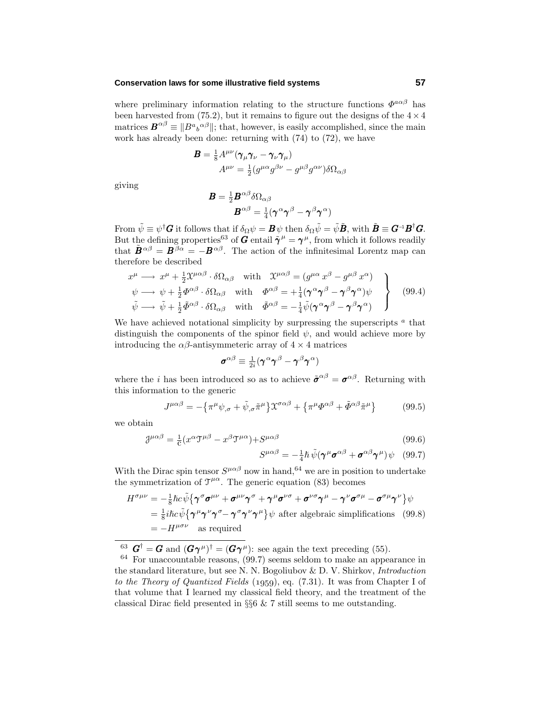#### **Conservation laws for some illustrative field systems 57**

where preliminary information relating to the structure functions  $\Phi^{a\alpha\beta}$  has been harvested from (75.2), but it remains to figure out the designs of the  $4 \times 4$ matrices  $\mathbf{B}^{\alpha\beta} \equiv \|B^a{}_b{}^{\alpha\beta}\|$ ; that, however, is easily accomplished, since the main work has already been done: returning with  $(74)$  to  $(72)$ , we have

$$
\mathbf{B} = \frac{1}{8} A^{\mu\nu} (\pmb{\gamma}_{\mu} \pmb{\gamma}_{\nu} - \pmb{\gamma}_{\nu} \pmb{\gamma}_{\mu})
$$

$$
A^{\mu\nu} = \frac{1}{2} (g^{\mu\alpha} g^{\beta\nu} - g^{\mu\beta} g^{\alpha\nu}) \delta \Omega_{\alpha\beta}
$$

giving

$$
\bm{B}=\frac{1}{2}\bm{B}^{\alpha\beta}\delta\Omega_{\alpha\beta}
$$

$$
\bm{B}^{\alpha\beta}=\frac{1}{4}(\bm{\gamma}^{\alpha}\bm{\gamma}^{\beta}-\bm{\gamma}^{\beta}\bm{\gamma}^{\alpha})
$$

From  $\tilde{\psi} \equiv \psi^{\dagger} \mathbf{G}$  it follows that if  $\delta_{\Omega} \psi = \mathbf{B} \psi$  then  $\delta_{\Omega} \tilde{\psi} = \tilde{\psi} \tilde{\mathbf{B}}$ , with  $\tilde{\mathbf{B}} \equiv \mathbf{G}^{-1} \mathbf{B}^{\dagger} \mathbf{G}$ . But the defining properties<sup>63</sup> of  $G$  entail  $\tilde{\gamma}^{\mu} = \gamma^{\mu}$ , from which it follows readily that  $\tilde{B}^{\alpha\beta} = B^{\beta\alpha} = -B^{\alpha\beta}$ . The action of the infinitesimal Lorentz map can therefore be described

$$
x^{\mu} \longrightarrow x^{\mu} + \frac{1}{2} \mathcal{X}^{\mu\alpha\beta} \cdot \delta \Omega_{\alpha\beta} \quad \text{with} \quad \mathcal{X}^{\mu\alpha\beta} = (g^{\mu\alpha} x^{\beta} - g^{\mu\beta} x^{\alpha})
$$
  
\n
$$
\psi \longrightarrow \psi + \frac{1}{2} \Phi^{\alpha\beta} \cdot \delta \Omega_{\alpha\beta} \quad \text{with} \quad \Phi^{\alpha\beta} = +\frac{1}{4} (\gamma^{\alpha} \gamma^{\beta} - \gamma^{\beta} \gamma^{\alpha}) \psi
$$
  
\n
$$
\tilde{\psi} \longrightarrow \tilde{\psi} + \frac{1}{2} \tilde{\Phi}^{\alpha\beta} \cdot \delta \Omega_{\alpha\beta} \quad \text{with} \quad \tilde{\Phi}^{\alpha\beta} = -\frac{1}{4} \tilde{\psi} (\gamma^{\alpha} \gamma^{\beta} - \gamma^{\beta} \gamma^{\alpha})
$$
\n(99.4)

We have achieved notational simplicity by surpressing the superscripts *<sup>a</sup>* that distinguish the components of the spinor field  $\psi$ , and would achieve more by introducing the  $\alpha\beta$ -antisymmeteric array of  $4 \times 4$  matrices

$$
\boldsymbol{\sigma}^{\alpha\beta} \equiv \frac{1}{2i}(\boldsymbol{\gamma}^{\alpha}\boldsymbol{\gamma}^{\beta} - \boldsymbol{\gamma}^{\beta}\boldsymbol{\gamma}^{\alpha})
$$

where the *i* has been introduced so as to achieve  $\tilde{\sigma}^{\alpha\beta} = \sigma^{\alpha\beta}$ . Returning with this information to the generic

$$
J^{\mu\alpha\beta} = -\{\pi^{\mu}\psi_{,\sigma} + \tilde{\psi}_{,\sigma}\tilde{\pi}^{\mu}\}\mathcal{X}^{\sigma\alpha\beta} + \{\pi^{\mu}\Phi^{\alpha\beta} + \tilde{\Phi}^{\alpha\beta}\tilde{\pi}^{\mu}\}\
$$
(99.5)

we obtain

$$
\mathcal{J}^{\mu\alpha\beta} = \frac{1}{c} (x^{\alpha} \mathcal{T}^{\mu\beta} - x^{\beta} \mathcal{T}^{\mu\alpha}) + S^{\mu\alpha\beta}
$$
(99.6)  

$$
S^{\mu\alpha\beta} = -\frac{1}{4} \hbar \tilde{\psi} (\gamma^{\mu} \sigma^{\alpha\beta} + \sigma^{\alpha\beta} \gamma^{\mu}) \psi
$$
(99.7)

With the Dirac spin tensor  $S^{\mu\alpha\beta}$  now in hand,<sup>64</sup> we are in position to undertake the symmetrization of  $\mathfrak{I}^{\mu\alpha}$ . The generic equation (83) becomes

$$
H^{\sigma\mu\nu} = -\frac{1}{8}\hbar c\tilde{\psi}\{\gamma^{\sigma}\sigma^{\mu\nu} + \sigma^{\mu\nu}\gamma^{\sigma} + \gamma^{\mu}\sigma^{\nu\sigma} + \sigma^{\nu\sigma}\gamma^{\mu} - \gamma^{\nu}\sigma^{\sigma\mu} - \sigma^{\sigma\mu}\gamma^{\nu}\}\psi
$$
  
=  $\frac{1}{8}i\hbar c\tilde{\psi}\{\gamma^{\mu}\gamma^{\nu}\gamma^{\sigma} - \gamma^{\sigma}\gamma^{\nu}\gamma^{\mu}\}\psi$  after algebraic simplifications (99.8)  
=  $-H^{\mu\sigma\nu}$  as required

<sup>63</sup>  $G^{\dagger} = G$  and  $(G\gamma^{\mu})^{\dagger} = (G\gamma^{\mu})$ : see again the text preceding (55).

<sup>64</sup> For unaccountable reasons, (99.7) seems seldom to make an appearance in the standard literature, but see N. N. Bogoliubov & D. V. Shirkov, Introduction to the Theory of Quantized Fields (1959), eq.  $(7.31)$ . It was from Chapter I of that volume that I learned my classical field theory, and the treatment of the classical Dirac field presented in §§6 & 7 still seems to me outstanding.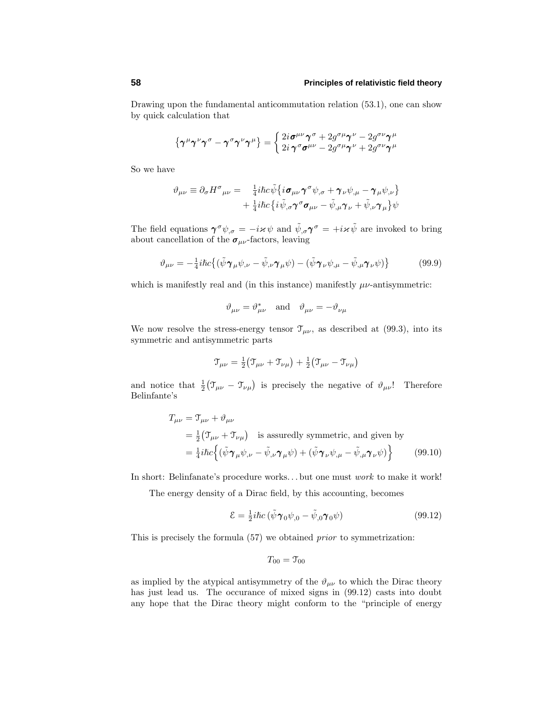Drawing upon the fundamental anticommutation relation (53.1), one can show by quick calculation that

$$
\{\gamma^{\mu}\gamma^{\nu}\gamma^{\sigma}-\gamma^{\sigma}\gamma^{\nu}\gamma^{\mu}\}=\begin{cases}2i\,\sigma^{\mu\nu}\gamma^{\sigma}+2g^{\sigma\mu}\gamma^{\nu}-2g^{\sigma\nu}\gamma^{\mu}\\2i\,\gamma^{\sigma}\sigma^{\mu\nu}-2g^{\sigma\mu}\gamma^{\nu}+2g^{\sigma\nu}\gamma^{\mu}\end{cases}
$$

So we have

$$
\vartheta_{\mu\nu} \equiv \partial_{\sigma} H^{\sigma}{}_{\mu\nu} = \frac{1}{4} i\hbar c \tilde{\psi} \{ i\sigma_{\mu\nu} \gamma^{\sigma} \psi_{,\sigma} + \gamma_{\nu} \psi_{,\mu} - \gamma_{\mu} \psi_{,\nu} \} \n+ \frac{1}{4} i\hbar c \{ i\tilde{\psi}_{,\sigma} \gamma^{\sigma} \sigma_{\mu\nu} - \tilde{\psi}_{,\mu} \gamma_{\nu} + \tilde{\psi}_{,\nu} \gamma_{\mu} \} \psi
$$

The field equations  $\gamma^{\sigma}\psi_{,\sigma} = -i\kappa\psi$  and  $\tilde{\psi}_{,\sigma}\gamma^{\sigma} = +i\kappa\tilde{\psi}$  are invoked to bring about cancellation of the *σµν*-factors, leaving

$$
\vartheta_{\mu\nu} = -\frac{1}{4}i\hbar c \left\{ (\tilde{\psi}\gamma_{\mu}\psi_{,\nu} - \tilde{\psi}_{,\nu}\gamma_{\mu}\psi) - (\tilde{\psi}\gamma_{\nu}\psi_{,\mu} - \tilde{\psi}_{,\mu}\gamma_{\nu}\psi) \right\} \tag{99.9}
$$

which is manifestly real and (in this instance) manifestly  $\mu\nu$ -antisymmetric:

$$
\vartheta_{\mu\nu} = \vartheta_{\mu\nu}^*
$$
 and  $\vartheta_{\mu\nu} = -\vartheta_{\nu\mu}$ 

We now resolve the stress-energy tensor  $\mathcal{T}_{\mu\nu}$ , as described at (99.3), into its symmetric and antisymmetric parts

$$
\mathcal{T}_{\mu\nu} = \frac{1}{2} \big( \mathcal{T}_{\mu\nu} + \mathcal{T}_{\nu\mu} \big) + \frac{1}{2} \big( \mathcal{T}_{\mu\nu} - \mathcal{T}_{\nu\mu} \big)
$$

and notice that  $\frac{1}{2}(\mathcal{T}_{\mu\nu} - \mathcal{T}_{\nu\mu})$  is precisely the negative of  $\vartheta_{\mu\nu}$ ! Therefore Belinfante's

$$
T_{\mu\nu} = \mathcal{T}_{\mu\nu} + \vartheta_{\mu\nu}
$$
  
=  $\frac{1}{2} (\mathcal{T}_{\mu\nu} + \mathcal{T}_{\nu\mu})$  is assuredly symmetric, and given by  
=  $\frac{1}{4} i\hbar c \left\{ (\tilde{\psi} \boldsymbol{\gamma}_{\mu} \psi_{,\nu} - \tilde{\psi}_{,\nu} \boldsymbol{\gamma}_{\mu} \psi) + (\tilde{\psi} \boldsymbol{\gamma}_{\nu} \psi_{,\mu} - \tilde{\psi}_{,\mu} \boldsymbol{\gamma}_{\nu} \psi) \right\}$  (99.10)

In short: Belinfanate's procedure works...but one must *work* to make it work!

The energy density of a Dirac field, by this accounting, becomes

$$
\mathcal{E} = \frac{1}{2}i\hbar c \left( \tilde{\psi}\gamma_0 \psi_{,0} - \tilde{\psi}_{,0}\gamma_0 \psi \right) \tag{99.12}
$$

This is precisely the formula (57) we obtained prior to symmetrization:

$$
T_{00}=\mathfrak{T}_{00}
$$

as implied by the atypical antisymmetry of the  $\vartheta_{\mu\nu}$  to which the Dirac theory has just lead us. The occurance of mixed signs in (99.12) casts into doubt any hope that the Dirac theory might conform to the "principle of energy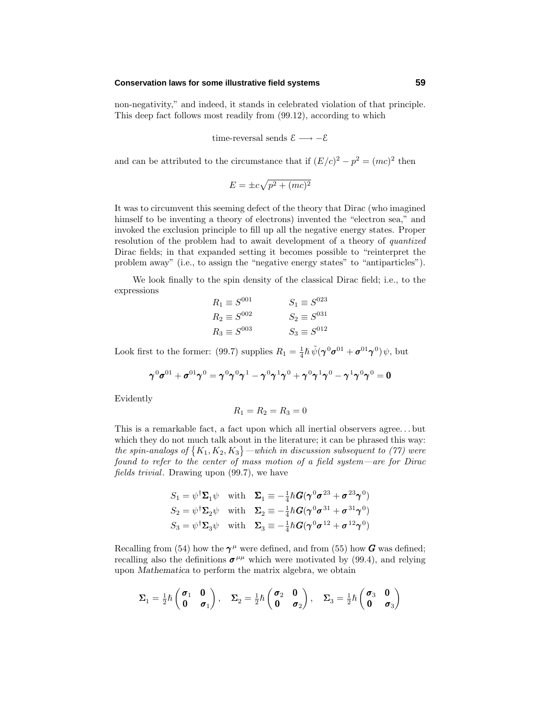#### **Conservation laws for some illustrative field systems 59**

non-negativity," and indeed, it stands in celebrated violation of that principle. This deep fact follows most readily from (99.12), according to which

time-reversal sends  $\mathcal{E} \longrightarrow -\mathcal{E}$ 

and can be attributed to the circumstance that if  $(E/c)^2 - p^2 = (mc)^2$  then

$$
E = \pm c\sqrt{p^2 + (mc)^2}
$$

It was to circumvent this seeming defect of the theory that Dirac (who imagined himself to be inventing a theory of electrons) invented the "electron sea," and invoked the exclusion principle to fill up all the negative energy states. Proper resolution of the problem had to await development of a theory of quantized Dirac fields; in that expanded setting it becomes possible to "reinterpret the problem away" (i.e., to assign the "negative energy states" to "antiparticles").

We look finally to the spin density of the classical Dirac field; i.e., to the expressions

| $R_1 \equiv S^{001}$ | $S_1 \equiv S^{023}$ |
|----------------------|----------------------|
| $R_2 \equiv S^{002}$ | $S_2 \equiv S^{031}$ |
| $R_3 \equiv S^{003}$ | $S_3 \equiv S^{012}$ |

Look first to the former: (99.7) supplies  $R_1 = \frac{1}{4} \hbar \,\tilde{\psi}(\boldsymbol{\gamma}^0 \boldsymbol{\sigma}^{01} + \boldsymbol{\sigma}^{01} \boldsymbol{\gamma}^0) \psi$ , but

$$
\pmb{\gamma}^0\pmb{\sigma}^{01}+\pmb{\sigma}^{01}\pmb{\gamma}^0=\pmb{\gamma}^0\pmb{\gamma}^0\pmb{\gamma}^1-\pmb{\gamma}^0\pmb{\gamma}^1\pmb{\gamma}^0+\pmb{\gamma}^0\pmb{\gamma}^1\pmb{\gamma}^0-\pmb{\gamma}^1\pmb{\gamma}^0\pmb{\gamma}^0=\pmb{0}
$$

Evidently

$$
R_1 = R_2 = R_3 = 0
$$

This is a remarkable fact, a fact upon which all inertial observers agree*...* but which they do not much talk about in the literature; it can be phrased this way: the spin-analogs of  ${K_1, K_2, K_3}$  —which in discussion subsequent to (77) were found to refer to the center of mass motion of a field system—are for Dirac fields trivial. Drawing upon (99.7), we have

$$
S_1 = \psi^{\dagger} \Sigma_1 \psi \quad \text{with} \quad \Sigma_1 \equiv -\frac{1}{4} \hbar G (\gamma^0 \sigma^{23} + \sigma^{23} \gamma^0)
$$
  
\n
$$
S_2 = \psi^{\dagger} \Sigma_2 \psi \quad \text{with} \quad \Sigma_2 \equiv -\frac{1}{4} \hbar G (\gamma^0 \sigma^{31} + \sigma^{31} \gamma^0)
$$
  
\n
$$
S_3 = \psi^{\dagger} \Sigma_3 \psi \quad \text{with} \quad \Sigma_3 \equiv -\frac{1}{4} \hbar G (\gamma^0 \sigma^{12} + \sigma^{12} \gamma^0)
$$

Recalling from (54) how the  $\gamma^{\mu}$  were defined, and from (55) how *G* was defined; recalling also the definitions  $\sigma^{\mu\mu}$  which were motivated by (99.4), and relying upon *Mathematica* to perform the matrix algebra, we obtain

$$
\pmb{\Sigma}_1 = \tfrac{1}{2}\hbar\begin{pmatrix} \pmb{\sigma}_1 & \pmb{0} \\ \pmb{0} & \pmb{\sigma}_1 \end{pmatrix}, \quad \pmb{\Sigma}_2 = \tfrac{1}{2}\hbar\begin{pmatrix} \pmb{\sigma}_2 & \pmb{0} \\ \pmb{0} & \pmb{\sigma}_2 \end{pmatrix}, \quad \pmb{\Sigma}_3 = \tfrac{1}{2}\hbar\begin{pmatrix} \pmb{\sigma}_3 & \pmb{0} \\ \pmb{0} & \pmb{\sigma}_3 \end{pmatrix}
$$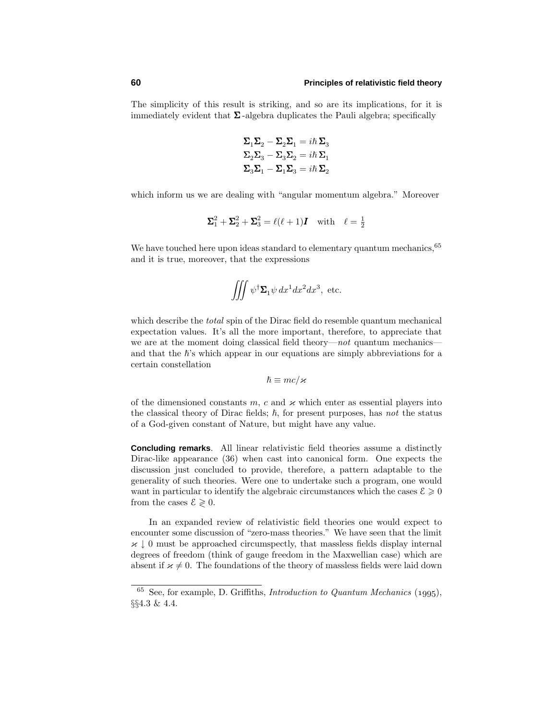The simplicity of this result is striking, and so are its implications, for it is immediately evident that  $\Sigma$ -algebra duplicates the Pauli algebra; specifically

$$
\begin{aligned} &\boldsymbol{\Sigma}_1\boldsymbol{\Sigma}_2-\boldsymbol{\Sigma}_2\boldsymbol{\Sigma}_1=i\hbar\,\boldsymbol{\Sigma}_3 \\ &\boldsymbol{\Sigma}_2\boldsymbol{\Sigma}_3-\boldsymbol{\Sigma}_3\boldsymbol{\Sigma}_2=i\hbar\,\boldsymbol{\Sigma}_1 \\ &\boldsymbol{\Sigma}_3\boldsymbol{\Sigma}_1-\boldsymbol{\Sigma}_1\boldsymbol{\Sigma}_3=i\hbar\,\boldsymbol{\Sigma}_2 \end{aligned}
$$

which inform us we are dealing with "angular momentum algebra." Moreover

$$
\Sigma_1^2 + \Sigma_2^2 + \Sigma_3^2 = \ell(\ell+1)\mathbf{I} \quad \text{with} \quad \ell = \frac{1}{2}
$$

We have touched here upon ideas standard to elementary quantum mechanics, <sup>65</sup> and it is true, moreover, that the expressions

$$
\iiint \psi^{\dagger} \mathbf{\Sigma}_1 \psi \, dx^1 dx^2 dx^3
$$
, etc.

which describe the *total* spin of the Dirac field do resemble quantum mechanical expectation values. It's all the more important, therefore, to appreciate that we are at the moment doing classical field theory—not quantum mechanics and that the  $\hbar$ 's which appear in our equations are simply abbreviations for a certain constellation

$$
\hslash \equiv mc/\varkappa
$$

of the dimensioned constants  $m$ ,  $c$  and  $\varkappa$  which enter as essential players into the classical theory of Dirac fields;  $\hbar$ , for present purposes, has not the status of a God-given constant of Nature, but might have any value.

**Concluding remarks**. All linear relativistic field theories assume a distinctly Dirac-like appearance (36) when cast into canonical form. One expects the discussion just concluded to provide, therefore, a pattern adaptable to the generality of such theories. Were one to undertake such a program, one would want in particular to identify the algebraic circumstances which the cases  $\mathcal{E} \geq 0$ from the cases  $\mathcal{E} \geqslant 0$ .

In an expanded review of relativistic field theories one would expect to encounter some discussion of "zero-mass theories." We have seen that the limit  $x \downarrow 0$  must be approached circumspectly, that massless fields display internal degrees of freedom (think of gauge freedom in the Maxwellian case) which are absent if  $x \neq 0$ . The foundations of the theory of massless fields were laid down

 $65$  See, for example, D. Griffiths, *Introduction to Quantum Mechanics* (1995), §§4.3 & 4.4.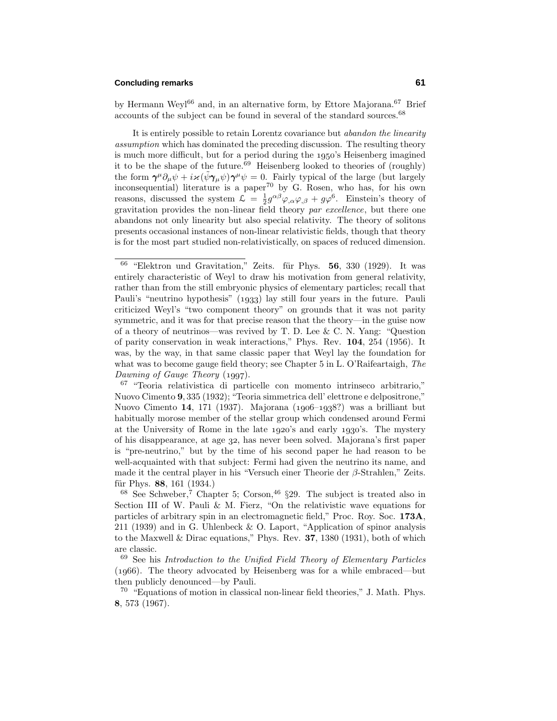#### **Concluding remarks 61**

by Hermann Weyl<sup>66</sup> and, in an alternative form, by Ettore Majorana.<sup>67</sup> Brief accounts of the subject can be found in several of the standard sources.<sup>68</sup>

It is entirely possible to retain Lorentz covariance but abandon the linearity assumption which has dominated the preceding discussion. The resulting theory is much more difficult, but for a period during the 1950's Heisenberg imagined it to be the shape of the future.<sup>69</sup> Heisenberg looked to theories of (roughly) the form  $\gamma^{\mu}\partial_{\mu}\psi + i\varkappa(\tilde{\psi}\gamma_{\mu}\psi)\gamma^{\mu}\psi = 0$ . Fairly typical of the large (but largely inconsequential) literature is a paper<sup>70</sup> by G. Rosen, who has, for his own reasons, discussed the system  $\mathcal{L} = \frac{1}{2} g^{\alpha\beta} \varphi_{,\alpha} \varphi_{,\beta} + g\varphi^6$ . Einstein's theory of gravitation provides the non-linear field theory par excellence, but there one abandons not only linearity but also special relativity. The theory of solitons presents occasional instances of non-linear relativistic fields, though that theory is for the most part studied non-relativistically, on spaces of reduced dimension.

<sup>&</sup>lt;sup>66</sup> "Elektron und Gravitation," Zeits. für Phys. **56**, 330 (1929). It was entirely characteristic of Weyl to draw his motivation from general relativity, rather than from the still embryonic physics of elementary particles; recall that Pauli's "neutrino hypothesis" (1933) lay still four years in the future. Pauli criticized Weyl's "two component theory" on grounds that it was not parity symmetric, and it was for that precise reason that the theory—in the guise now of a theory of neutrinos—was revived by T. D. Lee  $& C. N.$  Yang: "Question of parity conservation in weak interactions," Phys. Rev. **104**, 254 (1956). It was, by the way, in that same classic paper that Weyl lay the foundation for what was to become gauge field theory; see Chapter 5 in L. O'Raifeartaigh, The Dawning of Gauge Theory  $(1997)$ .

<sup>67</sup> "Teoria relativistica di particelle con momento intrinseco arbitrario," Nuovo Cimento **9**,335 (1932); "Teoria simmetrica dell' elettrone e delpositrone," Nuovo Cimento 14, 171 (1937). Majorana (1906–1938?) was a brilliant but habitually morose member of the stellar group which condensed around Fermi at the University of Rome in the late  $1920$ 's and early  $1930$ 's. The mystery of his disappearance, at age 32, has never been solved. Majorana's first paper is "pre-neutrino," but by the time of his second paper he had reason to be well-acquainted with that subject: Fermi had given the neutrino its name, and made it the central player in his "Versuch einer Theorie der *β*-Strahlen," Zeits. für Phys. **88**, 161 (1934.)

<sup>&</sup>lt;sup>68</sup> See Schweber,<sup>7</sup> Chapter 5; Corson,<sup>46</sup> §29. The subject is treated also in Section III of W. Pauli & M. Fierz, "On the relativistic wave equations for particles of arbitrary spin in an electromagnetic field," Proc. Roy. Soc. **173A**, 211 (1939) and in G. Uhlenbeck & O. Laport, "Application of spinor analysis to the Maxwell & Dirac equations," Phys. Rev. **37**, 1380 (1931), both of which are classic.

 $69$  See his Introduction to the Unified Field Theory of Elementary Particles  $(1966)$ . The theory advocated by Heisenberg was for a while embraced—but then publicly denounced—by Pauli.

 $70$  "Equations of motion in classical non-linear field theories," J. Math. Phys. **8**, 573 (1967).